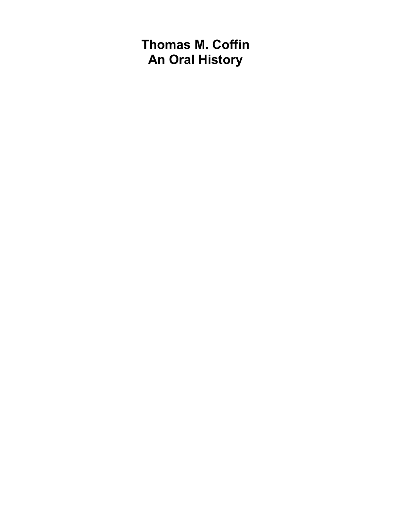**Thomas M. Coffin An Oral History**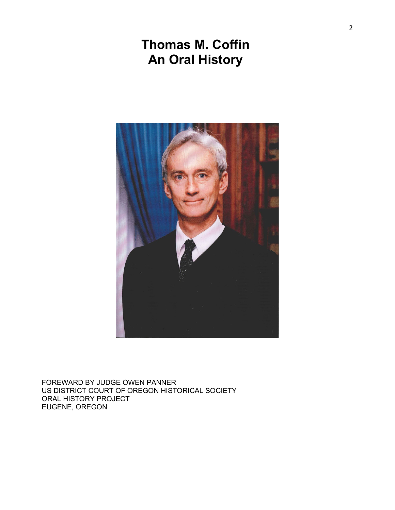# **Thomas M. Coffin An Oral History**



FOREWARD BY JUDGE OWEN PANNER US DISTRICT COURT OF OREGON HISTORICAL SOCIETY ORAL HISTORY PROJECT EUGENE, OREGON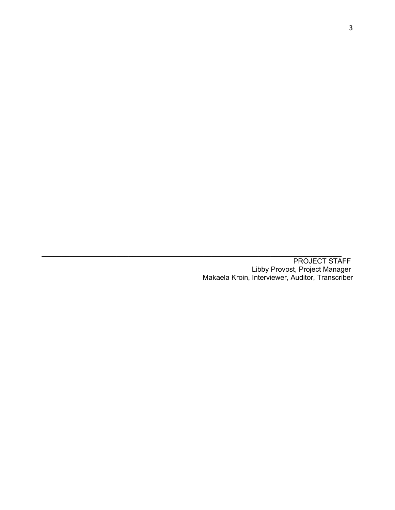\_\_\_\_\_\_\_\_\_\_\_\_\_\_\_\_\_\_\_\_\_\_\_\_\_\_\_\_\_\_\_\_\_\_\_\_\_\_\_\_\_\_\_\_\_\_\_\_\_\_\_\_\_\_\_\_\_\_\_\_\_\_\_\_\_\_\_\_\_\_\_\_\_\_\_\_ PROJECT STAFF Libby Provost, Project Manager Makaela Kroin, Interviewer, Auditor, Transcriber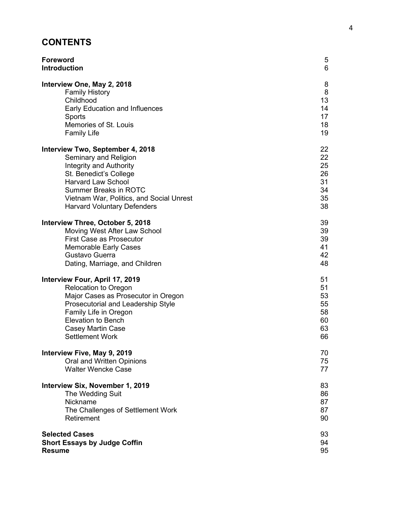# **CONTENTS**

| <b>Foreword</b>                          | 5  |
|------------------------------------------|----|
| <b>Introduction</b>                      | 6  |
| Interview One, May 2, 2018               | 8  |
| <b>Family History</b>                    | 8  |
| Childhood                                | 13 |
| Early Education and Influences           | 14 |
| Sports                                   | 17 |
| Memories of St. Louis                    | 18 |
| <b>Family Life</b>                       | 19 |
| Interview Two, September 4, 2018         | 22 |
| Seminary and Religion                    | 22 |
| <b>Integrity and Authority</b>           | 25 |
| St. Benedict's College                   | 26 |
| <b>Harvard Law School</b>                | 31 |
| <b>Summer Breaks in ROTC</b>             | 34 |
| Vietnam War, Politics, and Social Unrest | 35 |
| <b>Harvard Voluntary Defenders</b>       | 38 |
| Interview Three, October 5, 2018         | 39 |
| Moving West After Law School             | 39 |
| <b>First Case as Prosecutor</b>          | 39 |
| <b>Memorable Early Cases</b>             | 41 |
| Gustavo Guerra                           | 42 |
| Dating, Marriage, and Children           | 48 |
| Interview Four, April 17, 2019           | 51 |
| <b>Relocation to Oregon</b>              | 51 |
| Major Cases as Prosecutor in Oregon      | 53 |
| Prosecutorial and Leadership Style       | 55 |
| Family Life in Oregon                    | 58 |
| <b>Elevation to Bench</b>                | 60 |
| Casey Martin Case                        | 63 |
| <b>Settlement Work</b>                   | 66 |
| Interview Five, May 9, 2019              | 70 |
| Oral and Written Opinions                | 75 |
| <b>Walter Wencke Case</b>                | 77 |
| Interview Six, November 1, 2019          | 83 |
| The Wedding Suit                         | 86 |
| Nickname                                 | 87 |
| The Challenges of Settlement Work        | 87 |
| Retirement                               | 90 |
| <b>Selected Cases</b>                    | 93 |
| <b>Short Essays by Judge Coffin</b>      | 94 |
| <b>Resume</b>                            | 95 |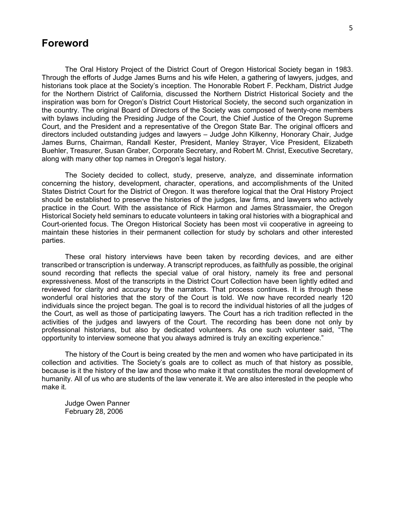# **Foreword**

The Oral History Project of the District Court of Oregon Historical Society began in 1983. Through the efforts of Judge James Burns and his wife Helen, a gathering of lawyers, judges, and historians took place at the Society's inception. The Honorable Robert F. Peckham, District Judge for the Northern District of California, discussed the Northern District Historical Society and the inspiration was born for Oregon's District Court Historical Society, the second such organization in the country. The original Board of Directors of the Society was composed of twenty-one members with bylaws including the Presiding Judge of the Court, the Chief Justice of the Oregon Supreme Court, and the President and a representative of the Oregon State Bar. The original officers and directors included outstanding judges and lawyers – Judge John Kilkenny, Honorary Chair, Judge James Burns, Chairman, Randall Kester, President, Manley Strayer, Vice President, Elizabeth Buehler, Treasurer, Susan Graber, Corporate Secretary, and Robert M. Christ, Executive Secretary, along with many other top names in Oregon's legal history.

The Society decided to collect, study, preserve, analyze, and disseminate information concerning the history, development, character, operations, and accomplishments of the United States District Court for the District of Oregon. It was therefore logical that the Oral History Project should be established to preserve the histories of the judges, law firms, and lawyers who actively practice in the Court. With the assistance of Rick Harmon and James Strassmaier, the Oregon Historical Society held seminars to educate volunteers in taking oral histories with a biographical and Court-oriented focus. The Oregon Historical Society has been most vii cooperative in agreeing to maintain these histories in their permanent collection for study by scholars and other interested parties.

These oral history interviews have been taken by recording devices, and are either transcribed or transcription is underway. A transcript reproduces, as faithfully as possible, the original sound recording that reflects the special value of oral history, namely its free and personal expressiveness. Most of the transcripts in the District Court Collection have been lightly edited and reviewed for clarity and accuracy by the narrators. That process continues. It is through these wonderful oral histories that the story of the Court is told. We now have recorded nearly 120 individuals since the project began. The goal is to record the individual histories of all the judges of the Court, as well as those of participating lawyers. The Court has a rich tradition reflected in the activities of the judges and lawyers of the Court. The recording has been done not only by professional historians, but also by dedicated volunteers. As one such volunteer said, "The opportunity to interview someone that you always admired is truly an exciting experience."

The history of the Court is being created by the men and women who have participated in its collection and activities. The Society's goals are to collect as much of that history as possible, because is it the history of the law and those who make it that constitutes the moral development of humanity. All of us who are students of the law venerate it. We are also interested in the people who make it.

Judge Owen Panner February 28, 2006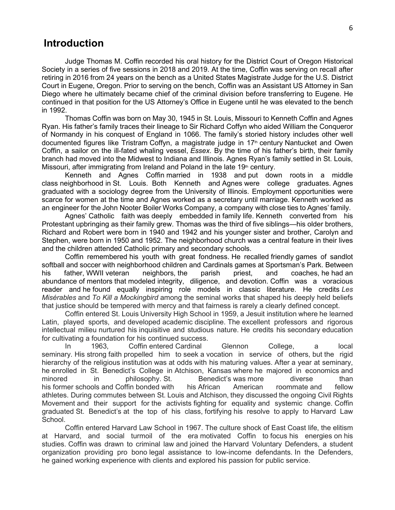# **Introduction**

Judge Thomas M. Coffin recorded his oral history for the District Court of Oregon Historical Society in a series of five sessions in 2018 and 2019. At the time, Coffin was serving on recall after retiring in 2016 from 24 years on the bench as a United States Magistrate Judge for the U.S. District Court in Eugene, Oregon. Prior to serving on the bench, Coffin was an Assistant US Attorney in San Diego where he ultimately became chief of the criminal division before transferring to Eugene. He continued in that position for the US Attorney's Office in Eugene until he was elevated to the bench in 1992.

Thomas Coffin was born on May 30, 1945 in St. Louis, Missouri to Kenneth Coffin and Agnes Ryan. His father's family traces their lineage to Sir Richard Coffyn who aided William the Conqueror of Normandy in his conquest of England in 1066. The family's storied history includes other well documented figures like Tristram Coffyn, a magistrate judge in 17<sup>th</sup> century Nantucket and Owen Coffin, a sailor on the ill-fated whaling vessel, *Essex*. By the time of his father's birth, their family branch had moved into the Midwest to Indiana and Illinois. Agnes Ryan's family settled in St. Louis, Missouri, after immigrating from Ireland and Poland in the late  $19<sup>th</sup>$  century.

Kenneth and Agnes Coffin married in 1938 and put down roots in a middle class neighborhood in St. Louis. Both Kenneth and Agnes were college graduates. Agnes graduated with a sociology degree from the University of Illinois. Employment opportunities were scarce for women at the time and Agnes worked as a secretary until marriage. Kenneth worked as an engineer for the John Nooter Boiler Works Company, a company with close ties to Agnes' family.

Agnes' Catholic faith was deeply embedded in family life. Kenneth converted from his Protestant upbringing as their family grew. Thomas was the third of five siblings—his older brothers, Richard and Robert were born in 1940 and 1942 and his younger sister and brother, Carolyn and Stephen, were born in 1950 and 1952. The neighborhood church was a central feature in their lives and the children attended Catholic primary and secondary schools.

Coffin remembered his youth with great fondness. He recalled friendly games of sandlot softball and soccer with neighborhood children and Cardinals games at Sportsman's Park. Between<br>his father, WWII veteran neighbors, the parish priest, and coaches, he had an his father, WWII veteran neighbors, the parish priest, and coaches, he had an abundance of mentors that modeled integrity, diligence, and devotion. Coffin was a voracious reader and he found equally inspiring role models in classic literature. He credits *Les Misérables* and *To Kill a Mockingbird* among the seminal works that shaped his deeply held beliefs that justice should be tempered with mercy and that fairness is rarely a clearly defined concept.

Coffin entered St. Louis University High School in 1959, a Jesuit institution where he learned Latin, played sports, and developed academic discipline. The excellent professors and rigorous intellectual milieu nurtured his inquisitive and studious nature. He credits his secondary education for cultivating a foundation for his continued success.

In 1963, Coffin entered Cardinal Glennon College, a local seminary. His strong faith propelled him to seek a vocation in service of others, but the rigid hierarchy of the religious institution was at odds with his maturing values. After a year at seminary, he enrolled in St. Benedict's College in Atchison, Kansas where he majored in economics and minored in philosophy. St. Benedict's was more diverse than his former schools and Coffin bonded with his African American roommate and fellow athletes. During commutes between St. Louis and Atchison, they discussed the ongoing Civil Rights Movement and their support for the activists fighting for equality and systemic change. Coffin graduated St. Benedict's at the top of his class, fortifying his resolve to apply to Harvard Law School.

Coffin entered Harvard Law School in 1967. The culture shock of East Coast life, the elitism at Harvard, and social turmoil of the era motivated Coffin to focus his energies on his studies. Coffin was drawn to criminal law and joined the Harvard Voluntary Defenders, a student organization providing pro bono legal assistance to low-income defendants. In the Defenders, he gained working experience with clients and explored his passion for public service.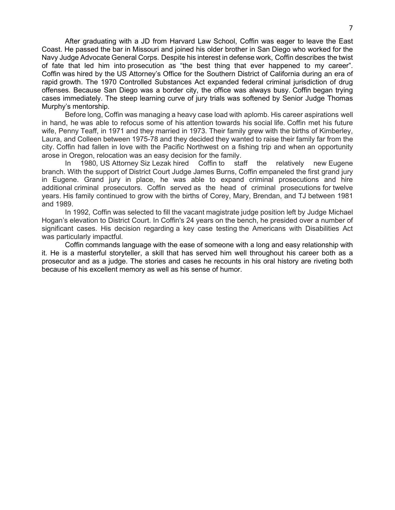After graduating with a JD from Harvard Law School, Coffin was eager to leave the East Coast. He passed the bar in Missouri and joined his older brother in San Diego who worked for the Navy Judge Advocate General Corps. Despite his interest in defense work, Coffin describes the twist of fate that led him into prosecution as "the best thing that ever happened to my career". Coffin was hired by the US Attorney's Office for the Southern District of California during an era of rapid growth. The 1970 Controlled Substances Act expanded federal criminal jurisdiction of drug offenses. Because San Diego was a border city, the office was always busy. Coffin began trying cases immediately. The steep learning curve of jury trials was softened by Senior Judge Thomas Murphy's mentorship.

Before long, Coffin was managing a heavy case load with aplomb. His career aspirations well in hand, he was able to refocus some of his attention towards his social life. Coffin met his future wife, Penny Teaff, in 1971 and they married in 1973. Their family grew with the births of Kimberley, Laura, and Colleen between 1975-78 and they decided they wanted to raise their family far from the city. Coffin had fallen in love with the Pacific Northwest on a fishing trip and when an opportunity arose in Oregon, relocation was an easy decision for the family.

In 1980, US Attorney Siz Lezak hired Coffin to staff the relatively new Eugene branch. With the support of District Court Judge James Burns, Coffin empaneled the first grand jury in Eugene. Grand jury in place, he was able to expand criminal prosecutions and hire additional criminal prosecutors. Coffin served as the head of criminal prosecutions for twelve years. His family continued to grow with the births of Corey, Mary, Brendan, and TJ between 1981 and 1989.

In 1992, Coffin was selected to fill the vacant magistrate judge position left by Judge Michael Hogan's elevation to District Court. In Coffin's 24 years on the bench, he presided over a number of significant cases. His decision regarding a key case testing the Americans with Disabilities Act was particularly impactful.

Coffin commands language with the ease of someone with a long and easy relationship with it. He is a masterful storyteller, a skill that has served him well throughout his career both as a prosecutor and as a judge. The stories and cases he recounts in his oral history are riveting both because of his excellent memory as well as his sense of humor.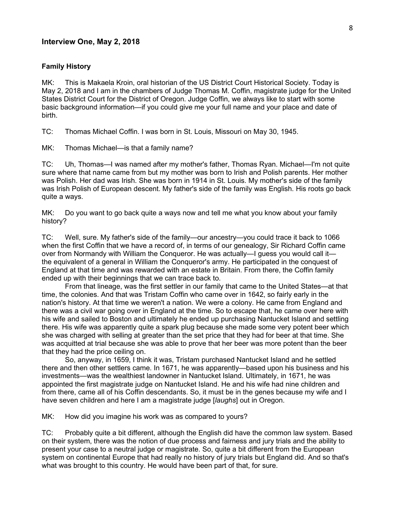# **Interview One, May 2, 2018**

#### **Family History**

MK: This is Makaela Kroin, oral historian of the US District Court Historical Society. Today is May 2, 2018 and I am in the chambers of Judge Thomas M. Coffin, magistrate judge for the United States District Court for the District of Oregon. Judge Coffin, we always like to start with some basic background information—if you could give me your full name and your place and date of birth.

TC: Thomas Michael Coffin. I was born in St. Louis, Missouri on May 30, 1945.

MK: Thomas Michael—is that a family name?

TC: Uh, Thomas—I was named after my mother's father, Thomas Ryan. Michael—I'm not quite sure where that name came from but my mother was born to Irish and Polish parents. Her mother was Polish. Her dad was Irish. She was born in 1914 in St. Louis. My mother's side of the family was Irish Polish of European descent. My father's side of the family was English. His roots go back quite a ways.

MK: Do you want to go back quite a ways now and tell me what you know about your family history?

TC: Well, sure. My father's side of the family—our ancestry—you could trace it back to 1066 when the first Coffin that we have a record of, in terms of our genealogy, Sir Richard Coffin came over from Normandy with William the Conqueror. He was actually—I guess you would call it the equivalent of a general in William the Conqueror's army. He participated in the conquest of England at that time and was rewarded with an estate in Britain. From there, the Coffin family ended up with their beginnings that we can trace back to.

From that lineage, was the first settler in our family that came to the United States—at that time, the colonies. And that was Tristam Coffin who came over in 1642, so fairly early in the nation's history. At that time we weren't a nation. We were a colony. He came from England and there was a civil war going over in England at the time. So to escape that, he came over here with his wife and sailed to Boston and ultimately he ended up purchasing Nantucket Island and settling there. His wife was apparently quite a spark plug because she made some very potent beer which she was charged with selling at greater than the set price that they had for beer at that time. She was acquitted at trial because she was able to prove that her beer was more potent than the beer that they had the price ceiling on.

So, anyway, in 1659, I think it was, Tristam purchased Nantucket Island and he settled there and then other settlers came. In 1671, he was apparently—based upon his business and his investments—was the wealthiest landowner in Nantucket Island. Ultimately, in 1671, he was appointed the first magistrate judge on Nantucket Island. He and his wife had nine children and from there, came all of his Coffin descendants. So, it must be in the genes because my wife and I have seven children and here I am a magistrate judge [*laughs*] out in Oregon.

MK: How did you imagine his work was as compared to yours?

TC: Probably quite a bit different, although the English did have the common law system. Based on their system, there was the notion of due process and fairness and jury trials and the ability to present your case to a neutral judge or magistrate. So, quite a bit different from the European system on continental Europe that had really no history of jury trials but England did. And so that's what was brought to this country. He would have been part of that, for sure.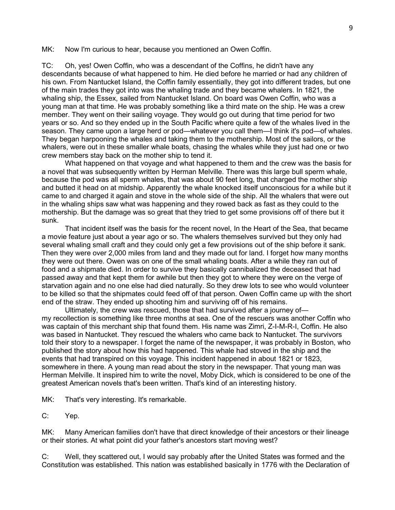MK: Now I'm curious to hear, because you mentioned an Owen Coffin.

TC: Oh, yes! Owen Coffin, who was a descendant of the Coffins, he didn't have any descendants because of what happened to him. He died before he married or had any children of his own. From Nantucket Island, the Coffin family essentially, they got into different trades, but one of the main trades they got into was the whaling trade and they became whalers. In 1821, the whaling ship, the Essex, sailed from Nantucket Island. On board was Owen Coffin, who was a young man at that time. He was probably something like a third mate on the ship. He was a crew member. They went on their sailing voyage. They would go out during that time period for two years or so. And so they ended up in the South Pacific where quite a few of the whales lived in the season. They came upon a large herd or pod—whatever you call them—I think it's pod—of whales. They began harpooning the whales and taking them to the mothership. Most of the sailors, or the whalers, were out in these smaller whale boats, chasing the whales while they just had one or two crew members stay back on the mother ship to tend it.

What happened on that voyage and what happened to them and the crew was the basis for a novel that was subsequently written by Herman Melville. There was this large bull sperm whale, because the pod was all sperm whales, that was about 90 feet long, that charged the mother ship and butted it head on at midship. Apparently the whale knocked itself unconscious for a while but it came to and charged it again and stove in the whole side of the ship. All the whalers that were out in the whaling ships saw what was happening and they rowed back as fast as they could to the mothership. But the damage was so great that they tried to get some provisions off of there but it sunk.

That incident itself was the basis for the recent novel, In the Heart of the Sea, that became a movie feature just about a year ago or so. The whalers themselves survived but they only had several whaling small craft and they could only get a few provisions out of the ship before it sank. Then they were over 2,000 miles from land and they made out for land. I forget how many months they were out there. Owen was on one of the small whaling boats. After a while they ran out of food and a shipmate died. In order to survive they basically cannibalized the deceased that had passed away and that kept them for awhile but then they got to where they were on the verge of starvation again and no one else had died naturally. So they drew lots to see who would volunteer to be killed so that the shipmates could feed off of that person. Owen Coffin came up with the short end of the straw. They ended up shooting him and surviving off of his remains.

Ultimately, the crew was rescued, those that had survived after a journey of my recollection is something like three months at sea. One of the rescuers was another Coffin who was captain of this merchant ship that found them. His name was Zimri, Z-I-M-R-I, Coffin. He also was based in Nantucket. They rescued the whalers who came back to Nantucket. The survivors told their story to a newspaper. I forget the name of the newspaper, it was probably in Boston, who published the story about how this had happened. This whale had stoved in the ship and the events that had transpired on this voyage. This incident happened in about 1821 or 1823, somewhere in there. A young man read about the story in the newspaper. That young man was Herman Melville. It inspired him to write the novel, Moby Dick, which is considered to be one of the greatest American novels that's been written. That's kind of an interesting history.

MK: That's very interesting. It's remarkable.

C: Yep.

MK: Many American families don't have that direct knowledge of their ancestors or their lineage or their stories. At what point did your father's ancestors start moving west?

C: Well, they scattered out, I would say probably after the United States was formed and the Constitution was established. This nation was established basically in 1776 with the Declaration of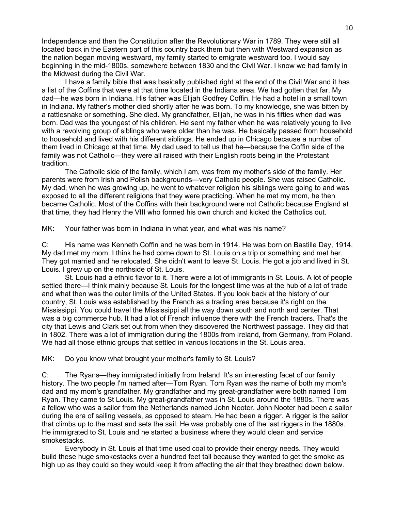Independence and then the Constitution after the Revolutionary War in 1789. They were still all located back in the Eastern part of this country back them but then with Westward expansion as the nation began moving westward, my family started to emigrate westward too. I would say beginning in the mid-1800s, somewhere between 1830 and the Civil War. I know we had family in the Midwest during the Civil War.

I have a family bible that was basically published right at the end of the Civil War and it has a list of the Coffins that were at that time located in the Indiana area. We had gotten that far. My dad—he was born in Indiana. His father was Elijah Godfrey Coffin. He had a hotel in a small town in Indiana. My father's mother died shortly after he was born. To my knowledge, she was bitten by a rattlesnake or something. She died. My grandfather, Elijah, he was in his fifties when dad was born. Dad was the youngest of his children. He sent my father when he was relatively young to live with a revolving group of siblings who were older than he was. He basically passed from household to household and lived with his different siblings. He ended up in Chicago because a number of them lived in Chicago at that time. My dad used to tell us that he—because the Coffin side of the family was not Catholic—they were all raised with their English roots being in the Protestant tradition.

The Catholic side of the family, which I am, was from my mother's side of the family. Her parents were from Irish and Polish backgrounds—very Catholic people. She was raised Catholic. My dad, when he was growing up, he went to whatever religion his siblings were going to and was exposed to all the different religions that they were practicing. When he met my mom, he then became Catholic. Most of the Coffins with their background were not Catholic because England at that time, they had Henry the VIII who formed his own church and kicked the Catholics out.

MK: Your father was born in Indiana in what year, and what was his name?

C: His name was Kenneth Coffin and he was born in 1914. He was born on Bastille Day, 1914. My dad met my mom. I think he had come down to St. Louis on a trip or something and met her. They got married and he relocated. She didn't want to leave St. Louis. He got a job and lived in St. Louis. I grew up on the northside of St. Louis.

St. Louis had a ethnic flavor to it. There were a lot of immigrants in St. Louis. A lot of people settled there—I think mainly because St. Louis for the longest time was at the hub of a lot of trade and what then was the outer limits of the United States. If you look back at the history of our country, St. Louis was established by the French as a trading area because it's right on the Mississippi. You could travel the Mississippi all the way down south and north and center. That was a big commerce hub. It had a lot of French influence there with the French traders. That's the city that Lewis and Clark set out from when they discovered the Northwest passage. They did that in 1802. There was a lot of immigration during the 1800s from Ireland, from Germany, from Poland. We had all those ethnic groups that settled in various locations in the St. Louis area.

MK: Do you know what brought your mother's family to St. Louis?

C: The Ryans—they immigrated initially from Ireland. It's an interesting facet of our family history. The two people I'm named after—Tom Ryan. Tom Ryan was the name of both my mom's dad and my mom's grandfather. My grandfather and my great-grandfather were both named Tom Ryan. They came to St Louis. My great-grandfather was in St. Louis around the 1880s. There was a fellow who was a sailor from the Netherlands named John Nooter. John Nooter had been a sailor during the era of sailing vessels, as opposed to steam. He had been a rigger. A rigger is the sailor that climbs up to the mast and sets the sail. He was probably one of the last riggers in the 1880s. He immigrated to St. Louis and he started a business where they would clean and service smokestacks.

Everybody in St. Louis at that time used coal to provide their energy needs. They would build these huge smokestacks over a hundred feet tall because they wanted to get the smoke as high up as they could so they would keep it from affecting the air that they breathed down below.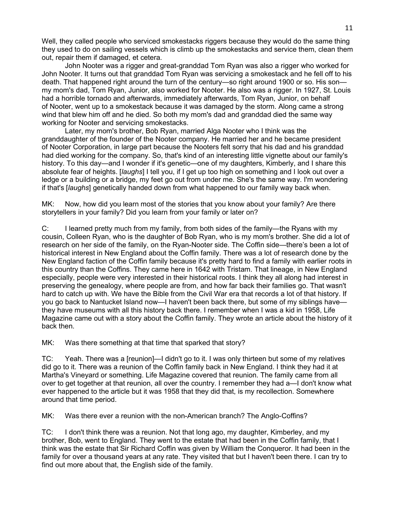Well, they called people who serviced smokestacks riggers because they would do the same thing they used to do on sailing vessels which is climb up the smokestacks and service them, clean them out, repair them if damaged, et cetera.

John Nooter was a rigger and great-granddad Tom Ryan was also a rigger who worked for John Nooter. It turns out that granddad Tom Ryan was servicing a smokestack and he fell off to his death. That happened right around the turn of the century—so right around 1900 or so. His son my mom's dad, Tom Ryan, Junior, also worked for Nooter. He also was a rigger. In 1927, St. Louis had a horrible tornado and afterwards, immediately afterwards, Tom Ryan, Junior, on behalf of Nooter, went up to a smokestack because it was damaged by the storm. Along came a strong wind that blew him off and he died. So both my mom's dad and granddad died the same way working for Nooter and servicing smokestacks.

Later, my mom's brother, Bob Ryan, married Alga Nooter who I think was the granddaughter of the founder of the Nooter company. He married her and he became president of Nooter Corporation, in large part because the Nooters felt sorry that his dad and his granddad had died working for the company. So, that's kind of an interesting little vignette about our family's history. To this day—and I wonder if it's genetic—one of my daughters, Kimberly, and I share this absolute fear of heights. [*laughs*] I tell you, if I get up too high on something and I look out over a ledge or a building or a bridge, my feet go out from under me. She's the same way. I'm wondering if that's [*laughs*] genetically handed down from what happened to our family way back when.

MK: Now, how did you learn most of the stories that you know about your family? Are there storytellers in your family? Did you learn from your family or later on?

C: I learned pretty much from my family, from both sides of the family—the Ryans with my cousin, Colleen Ryan, who is the daughter of Bob Ryan, who is my mom's brother. She did a lot of research on her side of the family, on the Ryan-Nooter side. The Coffin side—there's been a lot of historical interest in New England about the Coffin family. There was a lot of research done by the New England faction of the Coffin family because it's pretty hard to find a family with earlier roots in this country than the Coffins. They came here in 1642 with Tristam. That lineage, in New England especially, people were very interested in their historical roots. I think they all along had interest in preserving the genealogy, where people are from, and how far back their families go. That wasn't hard to catch up with. We have the Bible from the Civil War era that records a lot of that history. If you go back to Nantucket Island now—I haven't been back there, but some of my siblings have they have museums with all this history back there. I remember when I was a kid in 1958, Life Magazine came out with a story about the Coffin family. They wrote an article about the history of it back then.

MK: Was there something at that time that sparked that story?

TC: Yeah. There was a [reunion]—I didn't go to it. I was only thirteen but some of my relatives did go to it. There was a reunion of the Coffin family back in New England. I think they had it at Martha's Vineyard or something. Life Magazine covered that reunion. The family came from all over to get together at that reunion, all over the country. I remember they had a—I don't know what ever happened to the article but it was 1958 that they did that, is my recollection. Somewhere around that time period.

MK: Was there ever a reunion with the non-American branch? The Anglo-Coffins?

TC: I don't think there was a reunion. Not that long ago, my daughter, Kimberley, and my brother, Bob, went to England. They went to the estate that had been in the Coffin family, that I think was the estate that Sir Richard Coffin was given by William the Conqueror. It had been in the family for over a thousand years at any rate. They visited that but I haven't been there. I can try to find out more about that, the English side of the family.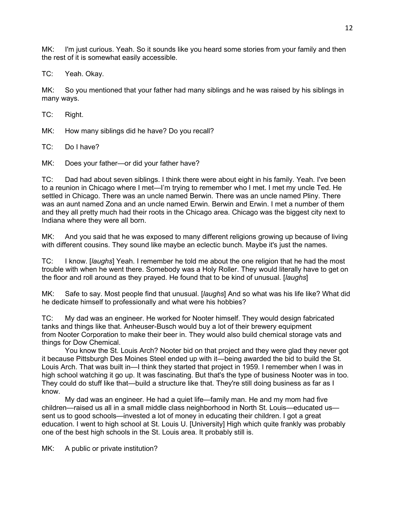MK: I'm just curious. Yeah. So it sounds like you heard some stories from your family and then the rest of it is somewhat easily accessible.

TC: Yeah. Okay.

MK: So you mentioned that your father had many siblings and he was raised by his siblings in many ways.

TC: Right.

MK: How many siblings did he have? Do you recall?

TC: Do I have?

MK: Does your father—or did your father have?

TC: Dad had about seven siblings. I think there were about eight in his family. Yeah. I've been to a reunion in Chicago where I met—I'm trying to remember who I met. I met my uncle Ted. He settled in Chicago. There was an uncle named Berwin. There was an uncle named Pliny. There was an aunt named Zona and an uncle named Erwin. Berwin and Erwin. I met a number of them and they all pretty much had their roots in the Chicago area. Chicago was the biggest city next to Indiana where they were all born.

MK: And you said that he was exposed to many different religions growing up because of living with different cousins. They sound like maybe an eclectic bunch. Maybe it's just the names.

TC: I know. [*laughs*] Yeah. I remember he told me about the one religion that he had the most trouble with when he went there. Somebody was a Holy Roller. They would literally have to get on the floor and roll around as they prayed. He found that to be kind of unusual. [*laughs*]

MK: Safe to say. Most people find that unusual. [*laughs*] And so what was his life like? What did he dedicate himself to professionally and what were his hobbies?

TC: My dad was an engineer. He worked for Nooter himself. They would design fabricated tanks and things like that. Anheuser-Busch would buy a lot of their brewery equipment from Nooter Corporation to make their beer in. They would also build chemical storage vats and things for Dow Chemical.

You know the St. Louis Arch? Nooter bid on that project and they were glad they never got it because Pittsburgh Des Moines Steel ended up with it—being awarded the bid to build the St. Louis Arch. That was built in—I think they started that project in 1959. I remember when I was in high school watching it go up. It was fascinating. But that's the type of business Nooter was in too. They could do stuff like that—build a structure like that. They're still doing business as far as I know.

My dad was an engineer. He had a quiet life—family man. He and my mom had five children—raised us all in a small middle class neighborhood in North St. Louis—educated us sent us to good schools—invested a lot of money in educating their children. I got a great education. I went to high school at St. Louis U. [University] High which quite frankly was probably one of the best high schools in the St. Louis area. It probably still is.

MK: A public or private institution?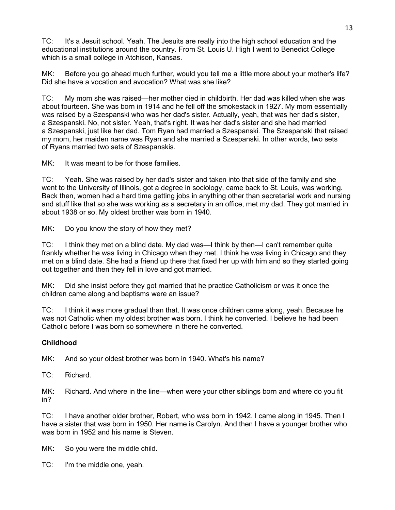TC: It's a Jesuit school. Yeah. The Jesuits are really into the high school education and the educational institutions around the country. From St. Louis U. High I went to Benedict College which is a small college in Atchison, Kansas.

MK: Before you go ahead much further, would you tell me a little more about your mother's life? Did she have a vocation and avocation? What was she like?

TC: My mom she was raised—her mother died in childbirth. Her dad was killed when she was about fourteen. She was born in 1914 and he fell off the smokestack in 1927. My mom essentially was raised by a Szespanski who was her dad's sister. Actually, yeah, that was her dad's sister, a Szespanski. No, not sister. Yeah, that's right. It was her dad's sister and she had married a Szespanski, just like her dad. Tom Ryan had married a Szespanski. The Szespanski that raised my mom, her maiden name was Ryan and she married a Szespanski. In other words, two sets of Ryans married two sets of Szespanskis.

MK: It was meant to be for those families.

TC: Yeah. She was raised by her dad's sister and taken into that side of the family and she went to the University of Illinois, got a degree in sociology, came back to St. Louis, was working. Back then, women had a hard time getting jobs in anything other than secretarial work and nursing and stuff like that so she was working as a secretary in an office, met my dad. They got married in about 1938 or so. My oldest brother was born in 1940.

MK: Do you know the story of how they met?

TC: I think they met on a blind date. My dad was—I think by then—I can't remember quite frankly whether he was living in Chicago when they met. I think he was living in Chicago and they met on a blind date. She had a friend up there that fixed her up with him and so they started going out together and then they fell in love and got married.

MK: Did she insist before they got married that he practice Catholicism or was it once the children came along and baptisms were an issue?

TC: I think it was more gradual than that. It was once children came along, yeah. Because he was not Catholic when my oldest brother was born. I think he converted. I believe he had been Catholic before I was born so somewhere in there he converted.

#### **Childhood**

MK: And so your oldest brother was born in 1940. What's his name?

TC: Richard.

MK: Richard. And where in the line—when were your other siblings born and where do you fit in?

TC: I have another older brother, Robert, who was born in 1942. I came along in 1945. Then I have a sister that was born in 1950. Her name is Carolyn. And then I have a younger brother who was born in 1952 and his name is Steven.

MK: So you were the middle child.

TC: I'm the middle one, yeah.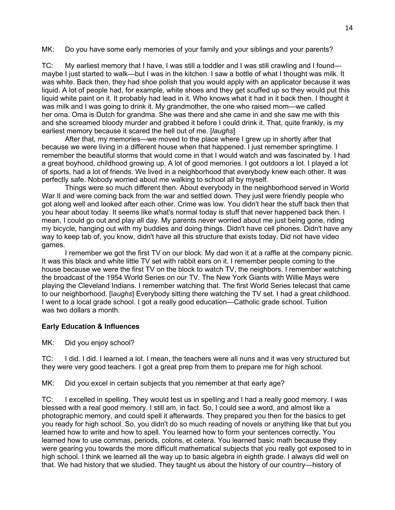MK: Do you have some early memories of your family and your siblings and your parents?

TC: My earliest memory that I have, I was still a toddler and I was still crawling and I found maybe I just started to walk—but I was in the kitchen. I saw a bottle of what I thought was milk. It was white. Back then, they had shoe polish that you would apply with an applicator because it was liquid. A lot of people had, for example, white shoes and they get scuffed up so they would put this liquid white paint on it. It probably had lead in it. Who knows what it had in it back then. I thought it was milk and I was going to drink it. My grandmother, the one who raised mom—we called her oma. Oma is Dutch for grandma. She was there and she came in and she saw me with this and she screamed bloody murder and grabbed it before I could drink it. That, quite frankly, is my earliest memory because it scared the hell out of me. [*laughs*]

After that, my memories—we moved to the place where I grew up in shortly after that because we were living in a different house when that happened. I just remember springtime. I remember the beautiful storms that would come in that I would watch and was fascinated by. I had a great boyhood, childhood growing up. A lot of good memories. I got outdoors a lot. I played a lot of sports, had a lot of friends. We lived in a neighborhood that everybody knew each other. It was perfectly safe. Nobody worried about me walking to school all by myself.

Things were so much different then. About everybody in the neighborhood served in World War II and were coming back from the war and settled down. They just were friendly people who got along well and looked after each other. Crime was low. You didn't hear the stuff back then that you hear about today. It seems like what's normal today is stuff that never happened back then. I mean, I could go out and play all day. My parents never worried about me just being gone, riding my bicycle, hanging out with my buddies and doing things. Didn't have cell phones. Didn't have any way to keep tab of, you know, didn't have all this structure that exists today. Did not have video games.

I remember we got the first TV on our block. My dad won it at a raffle at the company picnic. It was this black and white little TV set with rabbit ears on it. I remember people coming to the house because we were the first TV on the block to watch TV, the neighbors. I remember watching the broadcast of the 1954 World Series on our TV. The New York Giants with Willie Mays were playing the Cleveland Indians. I remember watching that. The first World Series telecast that came to our neighborhood. [l*aughs*] Everybody sitting there watching the TV set. I had a great childhood. I went to a local grade school. I got a really good education—Catholic grade school. Tuition was two dollars a month.

#### **Early Education & Influences**

MK: Did you enjoy school?

TC: I did. I did. I learned a lot. I mean, the teachers were all nuns and it was very structured but they were very good teachers. I got a great prep from them to prepare me for high school.

MK: Did you excel in certain subjects that you remember at that early age?

TC: I excelled in spelling. They would test us in spelling and I had a really good memory. I was blessed with a real good memory. I still am, in fact. So, I could see a word, and almost like a photographic memory, and could spell it afterwards. They prepared you then for the basics to get you ready for high school. So, you didn't do so much reading of novels or anything like that but you learned how to write and how to spell. You learned how to form your sentences correctly. You learned how to use commas, periods, colons, et cetera. You learned basic math because they were gearing you towards the more difficult mathematical subjects that you really got exposed to in high school. I think we learned all the way up to basic algebra in eighth grade. I always did well on that. We had history that we studied. They taught us about the history of our country—history of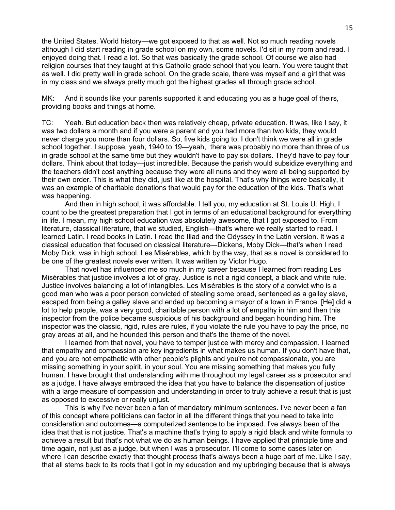the United States. World history—we got exposed to that as well. Not so much reading novels although I did start reading in grade school on my own, some novels. I'd sit in my room and read. I enjoyed doing that. I read a lot. So that was basically the grade school. Of course we also had religion courses that they taught at this Catholic grade school that you learn. You were taught that as well. I did pretty well in grade school. On the grade scale, there was myself and a girl that was in my class and we always pretty much got the highest grades all through grade school.

MK: And it sounds like your parents supported it and educating you as a huge goal of theirs, providing books and things at home.

TC: Yeah. But education back then was relatively cheap, private education. It was, like I say, it was two dollars a month and if you were a parent and you had more than two kids, they would never charge you more than four dollars. So, five kids going to, I don't think we were all in grade school together. I suppose, yeah, 1940 to 19—yeah, there was probably no more than three of us in grade school at the same time but they wouldn't have to pay six dollars. They'd have to pay four dollars. Think about that today—just incredible. Because the parish would subsidize everything and the teachers didn't cost anything because they were all nuns and they were all being supported by their own order. This is what they did, just like at the hospital. That's why things were basically, it was an example of charitable donations that would pay for the education of the kids. That's what was happening.

And then in high school, it was affordable. I tell you, my education at St. Louis U. High, I count to be the greatest preparation that I got in terms of an educational background for everything in life. I mean, my high school education was absolutely awesome, that I got exposed to. From literature, classical literature, that we studied, English—that's where we really started to read. I learned Latin. I read books in Latin. I read the Iliad and the Odyssey in the Latin version. It was a classical education that focused on classical literature—Dickens, Moby Dick—that's when I read Moby Dick, was in high school. Les Misérables, which by the way, that as a novel is considered to be one of the greatest novels ever written. It was written by Victor Hugo.

That novel has influenced me so much in my career because I learned from reading Les Misérables that justice involves a lot of gray. Justice is not a rigid concept, a black and white rule. Justice involves balancing a lot of intangibles. Les Misérables is the story of a convict who is a good man who was a poor person convicted of stealing some bread, sentenced as a galley slave, escaped from being a galley slave and ended up becoming a mayor of a town in France. [He] did a lot to help people, was a very good, charitable person with a lot of empathy in him and then this inspector from the police became suspicious of his background and began hounding him. The inspector was the classic, rigid, rules are rules, if you violate the rule you have to pay the price, no gray areas at all, and he hounded this person and that's the theme of the novel.

I learned from that novel, you have to temper justice with mercy and compassion. I learned that empathy and compassion are key ingredients in what makes us human. If you don't have that, and you are not empathetic with other people's plights and you're not compassionate, you are missing something in your spirit, in your soul. You are missing something that makes you fully human. I have brought that understanding with me throughout my legal career as a prosecutor and as a judge. I have always embraced the idea that you have to balance the dispensation of justice with a large measure of compassion and understanding in order to truly achieve a result that is just as opposed to excessive or really unjust.

This is why I've never been a fan of mandatory minimum sentences. I've never been a fan of this concept where politicians can factor in all the different things that you need to take into consideration and outcomes—a computerized sentence to be imposed. I've always been of the idea that that is not justice. That's a machine that's trying to apply a rigid black and white formula to achieve a result but that's not what we do as human beings. I have applied that principle time and time again, not just as a judge, but when I was a prosecutor. I'll come to some cases later on where I can describe exactly that thought process that's always been a huge part of me. Like I say, that all stems back to its roots that I got in my education and my upbringing because that is always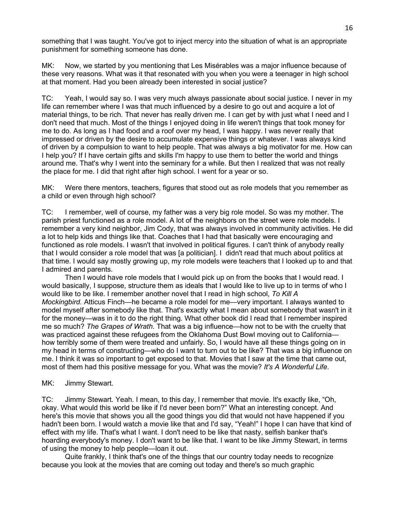something that I was taught. You've got to inject mercy into the situation of what is an appropriate punishment for something someone has done.

MK: Now, we started by you mentioning that Les Misérables was a major influence because of these very reasons. What was it that resonated with you when you were a teenager in high school at that moment. Had you been already been interested in social justice?

TC: Yeah, I would say so. I was very much always passionate about social justice. I never in my life can remember where I was that much influenced by a desire to go out and acquire a lot of material things, to be rich. That never has really driven me. I can get by with just what I need and I don't need that much. Most of the things I enjoyed doing in life weren't things that took money for me to do. As long as I had food and a roof over my head, I was happy. I was never really that impressed or driven by the desire to accumulate expensive things or whatever. I was always kind of driven by a compulsion to want to help people. That was always a big motivator for me. How can I help you? If I have certain gifts and skills I'm happy to use them to better the world and things around me. That's why I went into the seminary for a while. But then I realized that was not really the place for me. I did that right after high school. I went for a year or so.

MK: Were there mentors, teachers, figures that stood out as role models that you remember as a child or even through high school?

TC: I remember, well of course, my father was a very big role model. So was my mother. The parish priest functioned as a role model. A lot of the neighbors on the street were role models. I remember a very kind neighbor, Jim Cody, that was always involved in community activities. He did a lot to help kids and things like that. Coaches that I had that basically were encouraging and functioned as role models. I wasn't that involved in political figures. I can't think of anybody really that I would consider a role model that was [a politician]. I didn't read that much about politics at that time. I would say mostly growing up, my role models were teachers that I looked up to and that I admired and parents.

Then I would have role models that I would pick up on from the books that I would read. I would basically, I suppose, structure them as ideals that I would like to live up to in terms of who I would like to be like. I remember another novel that I read in high school, *To Kill A Mockingbird.* Atticus Finch—he became a role model for me—very important. I always wanted to model myself after somebody like that. That's exactly what I mean about somebody that wasn't in it for the money—was in it to do the right thing. What other book did I read that I remember inspired me so much? *The Grapes of Wrath*. That was a big influence—how not to be with the cruelty that was practiced against these refugees from the Oklahoma Dust Bowl moving out to California how terribly some of them were treated and unfairly. So, I would have all these things going on in my head in terms of constructing—who do I want to turn out to be like? That was a big influence on me. I think it was so important to get exposed to that. Movies that I saw at the time that came out, most of them had this positive message for you. What was the movie? *It's A Wonderful Life*.

# MK: Jimmy Stewart.

TC: Jimmy Stewart. Yeah. I mean, to this day, I remember that movie. It's exactly like, "Oh, okay. What would this world be like if I'd never been born?" What an interesting concept. And here's this movie that shows you all the good things you did that would not have happened if you hadn't been born. I would watch a movie like that and I'd say, "Yeah!" I hope I can have that kind of effect with my life. That's what I want. I don't need to be like that nasty, selfish banker that's hoarding everybody's money. I don't want to be like that. I want to be like Jimmy Stewart, in terms of using the money to help people—loan it out.

Quite frankly, I think that's one of the things that our country today needs to recognize because you look at the movies that are coming out today and there's so much graphic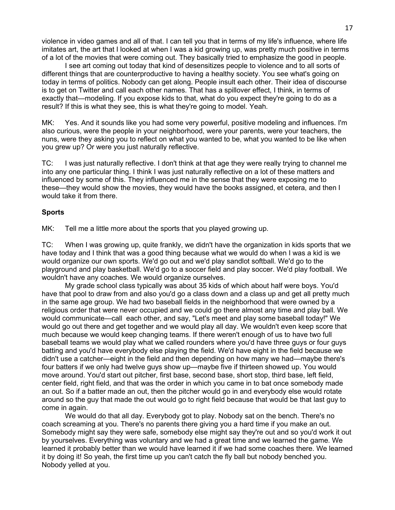violence in video games and all of that. I can tell you that in terms of my life's influence, where life imitates art, the art that I looked at when I was a kid growing up, was pretty much positive in terms of a lot of the movies that were coming out. They basically tried to emphasize the good in people.

I see art coming out today that kind of desensitizes people to violence and to all sorts of different things that are counterproductive to having a healthy society. You see what's going on today in terms of politics. Nobody can get along. People insult each other. Their idea of discourse is to get on Twitter and call each other names. That has a spillover effect, I think, in terms of exactly that—modeling. If you expose kids to that, what do you expect they're going to do as a result? If this is what they see, this is what they're going to model. Yeah.

MK: Yes. And it sounds like you had some very powerful, positive modeling and influences. I'm also curious, were the people in your neighborhood, were your parents, were your teachers, the nuns, were they asking you to reflect on what you wanted to be, what you wanted to be like when you grew up? Or were you just naturally reflective.

TC: I was just naturally reflective. I don't think at that age they were really trying to channel me into any one particular thing. I think I was just naturally reflective on a lot of these matters and influenced by some of this. They influenced me in the sense that they were exposing me to these—they would show the movies, they would have the books assigned, et cetera, and then I would take it from there.

#### **Sports**

MK: Tell me a little more about the sports that you played growing up.

TC: When I was growing up, quite frankly, we didn't have the organization in kids sports that we have today and I think that was a good thing because what we would do when I was a kid is we would organize our own sports. We'd go out and we'd play sandlot softball. We'd go to the playground and play basketball. We'd go to a soccer field and play soccer. We'd play football. We wouldn't have any coaches. We would organize ourselves.

My grade school class typically was about 35 kids of which about half were boys. You'd have that pool to draw from and also you'd go a class down and a class up and get all pretty much in the same age group. We had two baseball fields in the neighborhood that were owned by a religious order that were never occupied and we could go there almost any time and play ball. We would communicate—call each other, and say, "Let's meet and play some baseball today!" We would go out there and get together and we would play all day. We wouldn't even keep score that much because we would keep changing teams. If there weren't enough of us to have two full baseball teams we would play what we called rounders where you'd have three guys or four guys batting and you'd have everybody else playing the field. We'd have eight in the field because we didn't use a catcher—eight in the field and then depending on how many we had—maybe there's four batters if we only had twelve guys show up—maybe five if thirteen showed up. You would move around. You'd start out pitcher, first base, second base, short stop, third base, left field, center field, right field, and that was the order in which you came in to bat once somebody made an out. So if a batter made an out, then the pitcher would go in and everybody else would rotate around so the guy that made the out would go to right field because that would be that last guy to come in again.

We would do that all day. Everybody got to play. Nobody sat on the bench. There's no coach screaming at you. There's no parents there giving you a hard time if you make an out. Somebody might say they were safe, somebody else might say they're out and so you'd work it out by yourselves. Everything was voluntary and we had a great time and we learned the game. We learned it probably better than we would have learned it if we had some coaches there. We learned it by doing it! So yeah, the first time up you can't catch the fly ball but nobody benched you. Nobody yelled at you.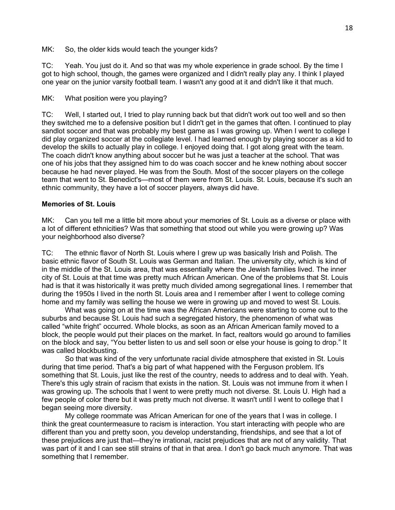MK: So, the older kids would teach the younger kids?

TC: Yeah. You just do it. And so that was my whole experience in grade school. By the time I got to high school, though, the games were organized and I didn't really play any. I think I played one year on the junior varsity football team. I wasn't any good at it and didn't like it that much.

MK: What position were you playing?

TC: Well, I started out, I tried to play running back but that didn't work out too well and so then they switched me to a defensive position but I didn't get in the games that often. I continued to play sandlot soccer and that was probably my best game as I was growing up. When I went to college I did play organized soccer at the collegiate level. I had learned enough by playing soccer as a kid to develop the skills to actually play in college. I enjoyed doing that. I got along great with the team. The coach didn't know anything about soccer but he was just a teacher at the school. That was one of his jobs that they assigned him to do was coach soccer and he knew nothing about soccer because he had never played. He was from the South. Most of the soccer players on the college team that went to St. Benedict's—most of them were from St. Louis. St. Louis, because it's such an ethnic community, they have a lot of soccer players, always did have.

#### **Memories of St. Louis**

MK: Can you tell me a little bit more about your memories of St. Louis as a diverse or place with a lot of different ethnicities? Was that something that stood out while you were growing up? Was your neighborhood also diverse?

TC: The ethnic flavor of North St. Louis where I grew up was basically Irish and Polish. The basic ethnic flavor of South St. Louis was German and Italian. The university city, which is kind of in the middle of the St. Louis area, that was essentially where the Jewish families lived. The inner city of St. Louis at that time was pretty much African American. One of the problems that St. Louis had is that it was historically it was pretty much divided among segregational lines. I remember that during the 1950s I lived in the north St. Louis area and I remember after I went to college coming home and my family was selling the house we were in growing up and moved to west St. Louis.

What was going on at the time was the African Americans were starting to come out to the suburbs and because St. Louis had such a segregated history, the phenomenon of what was called "white fright" occurred. Whole blocks, as soon as an African American family moved to a block, the people would put their places on the market. In fact, realtors would go around to families on the block and say, "You better listen to us and sell soon or else your house is going to drop." It was called blockbusting.

So that was kind of the very unfortunate racial divide atmosphere that existed in St. Louis during that time period. That's a big part of what happened with the Ferguson problem. It's something that St. Louis, just like the rest of the country, needs to address and to deal with. Yeah. There's this ugly strain of racism that exists in the nation. St. Louis was not immune from it when I was growing up. The schools that I went to were pretty much not diverse. St. Louis U. High had a few people of color there but it was pretty much not diverse. It wasn't until I went to college that I began seeing more diversity.

My college roommate was African American for one of the years that I was in college. I think the great countermeasure to racism is interaction. You start interacting with people who are different than you and pretty soon, you develop understanding, friendships, and see that a lot of these prejudices are just that—they're irrational, racist prejudices that are not of any validity. That was part of it and I can see still strains of that in that area. I don't go back much anymore. That was something that I remember.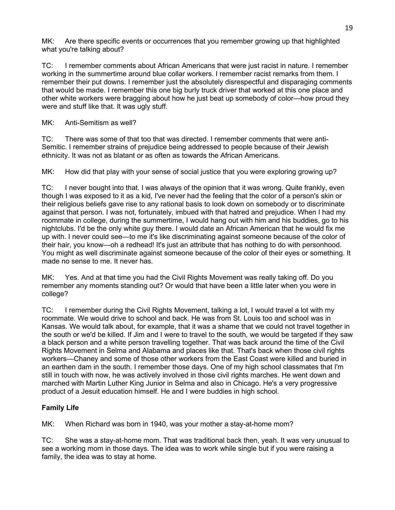MK: Are there specific events or occurrences that you remember growing up that highlighted what you're talking about?

TC: I remember comments about African Americans that were just racist in nature. I remember working in the summertime around blue collar workers. I remember racist remarks from them. I remember their put downs. I remember just the absolutely disrespectful and disparaging comments that would be made. I remember this one big burly truck driver that worked at this one place and other white workers were bragging about how he just beat up somebody of color—how proud they were and stuff like that. It was ugly stuff.

MK: Anti-Semitism as well?

TC: There was some of that too that was directed. I remember comments that were anti-Semitic. I remember strains of prejudice being addressed to people because of their Jewish ethnicity. It was not as blatant or as often as towards the African Americans.

MK: How did that play with your sense of social justice that you were exploring growing up?

TC: I never bought into that. I was always of the opinion that it was wrong. Quite frankly, even though I was exposed to it as a kid, I've never had the feeling that the color of a person's skin or their religious beliefs gave rise to any rational basis to look down on somebody or to discriminate against that person. I was not, fortunately, imbued with that hatred and prejudice. When I had my roommate in college, during the summertime, I would hang out with him and his buddies, go to his nightclubs. I'd be the only white guy there. I would date an African American that he would fix me up with. I never could see—to me it's like discriminating against someone because of the color of their hair, you know—oh a redhead! It's just an attribute that has nothing to do with personhood. You might as well discriminate against someone because of the color of their eyes or something. It made no sense to me. It never has.

MK: Yes. And at that time you had the Civil Rights Movement was really taking off. Do you remember any moments standing out? Or would that have been a little later when you were in college?

TC: I remember during the Civil Rights Movement, talking a lot, I would travel a lot with my roommate. We would drive to school and back. He was from St. Louis too and school was in Kansas. We would talk about, for example, that it was a shame that we could not travel together in the south or we'd be killed. If Jim and I were to travel to the south, we would be targeted if they saw a black person and a white person travelling together. That was back around the time of the Civil Rights Movement in Selma and Alabama and places like that. That's back when those civil rights workers—Chaney and some of those other workers from the East Coast were killed and buried in an earthen dam in the south. I remember those days. One of my high school classmates that I'm still in touch with now, he was actively involved in those civil rights marches. He went down and marched with Martin Luther King Junior in Selma and also in Chicago. He's a very progressive product of a Jesuit education himself. He and I were buddies in high school.

# **Family Life**

MK: When Richard was born in 1940, was your mother a stay-at-home mom?

TC: She was a stay-at-home mom. That was traditional back then, yeah. It was very unusual to see a working mom in those days. The idea was to work while single but if you were raising a family, the idea was to stay at home.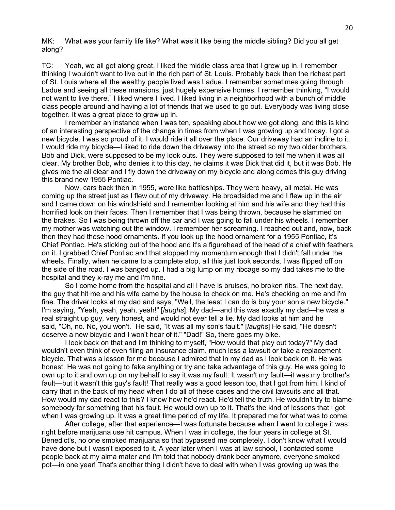MK: What was your family life like? What was it like being the middle sibling? Did you all get along?

TC: Yeah, we all got along great. I liked the middle class area that I grew up in. I remember thinking I wouldn't want to live out in the rich part of St. Louis. Probably back then the richest part of St. Louis where all the wealthy people lived was Ladue. I remember sometimes going through Ladue and seeing all these mansions, just hugely expensive homes. I remember thinking, "I would not want to live there." I liked where I lived. I liked living in a neighborhood with a bunch of middle class people around and having a lot of friends that we used to go out. Everybody was living close together. It was a great place to grow up in.

I remember an instance when I was ten, speaking about how we got along, and this is kind of an interesting perspective of the change in times from when I was growing up and today. I got a new bicycle. I was so proud of it. I would ride it all over the place. Our driveway had an incline to it. I would ride my bicycle—I liked to ride down the driveway into the street so my two older brothers, Bob and Dick, were supposed to be my look outs. They were supposed to tell me when it was all clear. My brother Bob, who denies it to this day, he claims it was Dick that did it, but it was Bob. He gives me the all clear and I fly down the driveway on my bicycle and along comes this guy driving this brand new 1955 Pontiac.

Now, cars back then in 1955, were like battleships. They were heavy, all metal. He was coming up the street just as I flew out of my driveway. He broadsided me and I flew up in the air and I came down on his windshield and I remember looking at him and his wife and they had this horrified look on their faces. Then I remember that I was being thrown, because he slammed on the brakes. So I was being thrown off the car and I was going to fall under his wheels. I remember my mother was watching out the window. I remember her screaming. I reached out and, now, back then they had these hood ornaments. If you look up the hood ornament for a 1955 Pontiac, it's Chief Pontiac. He's sticking out of the hood and it's a figurehead of the head of a chief with feathers on it. I grabbed Chief Pontiac and that stopped my momentum enough that I didn't fall under the wheels. Finally, when he came to a complete stop, all this just took seconds, I was flipped off on the side of the road. I was banged up. I had a big lump on my ribcage so my dad takes me to the hospital and they x-ray me and I'm fine.

So I come home from the hospital and all I have is bruises, no broken ribs. The next day, the guy that hit me and his wife came by the house to check on me. He's checking on me and I'm fine. The driver looks at my dad and says, "Well, the least I can do is buy your son a new bicycle." I'm saying, "Yeah, yeah, yeah, yeah!" [*laughs*]. My dad—and this was exactly my dad—he was a real straight up guy, very honest, and would not ever tell a lie. My dad looks at him and he said, "Oh, no. No, you won't." He said, "It was all my son's fault." [*laughs*] He said, "He doesn't deserve a new bicycle and I won't hear of it." "Dad!" So, there goes my bike.

I look back on that and I'm thinking to myself, "How would that play out today?" My dad wouldn't even think of even filing an insurance claim, much less a lawsuit or take a replacement bicycle. That was a lesson for me because I admired that in my dad as I look back on it. He was honest. He was not going to fake anything or try and take advantage of this guy. He was going to own up to it and own up on my behalf to say it was my fault. It wasn't my fault—it was my brother's fault—but it wasn't this guy's fault! That really was a good lesson too, that I got from him. I kind of carry that in the back of my head when I do all of these cases and the civil lawsuits and all that. How would my dad react to this? I know how he'd react. He'd tell the truth. He wouldn't try to blame somebody for something that his fault. He would own up to it. That's the kind of lessons that I got when I was growing up. It was a great time period of my life. It prepared me for what was to come.

After college, after that experience—I was fortunate because when I went to college it was right before marijuana use hit campus. When I was in college, the four years in college at St. Benedict's, no one smoked marijuana so that bypassed me completely. I don't know what I would have done but I wasn't exposed to it. A year later when I was at law school, I contacted some people back at my alma mater and I'm told that nobody drank beer anymore, everyone smoked pot—in one year! That's another thing I didn't have to deal with when I was growing up was the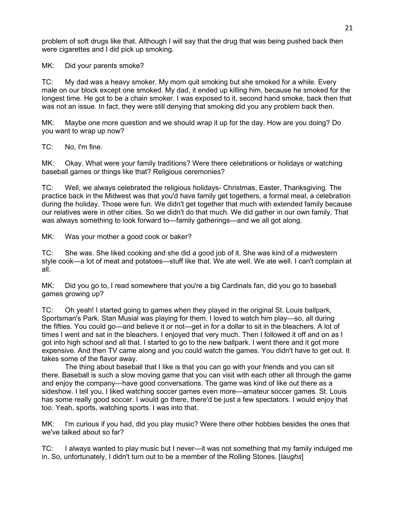problem of soft drugs like that. Although I will say that the drug that was being pushed back then were cigarettes and I did pick up smoking.

MK: Did your parents smoke?

TC: My dad was a heavy smoker. My mom quit smoking but she smoked for a while. Every male on our block except one smoked. My dad, it ended up killing him, because he smoked for the longest time. He got to be a chain smoker. I was exposed to it, second hand smoke, back then that was not an issue. In fact, they were still denying that smoking did you any problem back then.

MK: Maybe one more question and we should wrap it up for the day. How are you doing? Do you want to wrap up now?

TC: No, I'm fine.

MK: Okay. What were your family traditions? Were there celebrations or holidays or watching baseball games or things like that? Religious ceremonies?

TC: Well, we always celebrated the religious holidays- Christmas, Easter, Thanksgiving. The practice back in the Midwest was that you'd have family get togethers, a formal meal, a celebration during the holiday. Those were fun. We didn't get together that much with extended family because our relatives were in other cities. So we didn't do that much. We did gather in our own family. That was always something to look forward to—family gatherings—and we all got along.

MK: Was your mother a good cook or baker?

TC: She was. She liked cooking and she did a good job of it. She was kind of a midwestern style cook—a lot of meat and potatoes—stuff like that. We ate well. We ate well. I can't complain at all.

MK: Did you go to, I read somewhere that you're a big Cardinals fan, did you go to baseball games growing up?

TC: Oh yeah! I started going to games when they played in the original St. Louis ballpark, Sportsman's Park. Stan Musial was playing for them. I loved to watch him play—so, all during the fifties. You could go—and believe it or not—get in for a dollar to sit in the bleachers. A lot of times I went and sat in the bleachers. I enjoyed that very much. Then I followed it off and on as I got into high school and all that. I started to go to the new ballpark. I went there and it got more expensive. And then TV came along and you could watch the games. You didn't have to get out. It takes some of the flavor away.

The thing about baseball that I like is that you can go with your friends and you can sit there. Baseball is such a slow moving game that you can visit with each other all through the game and enjoy the company—have good conversations. The game was kind of like out there as a sideshow. I tell you, I liked watching soccer games even more—amateur soccer games. St. Louis has some really good soccer. I would go there, there'd be just a few spectators. I would enjoy that too. Yeah, sports, watching sports. I was into that.

MK: I'm curious if you had, did you play music? Were there other hobbies besides the ones that we've talked about so far?

TC: I always wanted to play music but I never—it was not something that my family indulged me in. So, unfortunately, I didn't turn out to be a member of the Rolling Stones. [*laughs*]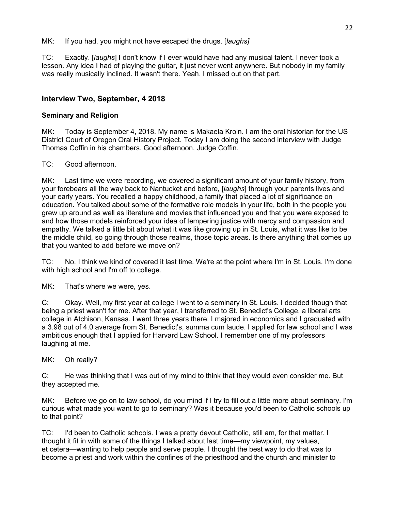MK: If you had, you might not have escaped the drugs. [*laughs]*

TC: Exactly. [*laughs*] I don't know if I ever would have had any musical talent. I never took a lesson. Any idea I had of playing the guitar, it just never went anywhere. But nobody in my family was really musically inclined. It wasn't there. Yeah. I missed out on that part.

# **Interview Two, September, 4 2018**

# **Seminary and Religion**

MK: Today is September 4, 2018. My name is Makaela Kroin. I am the oral historian for the US District Court of Oregon Oral History Project. Today I am doing the second interview with Judge Thomas Coffin in his chambers. Good afternoon, Judge Coffin.

TC: Good afternoon.

MK: Last time we were recording, we covered a significant amount of your family history, from your forebears all the way back to Nantucket and before, [*laughs*] through your parents lives and your early years. You recalled a happy childhood, a family that placed a lot of significance on education. You talked about some of the formative role models in your life, both in the people you grew up around as well as literature and movies that influenced you and that you were exposed to and how those models reinforced your idea of tempering justice with mercy and compassion and empathy. We talked a little bit about what it was like growing up in St. Louis, what it was like to be the middle child, so going through those realms, those topic areas. Is there anything that comes up that you wanted to add before we move on?

TC: No. I think we kind of covered it last time. We're at the point where I'm in St. Louis, I'm done with high school and I'm off to college.

MK: That's where we were, yes.

C: Okay. Well, my first year at college I went to a seminary in St. Louis. I decided though that being a priest wasn't for me. After that year, I transferred to St. Benedict's College, a liberal arts college in Atchison, Kansas. I went three years there. I majored in economics and I graduated with a 3.98 out of 4.0 average from St. Benedict's, summa cum laude. I applied for law school and I was ambitious enough that I applied for Harvard Law School. I remember one of my professors laughing at me.

MK: Oh really?

C: He was thinking that I was out of my mind to think that they would even consider me. But they accepted me.

MK: Before we go on to law school, do you mind if I try to fill out a little more about seminary. I'm curious what made you want to go to seminary? Was it because you'd been to Catholic schools up to that point?

TC: I'd been to Catholic schools. I was a pretty devout Catholic, still am, for that matter. I thought it fit in with some of the things I talked about last time—my viewpoint, my values, et cetera—wanting to help people and serve people. I thought the best way to do that was to become a priest and work within the confines of the priesthood and the church and minister to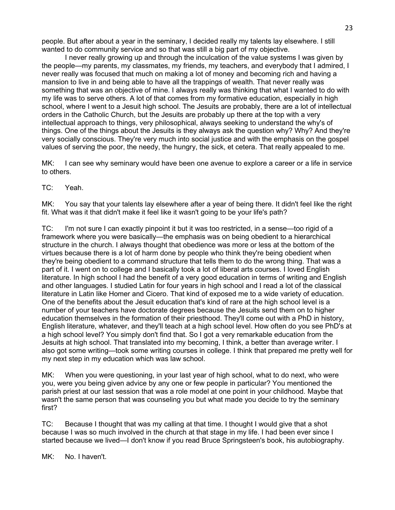people. But after about a year in the seminary, I decided really my talents lay elsewhere. I still wanted to do community service and so that was still a big part of my objective.

I never really growing up and through the inculcation of the value systems I was given by the people—my parents, my classmates, my friends, my teachers, and everybody that I admired, I never really was focused that much on making a lot of money and becoming rich and having a mansion to live in and being able to have all the trappings of wealth. That never really was something that was an objective of mine. I always really was thinking that what I wanted to do with my life was to serve others. A lot of that comes from my formative education, especially in high school, where I went to a Jesuit high school. The Jesuits are probably, there are a lot of intellectual orders in the Catholic Church, but the Jesuits are probably up there at the top with a very intellectual approach to things, very philosophical, always seeking to understand the why's of things. One of the things about the Jesuits is they always ask the question why? Why? And they're very socially conscious. They're very much into social justice and with the emphasis on the gospel values of serving the poor, the needy, the hungry, the sick, et cetera. That really appealed to me.

MK: I can see why seminary would have been one avenue to explore a career or a life in service to others.

TC: Yeah.

MK: You say that your talents lay elsewhere after a year of being there. It didn't feel like the right fit. What was it that didn't make it feel like it wasn't going to be your life's path?

TC: I'm not sure I can exactly pinpoint it but it was too restricted, in a sense—too rigid of a framework where you were basically—the emphasis was on being obedient to a hierarchical structure in the church. I always thought that obedience was more or less at the bottom of the virtues because there is a lot of harm done by people who think they're being obedient when they're being obedient to a command structure that tells them to do the wrong thing. That was a part of it. I went on to college and I basically took a lot of liberal arts courses. I loved English literature. In high school I had the benefit of a very good education in terms of writing and English and other languages. I studied Latin for four years in high school and I read a lot of the classical literature in Latin like Homer and Cicero. That kind of exposed me to a wide variety of education. One of the benefits about the Jesuit education that's kind of rare at the high school level is a number of your teachers have doctorate degrees because the Jesuits send them on to higher education themselves in the formation of their priesthood. They'll come out with a PhD in history, English literature, whatever, and they'll teach at a high school level. How often do you see PhD's at a high school level? You simply don't find that. So I got a very remarkable education from the Jesuits at high school. That translated into my becoming, I think, a better than average writer. I also got some writing—took some writing courses in college. I think that prepared me pretty well for my next step in my education which was law school.

MK: When you were questioning, in your last year of high school, what to do next, who were you, were you being given advice by any one or few people in particular? You mentioned the parish priest at our last session that was a role model at one point in your childhood. Maybe that wasn't the same person that was counseling you but what made you decide to try the seminary first?

TC: Because I thought that was my calling at that time. I thought I would give that a shot because I was so much involved in the church at that stage in my life. I had been ever since I started because we lived—I don't know if you read Bruce Springsteen's book, his autobiography.

MK: No. I haven't.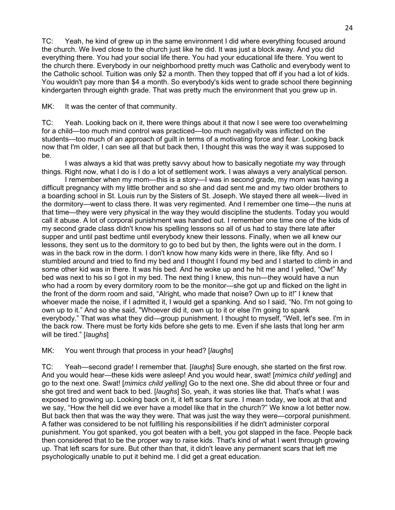TC: Yeah, he kind of grew up in the same environment I did where everything focused around the church. We lived close to the church just like he did. It was just a block away. And you did everything there. You had your social life there. You had your educational life there. You went to the church there. Everybody in our neighborhood pretty much was Catholic and everybody went to the Catholic school. Tuition was only \$2 a month. Then they topped that off if you had a lot of kids. You wouldn't pay more than \$4 a month. So everybody's kids went to grade school there beginning kindergarten through eighth grade. That was pretty much the environment that you grew up in.

MK: It was the center of that community.

TC: Yeah. Looking back on it, there were things about it that now I see were too overwhelming for a child—too much mind control was practiced—too much negativity was inflicted on the students—too much of an approach of guilt in terms of a motivating force and fear. Looking back now that I'm older, I can see all that but back then, I thought this was the way it was supposed to be.

I was always a kid that was pretty savvy about how to basically negotiate my way through things. Right now, what I do is I do a lot of settlement work. I was always a very analytical person.

I remember when my mom—this is a story—I was in second grade, my mom was having a difficult pregnancy with my little brother and so she and dad sent me and my two older brothers to a boarding school in St. Louis run by the Sisters of St. Joseph. We stayed there all week—lived in the dormitory—went to class there. It was very regimented. And I remember one time—the nuns at that time—they were very physical in the way they would discipline the students. Today you would call it abuse. A lot of corporal punishment was handed out. I remember one time one of the kids of my second grade class didn't know his spelling lessons so all of us had to stay there late after supper and until past bedtime until everybody knew their lessons. Finally, when we all knew our lessons, they sent us to the dormitory to go to bed but by then, the lights were out in the dorm. I was in the back row in the dorm. I don't know how many kids were in there, like fifty. And so I stumbled around and tried to find my bed and I thought I found my bed and I started to climb in and some other kid was in there. It was his bed. And he woke up and he hit me and I yelled, "Ow!" My bed was next to his so I got in my bed. The next thing I knew, this nun—they would have a nun who had a room by every dormitory room to be the monitor—she got up and flicked on the light in the front of the dorm room and said, "Alright, who made that noise? Own up to it!" I knew that whoever made the noise, if I admitted it, I would get a spanking. And so I said, "No. I'm not going to own up to it." And so she said, "Whoever did it, own up to it or else I'm going to spank everybody." That was what they did—group punishment. I thought to myself, "Well, let's see. I'm in the back row. There must be forty kids before she gets to me. Even if she lasts that long her arm will be tired." [*laughs*]

MK: You went through that process in your head? [*laughs*]

TC: Yeah—second grade! I remember that. [*laughs*] Sure enough, she started on the first row. And you would hear—these kids were asleep! And you would hear, swat! [*mimics child yelling*] and go to the next one. Swat! [*mimics child yelling*] Go to the next one. She did about three or four and she got tired and went back to bed. [*laughs*] So, yeah, it was stories like that. That's what I was exposed to growing up. Looking back on it, it left scars for sure. I mean today, we look at that and we say, "How the hell did we ever have a model like that in the church?" We know a lot better now. But back then that was the way they were. That was just the way they were—corporal punishment. A father was considered to be not fulfilling his responsibilities if he didn't administer corporal punishment. You got spanked, you got beaten with a belt, you got slapped in the face. People back then considered that to be the proper way to raise kids. That's kind of what I went through growing up. That left scars for sure. But other than that, it didn't leave any permanent scars that left me psychologically unable to put it behind me. I did get a great education.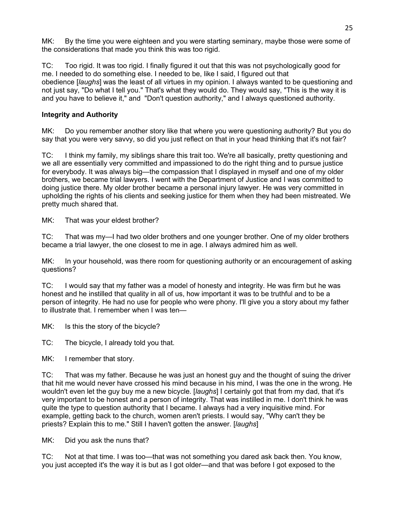MK: By the time you were eighteen and you were starting seminary, maybe those were some of the considerations that made you think this was too rigid.

TC: Too rigid. It was too rigid. I finally figured it out that this was not psychologically good for me. I needed to do something else. I needed to be, like I said, I figured out that obedience [*laughs*] was the least of all virtues in my opinion. I always wanted to be questioning and not just say, "Do what I tell you." That's what they would do. They would say, "This is the way it is and you have to believe it," and "Don't question authority," and I always questioned authority.

# **Integrity and Authority**

MK: Do you remember another story like that where you were questioning authority? But you do say that you were very savvy, so did you just reflect on that in your head thinking that it's not fair?

TC: I think my family, my siblings share this trait too. We're all basically, pretty questioning and we all are essentially very committed and impassioned to do the right thing and to pursue justice for everybody. It was always big—the compassion that I displayed in myself and one of my older brothers, we became trial lawyers. I went with the Department of Justice and I was committed to doing justice there. My older brother became a personal injury lawyer. He was very committed in upholding the rights of his clients and seeking justice for them when they had been mistreated. We pretty much shared that.

MK: That was your eldest brother?

TC: That was my—I had two older brothers and one younger brother. One of my older brothers became a trial lawyer, the one closest to me in age. I always admired him as well.

MK: In your household, was there room for questioning authority or an encouragement of asking questions?

TC: I would say that my father was a model of honesty and integrity. He was firm but he was honest and he instilled that quality in all of us, how important it was to be truthful and to be a person of integrity. He had no use for people who were phony. I'll give you a story about my father to illustrate that. I remember when I was ten—

MK: Is this the story of the bicycle?

TC: The bicycle, I already told you that.

MK: I remember that story.

TC: That was my father. Because he was just an honest guy and the thought of suing the driver that hit me would never have crossed his mind because in his mind, I was the one in the wrong. He wouldn't even let the guy buy me a new bicycle. [*laughs*] I certainly got that from my dad, that it's very important to be honest and a person of integrity. That was instilled in me. I don't think he was quite the type to question authority that I became. I always had a very inquisitive mind. For example, getting back to the church, women aren't priests. I would say, "Why can't they be priests? Explain this to me." Still I haven't gotten the answer. [*laughs*]

MK: Did you ask the nuns that?

TC: Not at that time. I was too—that was not something you dared ask back then. You know, you just accepted it's the way it is but as I got older—and that was before I got exposed to the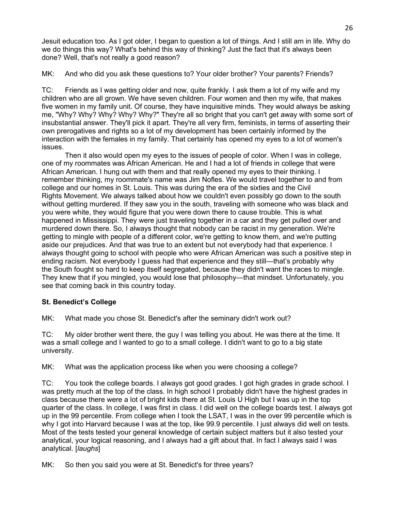Jesuit education too. As I got older, I began to question a lot of things. And I still am in life. Why do we do things this way? What's behind this way of thinking? Just the fact that it's always been done? Well, that's not really a good reason?

MK: And who did you ask these questions to? Your older brother? Your parents? Friends?

TC: Friends as I was getting older and now, quite frankly. I ask them a lot of my wife and my children who are all grown. We have seven children. Four women and then my wife, that makes five women in my family unit. Of course, they have inquisitive minds. They would always be asking me, "Why? Why? Why? Why? Why?" They're all so bright that you can't get away with some sort of insubstantial answer. They'll pick it apart. They're all very firm, feminists, in terms of asserting their own prerogatives and rights so a lot of my development has been certainly informed by the interaction with the females in my family. That certainly has opened my eyes to a lot of women's issues.

Then it also would open my eyes to the issues of people of color. When I was in college, one of my roommates was African American. He and I had a lot of friends in college that were African American. I hung out with them and that really opened my eyes to their thinking. I remember thinking, my roommate's name was Jim Nofles. We would travel together to and from college and our homes in St. Louis. This was during the era of the sixties and the Civil Rights Movement. We always talked about how we couldn't even possibly go down to the south without getting murdered. If they saw you in the south, traveling with someone who was black and you were white, they would figure that you were down there to cause trouble. This is what happened in Mississippi. They were just traveling together in a car and they get pulled over and murdered down there. So, I always thought that nobody can be racist in my generation. We're getting to mingle with people of a different color, we're getting to know them, and we're putting aside our prejudices. And that was true to an extent but not everybody had that experience. I always thought going to school with people who were African American was such a positive step in ending racism. Not everybody I guess had that experience and they still—that's probably why the South fought so hard to keep itself segregated, because they didn't want the races to mingle. They knew that if you mingled, you would lose that philosophy—that mindset. Unfortunately, you see that coming back in this country today.

# **St. Benedict's College**

MK: What made you chose St. Benedict's after the seminary didn't work out?

TC: My older brother went there, the guy I was telling you about. He was there at the time. It was a small college and I wanted to go to a small college. I didn't want to go to a big state university.

MK: What was the application process like when you were choosing a college?

TC: You took the college boards. I always got good grades. I got high grades in grade school. I was pretty much at the top of the class. In high school I probably didn't have the highest grades in class because there were a lot of bright kids there at St. Louis U High but I was up in the top quarter of the class. In college, I was first in class. I did well on the college boards test. I always got up in the 99 percentile. From college when I took the LSAT, I was in the over 99 percentile which is why I got into Harvard because I was at the top, like 99.9 percentile. I just always did well on tests. Most of the tests tested your general knowledge of certain subject matters but it also tested your analytical, your logical reasoning, and I always had a gift about that. In fact I always said I was analytical. [*laughs*]

MK: So then you said you were at St. Benedict's for three years?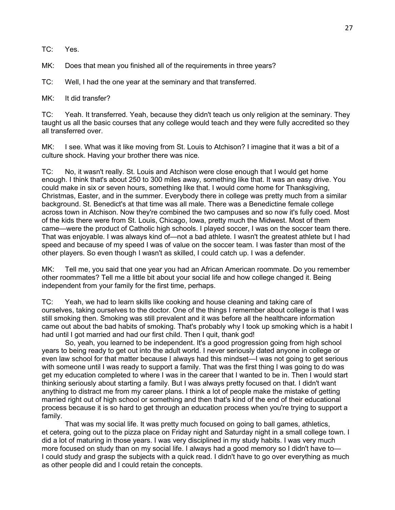TC: Yes.

MK: Does that mean you finished all of the requirements in three years?

TC: Well, I had the one year at the seminary and that transferred.

MK: It did transfer?

TC: Yeah. It transferred. Yeah, because they didn't teach us only religion at the seminary. They taught us all the basic courses that any college would teach and they were fully accredited so they all transferred over.

MK: I see. What was it like moving from St. Louis to Atchison? I imagine that it was a bit of a culture shock. Having your brother there was nice.

TC: No, it wasn't really. St. Louis and Atchison were close enough that I would get home enough. I think that's about 250 to 300 miles away, something like that. It was an easy drive. You could make in six or seven hours, something like that. I would come home for Thanksgiving, Christmas, Easter, and in the summer. Everybody there in college was pretty much from a similar background. St. Benedict's at that time was all male. There was a Benedictine female college across town in Atchison. Now they're combined the two campuses and so now it's fully coed. Most of the kids there were from St. Louis, Chicago, Iowa, pretty much the Midwest. Most of them came—were the product of Catholic high schools. I played soccer, I was on the soccer team there. That was enjoyable. I was always kind of—not a bad athlete. I wasn't the greatest athlete but I had speed and because of my speed I was of value on the soccer team. I was faster than most of the other players. So even though I wasn't as skilled, I could catch up. I was a defender.

MK: Tell me, you said that one year you had an African American roommate. Do you remember other roommates? Tell me a little bit about your social life and how college changed it. Being independent from your family for the first time, perhaps.

TC: Yeah, we had to learn skills like cooking and house cleaning and taking care of ourselves, taking ourselves to the doctor. One of the things I remember about college is that I was still smoking then. Smoking was still prevalent and it was before all the healthcare information came out about the bad habits of smoking. That's probably why I took up smoking which is a habit I had until I got married and had our first child. Then I quit, thank god!

So, yeah, you learned to be independent. It's a good progression going from high school years to being ready to get out into the adult world. I never seriously dated anyone in college or even law school for that matter because I always had this mindset—I was not going to get serious with someone until I was ready to support a family. That was the first thing I was going to do was get my education completed to where I was in the career that I wanted to be in. Then I would start thinking seriously about starting a family. But I was always pretty focused on that. I didn't want anything to distract me from my career plans. I think a lot of people make the mistake of getting married right out of high school or something and then that's kind of the end of their educational process because it is so hard to get through an education process when you're trying to support a family.

That was my social life. It was pretty much focused on going to ball games, athletics, et cetera, going out to the pizza place on Friday night and Saturday night in a small college town. I did a lot of maturing in those years. I was very disciplined in my study habits. I was very much more focused on study than on my social life. I always had a good memory so I didn't have to— I could study and grasp the subjects with a quick read. I didn't have to go over everything as much as other people did and I could retain the concepts.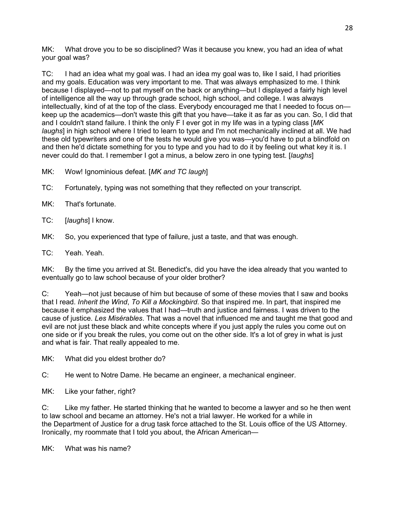MK: What drove you to be so disciplined? Was it because you knew, you had an idea of what your goal was?

TC: I had an idea what my goal was. I had an idea my goal was to, like I said, I had priorities and my goals. Education was very important to me. That was always emphasized to me. I think because I displayed—not to pat myself on the back or anything—but I displayed a fairly high level of intelligence all the way up through grade school, high school, and college. I was always intellectually, kind of at the top of the class. Everybody encouraged me that I needed to focus on keep up the academics—don't waste this gift that you have—take it as far as you can. So, I did that and I couldn't stand failure. I think the only F I ever got in my life was in a typing class [*MK laughs*] in high school where I tried to learn to type and I'm not mechanically inclined at all. We had these old typewriters and one of the tests he would give you was—you'd have to put a blindfold on and then he'd dictate something for you to type and you had to do it by feeling out what key it is. I never could do that. I remember I got a minus, a below zero in one typing test. [*laughs*]

MK: Wow! Ignominious defeat. [*MK and TC laugh*]

TC: Fortunately, typing was not something that they reflected on your transcript.

MK: That's fortunate.

TC: [*laughs*] I know.

MK: So, you experienced that type of failure, just a taste, and that was enough.

TC: Yeah. Yeah.

MK: By the time you arrived at St. Benedict's, did you have the idea already that you wanted to eventually go to law school because of your older brother?

C: Yeah—not just because of him but because of some of these movies that I saw and books that I read. *Inherit the Wind*, *To Kill a Mockingbird*. So that inspired me. In part, that inspired me because it emphasized the values that I had—truth and justice and fairness. I was driven to the cause of justice. *Les Misérables*. That was a novel that influenced me and taught me that good and evil are not just these black and white concepts where if you just apply the rules you come out on one side or if you break the rules, you come out on the other side. It's a lot of grey in what is just and what is fair. That really appealed to me.

MK: What did you eldest brother do?

C: He went to Notre Dame. He became an engineer, a mechanical engineer.

MK: Like your father, right?

C: Like my father. He started thinking that he wanted to become a lawyer and so he then went to law school and became an attorney. He's not a trial lawyer. He worked for a while in the Department of Justice for a drug task force attached to the St. Louis office of the US Attorney. Ironically, my roommate that I told you about, the African American—

MK: What was his name?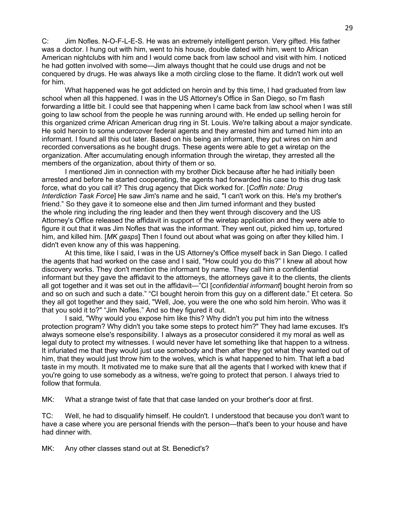C: Jim Nofles. N-O-F-L-E-S. He was an extremely intelligent person. Very gifted. His father was a doctor. I hung out with him, went to his house, double dated with him, went to African American nightclubs with him and I would come back from law school and visit with him. I noticed he had gotten involved with some—Jim always thought that he could use drugs and not be conquered by drugs. He was always like a moth circling close to the flame. It didn't work out well for him.

What happened was he got addicted on heroin and by this time, I had graduated from law school when all this happened. I was in the US Attorney's Office in San Diego, so I'm flash forwarding a little bit. I could see that happening when I came back from law school when I was still going to law school from the people he was running around with. He ended up selling heroin for this organized crime African American drug ring in St. Louis. We're talking about a major syndicate. He sold heroin to some undercover federal agents and they arrested him and turned him into an informant. I found all this out later. Based on his being an informant, they put wires on him and recorded conversations as he bought drugs. These agents were able to get a wiretap on the organization. After accumulating enough information through the wiretap, they arrested all the members of the organization, about thirty of them or so.

I mentioned Jim in connection with my brother Dick because after he had initially been arrested and before he started cooperating, the agents had forwarded his case to this drug task force, what do you call it? This drug agency that Dick worked for. [*Coffin note: Drug Interdiction Task Force*] He saw Jim's name and he said, "I can't work on this. He's my brother's friend." So they gave it to someone else and then Jim turned informant and they busted the whole ring including the ring leader and then they went through discovery and the US Attorney's Office released the affidavit in support of the wiretap application and they were able to figure it out that it was Jim Nofles that was the informant. They went out, picked him up, tortured him, and killed him. [*MK gasps*] Then I found out about what was going on after they killed him. I didn't even know any of this was happening.

At this time, like I said, I was in the US Attorney's Office myself back in San Diego. I called the agents that had worked on the case and I said, "How could you do this?" I knew all about how discovery works. They don't mention the informant by name. They call him a confidential informant but they gave the affidavit to the attorneys, the attorneys gave it to the clients, the clients all got together and it was set out in the affidavit—"CI [*confidential informant*] bought heroin from so and so on such and such a date." "CI bought heroin from this guy on a different date." Et cetera. So they all got together and they said, "Well, Joe, you were the one who sold him heroin. Who was it that you sold it to?" "Jim Nofles." And so they figured it out.

I said, "Why would you expose him like this? Why didn't you put him into the witness protection program? Why didn't you take some steps to protect him?" They had lame excuses. It's always someone else's responsibility. I always as a prosecutor considered it my moral as well as legal duty to protect my witnesses. I would never have let something like that happen to a witness. It infuriated me that they would just use somebody and then after they got what they wanted out of him, that they would just throw him to the wolves, which is what happened to him. That left a bad taste in my mouth. It motivated me to make sure that all the agents that I worked with knew that if you're going to use somebody as a witness, we're going to protect that person. I always tried to follow that formula.

MK: What a strange twist of fate that that case landed on your brother's door at first.

TC: Well, he had to disqualify himself. He couldn't. I understood that because you don't want to have a case where you are personal friends with the person—that's been to your house and have had dinner with.

MK: Any other classes stand out at St. Benedict's?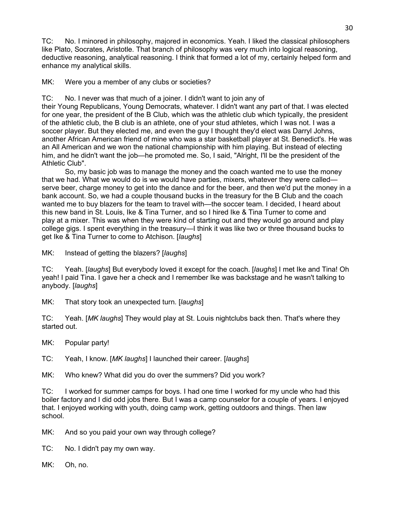TC: No. I minored in philosophy, majored in economics. Yeah. I liked the classical philosophers like Plato, Socrates, Aristotle. That branch of philosophy was very much into logical reasoning, deductive reasoning, analytical reasoning. I think that formed a lot of my, certainly helped form and enhance my analytical skills.

MK: Were you a member of any clubs or societies?

TC: No. I never was that much of a joiner. I didn't want to join any of their Young Republicans, Young Democrats, whatever. I didn't want any part of that. I was elected for one year, the president of the B Club, which was the athletic club which typically, the president of the athletic club, the B club is an athlete, one of your stud athletes, which I was not. I was a soccer player. But they elected me, and even the guy I thought they'd elect was Darryl Johns, another African American friend of mine who was a star basketball player at St. Benedict's. He was an All American and we won the national championship with him playing. But instead of electing him, and he didn't want the job—he promoted me. So, I said, "Alright, I'll be the president of the Athletic Club".

So, my basic job was to manage the money and the coach wanted me to use the money that we had. What we would do is we would have parties, mixers, whatever they were called serve beer, charge money to get into the dance and for the beer, and then we'd put the money in a bank account. So, we had a couple thousand bucks in the treasury for the B Club and the coach wanted me to buy blazers for the team to travel with—the soccer team. I decided, I heard about this new band in St. Louis, Ike & Tina Turner, and so I hired Ike & Tina Turner to come and play at a mixer. This was when they were kind of starting out and they would go around and play college gigs. I spent everything in the treasury—I think it was like two or three thousand bucks to get Ike & Tina Turner to come to Atchison. [*laughs*]

MK: Instead of getting the blazers? [*laughs*]

TC: Yeah. [*laughs*] But everybody loved it except for the coach. [*laughs*] I met Ike and Tina! Oh yeah! I paid Tina. I gave her a check and I remember Ike was backstage and he wasn't talking to anybody. [*laughs*]

MK: That story took an unexpected turn. [*laughs*]

TC: Yeah. [*MK laughs*] They would play at St. Louis nightclubs back then. That's where they started out.

MK: Popular party!

TC: Yeah, I know. [*MK laughs*] I launched their career. [*laughs*]

MK: Who knew? What did you do over the summers? Did you work?

TC: I worked for summer camps for boys. I had one time I worked for my uncle who had this boiler factory and I did odd jobs there. But I was a camp counselor for a couple of years. I enjoyed that. I enjoyed working with youth, doing camp work, getting outdoors and things. Then law school.

MK: And so you paid your own way through college?

TC: No. I didn't pay my own way.

MK: Oh, no.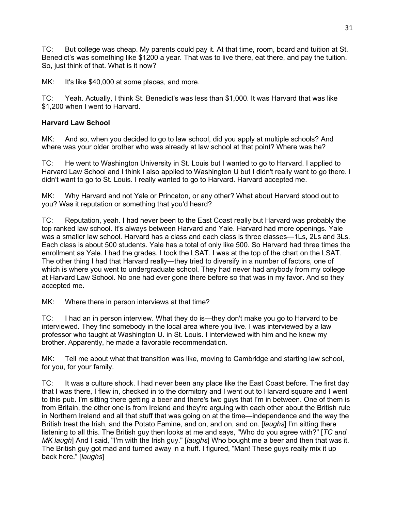TC: But college was cheap. My parents could pay it. At that time, room, board and tuition at St. Benedict's was something like \$1200 a year. That was to live there, eat there, and pay the tuition. So, just think of that. What is it now?

MK: It's like \$40,000 at some places, and more.

TC: Yeah. Actually, I think St. Benedict's was less than \$1,000. It was Harvard that was like \$1,200 when I went to Harvard.

# **Harvard Law School**

MK: And so, when you decided to go to law school, did you apply at multiple schools? And where was your older brother who was already at law school at that point? Where was he?

TC: He went to Washington University in St. Louis but I wanted to go to Harvard. I applied to Harvard Law School and I think I also applied to Washington U but I didn't really want to go there. I didn't want to go to St. Louis. I really wanted to go to Harvard. Harvard accepted me.

MK: Why Harvard and not Yale or Princeton, or any other? What about Harvard stood out to you? Was it reputation or something that you'd heard?

TC: Reputation, yeah. I had never been to the East Coast really but Harvard was probably the top ranked law school. It's always between Harvard and Yale. Harvard had more openings. Yale was a smaller law school. Harvard has a class and each class is three classes—1Ls, 2Ls and 3Ls. Each class is about 500 students. Yale has a total of only like 500. So Harvard had three times the enrollment as Yale. I had the grades. I took the LSAT. I was at the top of the chart on the LSAT. The other thing I had that Harvard really—they tried to diversify in a number of factors, one of which is where you went to undergraduate school. They had never had anybody from my college at Harvard Law School. No one had ever gone there before so that was in my favor. And so they accepted me.

MK: Where there in person interviews at that time?

TC: I had an in person interview. What they do is—they don't make you go to Harvard to be interviewed. They find somebody in the local area where you live. I was interviewed by a law professor who taught at Washington U. in St. Louis. I interviewed with him and he knew my brother. Apparently, he made a favorable recommendation.

MK: Tell me about what that transition was like, moving to Cambridge and starting law school, for you, for your family.

TC: It was a culture shock. I had never been any place like the East Coast before. The first day that I was there, I flew in, checked in to the dormitory and I went out to Harvard square and I went to this pub. I'm sitting there getting a beer and there's two guys that I'm in between. One of them is from Britain, the other one is from Ireland and they're arguing with each other about the British rule in Northern Ireland and all that stuff that was going on at the time—independence and the way the British treat the Irish, and the Potato Famine, and on, and on, and on. [*laughs*] I'm sitting there listening to all this. The British guy then looks at me and says, "Who do you agree with?" [*TC and MK laugh*] And I said, "I'm with the Irish guy." [*laughs*] Who bought me a beer and then that was it. The British guy got mad and turned away in a huff. I figured, "Man! These guys really mix it up back here." [*laughs*]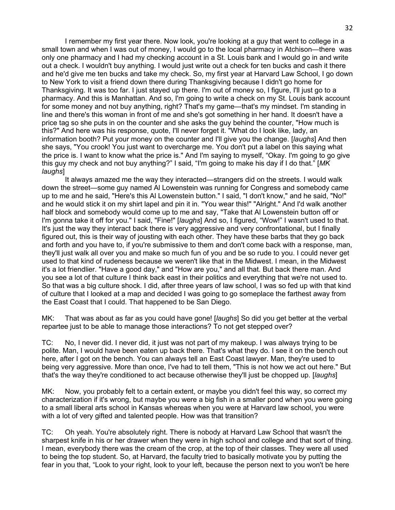I remember my first year there. Now look, you're looking at a guy that went to college in a small town and when I was out of money, I would go to the local pharmacy in Atchison—there was only one pharmacy and I had my checking account in a St. Louis bank and I would go in and write out a check. I wouldn't buy anything. I would just write out a check for ten bucks and cash it there and he'd give me ten bucks and take my check. So, my first year at Harvard Law School, I go down to New York to visit a friend down there during Thanksgiving because I didn't go home for Thanksgiving. It was too far. I just stayed up there. I'm out of money so, I figure, I'll just go to a pharmacy. And this is Manhattan. And so, I'm going to write a check on my St. Louis bank account for some money and not buy anything, right? That's my game—that's my mindset. I'm standing in line and there's this woman in front of me and she's got something in her hand. It doesn't have a price tag so she puts in on the counter and she asks the guy behind the counter, "How much is this?" And here was his response, quote, I'll never forget it. "What do I look like, lady, an information booth? Put your money on the counter and I'll give you the change. [*laughs*] And then she says, "You crook! You just want to overcharge me. You don't put a label on this saying what the price is. I want to know what the price is." And I'm saying to myself, "Okay. I'm going to go give this guy my check and not buy anything?" I said, "I'm going to make his day if I do that." [*MK laughs*]

It always amazed me the way they interacted—strangers did on the streets. I would walk down the street—some guy named Al Lowenstein was running for Congress and somebody came up to me and he said, "Here's this Al Lowenstein button." I said, "I don't know," and he said, "No!" and he would stick it on my shirt lapel and pin it in. "You wear this!" "Alright." And I'd walk another half block and somebody would come up to me and say, "Take that Al Lowenstein button off or I'm gonna take it off for you." I said, "Fine!" [*laughs*] And so, I figured, "Wow!" I wasn't used to that. It's just the way they interact back there is very aggressive and very confrontational, but I finally figured out, this is their way of jousting with each other. They have these barbs that they go back and forth and you have to, if you're submissive to them and don't come back with a response, man, they'll just walk all over you and make so much fun of you and be so rude to you. I could never get used to that kind of rudeness because we weren't like that in the Midwest. I mean, in the Midwest it's a lot friendlier. "Have a good day," and "How are you," and all that. But back there man. And you see a lot of that culture I think back east in their politics and everything that we're not used to. So that was a big culture shock. I did, after three years of law school, I was so fed up with that kind of culture that I looked at a map and decided I was going to go someplace the farthest away from the East Coast that I could. That happened to be San Diego.

MK: That was about as far as you could have gone! [*laughs*] So did you get better at the verbal repartee just to be able to manage those interactions? To not get stepped over?

TC: No, I never did. I never did, it just was not part of my makeup. I was always trying to be polite. Man, I would have been eaten up back there. That's what they do. I see it on the bench out here, after I got on the bench. You can always tell an East Coast lawyer. Man, they're used to being very aggressive. More than once, I've had to tell them, "This is not how we act out here." But that's the way they're conditioned to act because otherwise they'll just be chopped up. [*laughs*]

MK: Now, you probably felt to a certain extent, or maybe you didn't feel this way, so correct my characterization if it's wrong, but maybe you were a big fish in a smaller pond when you were going to a small liberal arts school in Kansas whereas when you were at Harvard law school, you were with a lot of very gifted and talented people. How was that transition?

TC: Oh yeah. You're absolutely right. There is nobody at Harvard Law School that wasn't the sharpest knife in his or her drawer when they were in high school and college and that sort of thing. I mean, everybody there was the cream of the crop, at the top of their classes. They were all used to being the top student. So, at Harvard, the faculty tried to basically motivate you by putting the fear in you that, "Look to your right, look to your left, because the person next to you won't be here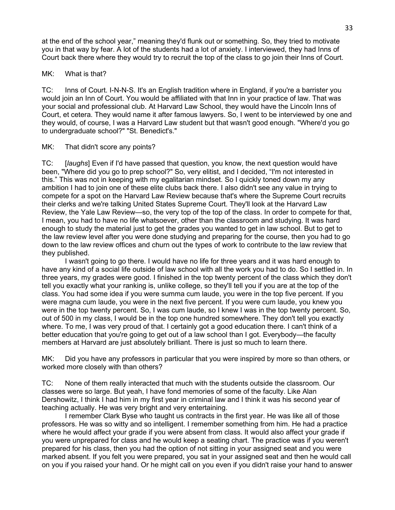at the end of the school year," meaning they'd flunk out or something. So, they tried to motivate you in that way by fear. A lot of the students had a lot of anxiety. I interviewed, they had Inns of Court back there where they would try to recruit the top of the class to go join their Inns of Court.

## MK: What is that?

TC: Inns of Court. I-N-N-S. It's an English tradition where in England, if you're a barrister you would join an Inn of Court. You would be affiliated with that Inn in your practice of law. That was your social and professional club. At Harvard Law School, they would have the Lincoln Inns of Court, et cetera. They would name it after famous lawyers. So, I went to be interviewed by one and they would, of course, I was a Harvard Law student but that wasn't good enough. "Where'd you go to undergraduate school?" "St. Benedict's."

## MK: That didn't score any points?

TC: [*laughs*] Even if I'd have passed that question, you know, the next question would have been, "Where did you go to prep school?" So, very elitist, and I decided, "I'm not interested in this." This was not in keeping with my egalitarian mindset. So I quickly toned down my any ambition I had to join one of these elite clubs back there. I also didn't see any value in trying to compete for a spot on the Harvard Law Review because that's where the Supreme Court recruits their clerks and we're talking United States Supreme Court. They'll look at the Harvard Law Review, the Yale Law Review—so, the very top of the top of the class. In order to compete for that, I mean, you had to have no life whatsoever, other than the classroom and studying. It was hard enough to study the material just to get the grades you wanted to get in law school. But to get to the law review level after you were done studying and preparing for the course, then you had to go down to the law review offices and churn out the types of work to contribute to the law review that they published.

I wasn't going to go there. I would have no life for three years and it was hard enough to have any kind of a social life outside of law school with all the work you had to do. So I settled in. In three years, my grades were good. I finished in the top twenty percent of the class which they don't tell you exactly what your ranking is, unlike college, so they'll tell you if you are at the top of the class. You had some idea if you were summa cum laude, you were in the top five percent. If you were magna cum laude, you were in the next five percent. If you were cum laude, you knew you were in the top twenty percent. So, I was cum laude, so I knew I was in the top twenty percent. So, out of 500 in my class, I would be in the top one hundred somewhere. They don't tell you exactly where. To me, I was very proud of that. I certainly got a good education there. I can't think of a better education that you're going to get out of a law school than I got. Everybody—the faculty members at Harvard are just absolutely brilliant. There is just so much to learn there.

MK: Did you have any professors in particular that you were inspired by more so than others, or worked more closely with than others?

TC: None of them really interacted that much with the students outside the classroom. Our classes were so large. But yeah, I have fond memories of some of the faculty. Like Alan Dershowitz, I think I had him in my first year in criminal law and I think it was his second year of teaching actually. He was very bright and very entertaining.

I remember Clark Byse who taught us contracts in the first year. He was like all of those professors. He was so witty and so intelligent. I remember something from him. He had a practice where he would affect your grade if you were absent from class. It would also affect your grade if you were unprepared for class and he would keep a seating chart. The practice was if you weren't prepared for his class, then you had the option of not sitting in your assigned seat and you were marked absent. If you felt you were prepared, you sat in your assigned seat and then he would call on you if you raised your hand. Or he might call on you even if you didn't raise your hand to answer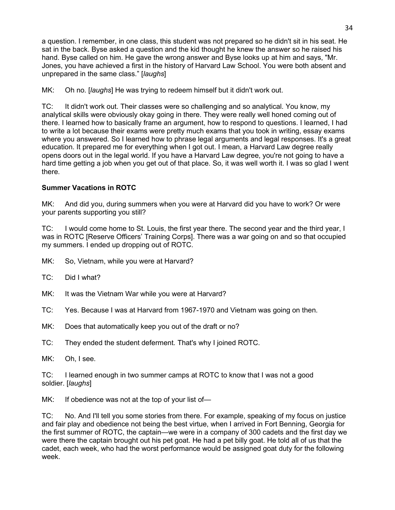a question. I remember, in one class, this student was not prepared so he didn't sit in his seat. He sat in the back. Byse asked a question and the kid thought he knew the answer so he raised his hand. Byse called on him. He gave the wrong answer and Byse looks up at him and says, "Mr. Jones, you have achieved a first in the history of Harvard Law School. You were both absent and unprepared in the same class." [*laughs*]

MK: Oh no. [*laughs*] He was trying to redeem himself but it didn't work out.

TC: It didn't work out. Their classes were so challenging and so analytical. You know, my analytical skills were obviously okay going in there. They were really well honed coming out of there. I learned how to basically frame an argument, how to respond to questions. I learned, I had to write a lot because their exams were pretty much exams that you took in writing, essay exams where you answered. So I learned how to phrase legal arguments and legal responses. It's a great education. It prepared me for everything when I got out. I mean, a Harvard Law degree really opens doors out in the legal world. If you have a Harvard Law degree, you're not going to have a hard time getting a job when you get out of that place. So, it was well worth it. I was so glad I went there.

# **Summer Vacations in ROTC**

MK: And did you, during summers when you were at Harvard did you have to work? Or were your parents supporting you still?

TC: I would come home to St. Louis, the first year there. The second year and the third year, I was in ROTC [Reserve Officers' Training Corps]. There was a war going on and so that occupied my summers. I ended up dropping out of ROTC.

MK: So, Vietnam, while you were at Harvard?

TC: Did I what?

MK: It was the Vietnam War while you were at Harvard?

TC: Yes. Because I was at Harvard from 1967-1970 and Vietnam was going on then.

MK: Does that automatically keep you out of the draft or no?

TC: They ended the student deferment. That's why I joined ROTC.

MK: Oh, I see.

TC: I learned enough in two summer camps at ROTC to know that I was not a good soldier. [*laughs*]

MK: If obedience was not at the top of your list of-

TC: No. And I'll tell you some stories from there. For example, speaking of my focus on justice and fair play and obedience not being the best virtue, when I arrived in Fort Benning, Georgia for the first summer of ROTC, the captain—we were in a company of 300 cadets and the first day we were there the captain brought out his pet goat. He had a pet billy goat. He told all of us that the cadet, each week, who had the worst performance would be assigned goat duty for the following week.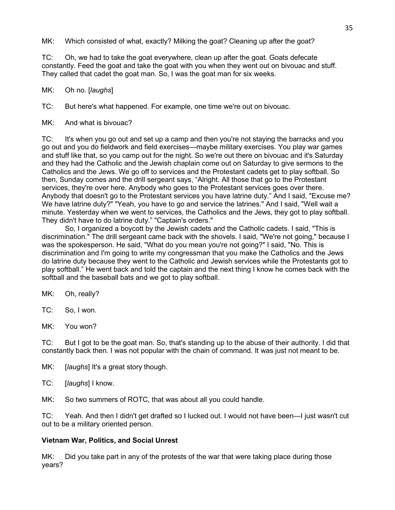MK: Which consisted of what, exactly? Milking the goat? Cleaning up after the goat?

TC: Oh, we had to take the goat everywhere, clean up after the goat. Goats defecate constantly. Feed the goat and take the goat with you when they went out on bivouac and stuff. They called that cadet the goat man. So, I was the goat man for six weeks.

MK: Oh no. [*laughs*]

TC: But here's what happened. For example, one time we're out on bivouac.

MK: And what is bivouac?

TC: It's when you go out and set up a camp and then you're not staying the barracks and you go out and you do fieldwork and field exercises—maybe military exercises. You play war games and stuff like that, so you camp out for the night. So we're out there on bivouac and it's Saturday and they had the Catholic and the Jewish chaplain come out on Saturday to give sermons to the Catholics and the Jews. We go off to services and the Protestant cadets get to play softball. So then, Sunday comes and the drill sergeant says, "Alright. All those that go to the Protestant services, they're over here. Anybody who goes to the Protestant services goes over there. Anybody that doesn't go to the Protestant services you have latrine duty." And I said, "Excuse me? We have latrine duty?" "Yeah, you have to go and service the latrines." And I said, "Well wait a minute. Yesterday when we went to services, the Catholics and the Jews, they got to play softball. They didn't have to do latrine duty." "Captain's orders."

So, I organized a boycott by the Jewish cadets and the Catholic cadets. I said, "This is discrimination." The drill sergeant came back with the shovels. I said, "We're not going," because I was the spokesperson. He said, "What do you mean you're not going?" I said, "No. This is discrimination and I'm going to write my congressman that you make the Catholics and the Jews do latrine duty because they went to the Catholic and Jewish services while the Protestants got to play softball." He went back and told the captain and the next thing I know he comes back with the softball and the baseball bats and we got to play softball.

MK: Oh, really?

TC: So, I won.

MK: You won?

TC: But I got to be the goat man. So, that's standing up to the abuse of their authority. I did that constantly back then. I was not popular with the chain of command. It was just not meant to be.

MK: [*laughs*] It's a great story though.

TC: [*laughs*] I know.

MK: So two summers of ROTC, that was about all you could handle.

TC: Yeah. And then I didn't get drafted so I lucked out. I would not have been—I just wasn't cut out to be a military oriented person.

#### **Vietnam War, Politics, and Social Unrest**

MK: Did you take part in any of the protests of the war that were taking place during those years?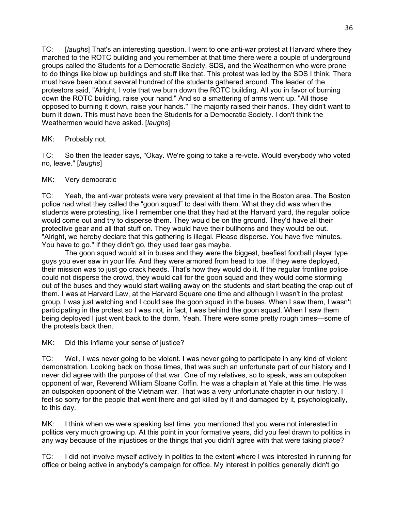TC: [*laughs*] That's an interesting question. I went to one anti-war protest at Harvard where they marched to the ROTC building and you remember at that time there were a couple of underground groups called the Students for a Democratic Society, SDS, and the Weathermen who were prone to do things like blow up buildings and stuff like that. This protest was led by the SDS I think. There must have been about several hundred of the students gathered around. The leader of the protestors said, "Alright, I vote that we burn down the ROTC building. All you in favor of burning down the ROTC building, raise your hand." And so a smattering of arms went up. "All those opposed to burning it down, raise your hands." The majority raised their hands. They didn't want to burn it down. This must have been the Students for a Democratic Society. I don't think the Weathermen would have asked. [*laughs*]

MK: Probably not.

TC: So then the leader says, "Okay. We're going to take a re-vote. Would everybody who voted no, leave." [*laughs*]

## MK: Very democratic

TC: Yeah, the anti-war protests were very prevalent at that time in the Boston area. The Boston police had what they called the "goon squad" to deal with them. What they did was when the students were protesting, like I remember one that they had at the Harvard yard, the regular police would come out and try to disperse them. They would be on the ground. They'd have all their protective gear and all that stuff on. They would have their bullhorns and they would be out. "Alright, we hereby declare that this gathering is illegal. Please disperse. You have five minutes. You have to go." If they didn't go, they used tear gas maybe.

The goon squad would sit in buses and they were the biggest, beefiest football player type guys you ever saw in your life. And they were armored from head to toe. If they were deployed, their mission was to just go crack heads. That's how they would do it. If the regular frontline police could not disperse the crowd, they would call for the goon squad and they would come storming out of the buses and they would start wailing away on the students and start beating the crap out of them. I was at Harvard Law, at the Harvard Square one time and although I wasn't in the protest group, I was just watching and I could see the goon squad in the buses. When I saw them, I wasn't participating in the protest so I was not, in fact, I was behind the goon squad. When I saw them being deployed I just went back to the dorm. Yeah. There were some pretty rough times—some of the protests back then.

MK: Did this inflame your sense of justice?

TC: Well, I was never going to be violent. I was never going to participate in any kind of violent demonstration. Looking back on those times, that was such an unfortunate part of our history and I never did agree with the purpose of that war. One of my relatives, so to speak, was an outspoken opponent of war, Reverend William Sloane Coffin. He was a chaplain at Yale at this time. He was an outspoken opponent of the Vietnam war. That was a very unfortunate chapter in our history. I feel so sorry for the people that went there and got killed by it and damaged by it, psychologically, to this day.

MK: I think when we were speaking last time, you mentioned that you were not interested in politics very much growing up. At this point in your formative years, did you feel drawn to politics in any way because of the injustices or the things that you didn't agree with that were taking place?

TC: I did not involve myself actively in politics to the extent where I was interested in running for office or being active in anybody's campaign for office. My interest in politics generally didn't go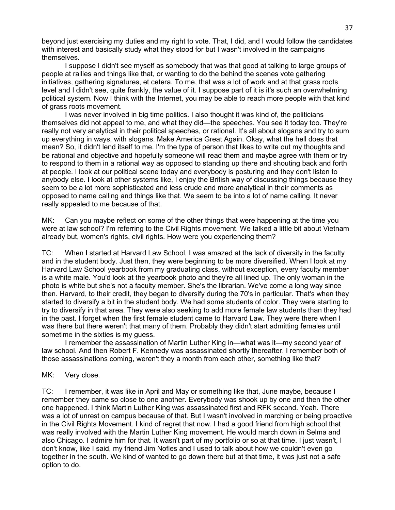beyond just exercising my duties and my right to vote. That, I did, and I would follow the candidates with interest and basically study what they stood for but I wasn't involved in the campaigns themselves.

I suppose I didn't see myself as somebody that was that good at talking to large groups of people at rallies and things like that, or wanting to do the behind the scenes vote gathering initiatives, gathering signatures, et cetera. To me, that was a lot of work and at that grass roots level and I didn't see, quite frankly, the value of it. I suppose part of it is it's such an overwhelming political system. Now I think with the Internet, you may be able to reach more people with that kind of grass roots movement.

I was never involved in big time politics. I also thought it was kind of, the politicians themselves did not appeal to me, and what they did—the speeches. You see it today too. They're really not very analytical in their political speeches, or rational. It's all about slogans and try to sum up everything in ways, with slogans. Make America Great Again. Okay, what the hell does that mean? So, it didn't lend itself to me. I'm the type of person that likes to write out my thoughts and be rational and objective and hopefully someone will read them and maybe agree with them or try to respond to them in a rational way as opposed to standing up there and shouting back and forth at people. I look at our political scene today and everybody is posturing and they don't listen to anybody else. I look at other systems like, I enjoy the British way of discussing things because they seem to be a lot more sophisticated and less crude and more analytical in their comments as opposed to name calling and things like that. We seem to be into a lot of name calling. It never really appealed to me because of that.

MK: Can you maybe reflect on some of the other things that were happening at the time you were at law school? I'm referring to the Civil Rights movement. We talked a little bit about Vietnam already but, women's rights, civil rights. How were you experiencing them?

TC: When I started at Harvard Law School, I was amazed at the lack of diversity in the faculty and in the student body. Just then, they were beginning to be more diversified. When I look at my Harvard Law School yearbook from my graduating class, without exception, every faculty member is a white male. You'd look at the yearbook photo and they're all lined up. The only woman in the photo is white but she's not a faculty member. She's the librarian. We've come a long way since then. Harvard, to their credit, they began to diversify during the 70's in particular. That's when they started to diversify a bit in the student body. We had some students of color. They were starting to try to diversify in that area. They were also seeking to add more female law students than they had in the past. I forget when the first female student came to Harvard Law. They were there when I was there but there weren't that many of them. Probably they didn't start admitting females until sometime in the sixties is my guess.

I remember the assassination of Martin Luther King in—what was it—my second year of law school. And then Robert F. Kennedy was assassinated shortly thereafter. I remember both of those assassinations coming, weren't they a month from each other, something like that?

### MK: Very close.

TC: I remember, it was like in April and May or something like that, June maybe, because I remember they came so close to one another. Everybody was shook up by one and then the other one happened. I think Martin Luther King was assassinated first and RFK second. Yeah. There was a lot of unrest on campus because of that. But I wasn't involved in marching or being proactive in the Civil Rights Movement. I kind of regret that now. I had a good friend from high school that was really involved with the Martin Luther King movement. He would march down in Selma and also Chicago. I admire him for that. It wasn't part of my portfolio or so at that time. I just wasn't, I don't know, like I said, my friend Jim Nofles and I used to talk about how we couldn't even go together in the south. We kind of wanted to go down there but at that time, it was just not a safe option to do.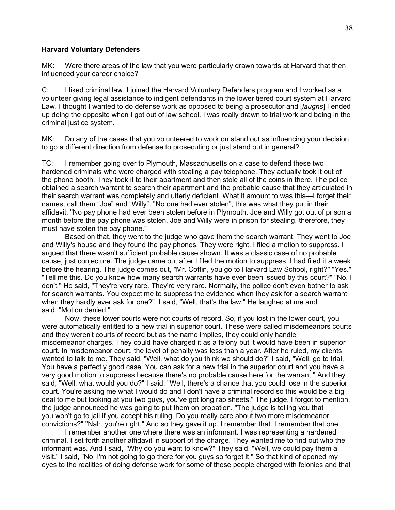#### **Harvard Voluntary Defenders**

MK: Were there areas of the law that you were particularly drawn towards at Harvard that then influenced your career choice?

C: I liked criminal law. I joined the Harvard Voluntary Defenders program and I worked as a volunteer giving legal assistance to indigent defendants in the lower tiered court system at Harvard Law. I thought I wanted to do defense work as opposed to being a prosecutor and [*laughs*] I ended up doing the opposite when I got out of law school. I was really drawn to trial work and being in the criminal justice system.

MK: Do any of the cases that you volunteered to work on stand out as influencing your decision to go a different direction from defense to prosecuting or just stand out in general?

TC: I remember going over to Plymouth, Massachusetts on a case to defend these two hardened criminals who were charged with stealing a pay telephone. They actually took it out of the phone booth. They took it to their apartment and then stole all of the coins in there. The police obtained a search warrant to search their apartment and the probable cause that they articulated in their search warrant was completely and utterly deficient. What it amount to was this—I forget their names, call them "Joe" and "Willy". "No one had ever stolen", this was what they put in their affidavit. "No pay phone had ever been stolen before in Plymouth. Joe and Willy got out of prison a month before the pay phone was stolen. Joe and Willy were in prison for stealing, therefore, they must have stolen the pay phone."

Based on that, they went to the judge who gave them the search warrant. They went to Joe and Willy's house and they found the pay phones. They were right. I filed a motion to suppress. I argued that there wasn't sufficient probable cause shown. It was a classic case of no probable cause, just conjecture. The judge came out after I filed the motion to suppress. I had filed it a week before the hearing. The judge comes out, "Mr. Coffin, you go to Harvard Law School, right?" "Yes." "Tell me this. Do you know how many search warrants have ever been issued by this court?" "No. I don't." He said, "They're very rare. They're very rare. Normally, the police don't even bother to ask for search warrants. You expect me to suppress the evidence when they ask for a search warrant when they hardly ever ask for one?" I said, "Well, that's the law." He laughed at me and said, "Motion denied."

Now, these lower courts were not courts of record. So, if you lost in the lower court, you were automatically entitled to a new trial in superior court. These were called misdemeanors courts and they weren't courts of record but as the name implies, they could only handle misdemeanor charges. They could have charged it as a felony but it would have been in superior court. In misdemeanor court, the level of penalty was less than a year. After he ruled, my clients wanted to talk to me. They said, "Well, what do you think we should do?" I said, "Well, go to trial. You have a perfectly good case. You can ask for a new trial in the superior court and you have a very good motion to suppress because there's no probable cause here for the warrant." And they said, "Well, what would you do?" I said, "Well, there's a chance that you could lose in the superior court. You're asking me what I would do and I don't have a criminal record so this would be a big deal to me but looking at you two guys, you've got long rap sheets." The judge, I forgot to mention, the judge announced he was going to put them on probation. "The judge is telling you that you won't go to jail if you accept his ruling. Do you really care about two more misdemeanor convictions?" "Nah, you're right." And so they gave it up. I remember that. I remember that one.

I remember another one where there was an informant. I was representing a hardened criminal. I set forth another affidavit in support of the charge. They wanted me to find out who the informant was. And I said, "Why do you want to know?" They said, "Well, we could pay them a visit." I said, "No. I'm not going to go there for you guys so forget it." So that kind of opened my eyes to the realities of doing defense work for some of these people charged with felonies and that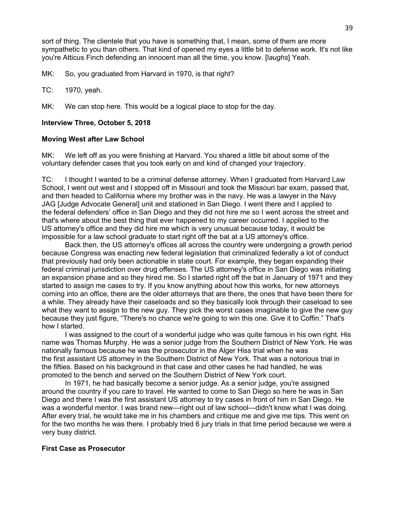sort of thing. The clientele that you have is something that, I mean, some of them are more sympathetic to you than others. That kind of opened my eyes a little bit to defense work. It's not like you're Atticus Finch defending an innocent man all the time, you know. [l*aughs*] Yeah.

MK: So, you graduated from Harvard in 1970, is that right?

TC: 1970, yeah.

MK: We can stop here. This would be a logical place to stop for the day.

## **Interview Three, October 5, 2018**

### **Moving West after Law School**

MK: We left off as you were finishing at Harvard. You shared a little bit about some of the voluntary defender cases that you took early on and kind of changed your trajectory.

TC: I thought I wanted to be a criminal defense attorney. When I graduated from Harvard Law School, I went out west and I stopped off in Missouri and took the Missouri bar exam, passed that, and then headed to California where my brother was in the navy. He was a lawyer in the Navy JAG [Judge Advocate General] unit and stationed in San Diego. I went there and I applied to the federal defenders' office in San Diego and they did not hire me so I went across the street and that's where about the best thing that ever happened to my career occurred. I applied to the US attorney's office and they did hire me which is very unusual because today, it would be impossible for a law school graduate to start right off the bat at a US attorney's office.

Back then, the US attorney's offices all across the country were undergoing a growth period because Congress was enacting new federal legislation that criminalized federally a lot of conduct that previously had only been actionable in state court. For example, they began expanding their federal criminal jurisdiction over drug offenses. The US attorney's office in San Diego was initiating an expansion phase and so they hired me. So I started right off the bat in January of 1971 and they started to assign me cases to try. If you know anything about how this works, for new attorneys coming into an office, there are the older attorneys that are there, the ones that have been there for a while. They already have their caseloads and so they basically look through their caseload to see what they want to assign to the new guy. They pick the worst cases imaginable to give the new guy because they just figure, "There's no chance we're going to win this one. Give it to Coffin." That's how I started.

I was assigned to the court of a wonderful judge who was quite famous in his own right. His name was Thomas Murphy. He was a senior judge from the Southern District of New York. He was nationally famous because he was the prosecutor in the Alger Hiss trial when he was the first assistant US attorney in the Southern District of New York. That was a notorious trial in the fifties. Based on his background in that case and other cases he had handled, he was promoted to the bench and served on the Southern District of New York court.

In 1971, he had basically become a senior judge. As a senior judge, you're assigned around the country if you care to travel. He wanted to come to San Diego so here he was in San Diego and there I was the first assistant US attorney to try cases in front of him in San Diego. He was a wonderful mentor. I was brand new—right out of law school—didn't know what I was doing. After every trial, he would take me in his chambers and critique me and give me tips. This went on for the two months he was there. I probably tried 6 jury trials in that time period because we were a very busy district.

### **First Case as Prosecutor**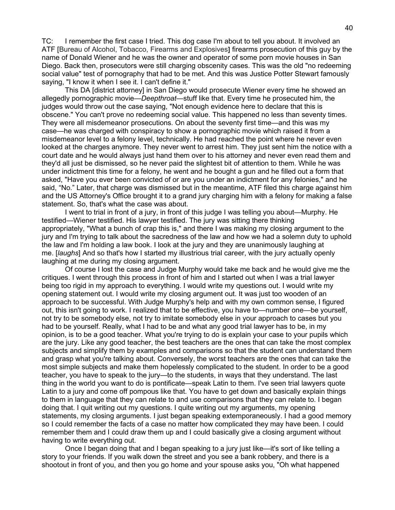TC: I remember the first case I tried. This dog case I'm about to tell you about. It involved an ATF [Bureau of Alcohol, Tobacco, Firearms and Explosives**]** firearms prosecution of this guy by the name of Donald Wiener and he was the owner and operator of some porn movie houses in San Diego. Back then, prosecutors were still charging obscenity cases. This was the old "no redeeming social value" test of pornography that had to be met. And this was Justice Potter Stewart famously saying, "I know it when I see it. I can't define it."

This DA [district attorney] in San Diego would prosecute Wiener every time he showed an allegedly pornographic movie—*Deepthroat—*stuff like that. Every time he prosecuted him, the judges would throw out the case saying, "Not enough evidence here to declare that this is obscene." You can't prove no redeeming social value. This happened no less than seventy times. They were all misdemeanor prosecutions. On about the seventy first time—and this was my case—he was charged with conspiracy to show a pornographic movie which raised it from a misdemeanor level to a felony level, technically. He had reached the point where he never even looked at the charges anymore. They never went to arrest him. They just sent him the notice with a court date and he would always just hand them over to his attorney and never even read them and they'd all just be dismissed, so he never paid the slightest bit of attention to them. While he was under indictment this time for a felony, he went and he bought a gun and he filled out a form that asked, "Have you ever been convicted of or are you under an indictment for any felonies," and he said, "No." Later, that charge was dismissed but in the meantime, ATF filed this charge against him and the US Attorney's Office brought it to a grand jury charging him with a felony for making a false statement. So, that's what the case was about.

I went to trial in front of a jury, in front of this judge I was telling you about—Murphy. He testified—Wiener testified. His lawyer testified. The jury was sitting there thinking appropriately, "What a bunch of crap this is," and there I was making my closing argument to the jury and I'm trying to talk about the sacredness of the law and how we had a solemn duty to uphold the law and I'm holding a law book. I look at the jury and they are unanimously laughing at me. [*laughs*] And so that's how I started my illustrious trial career, with the jury actually openly laughing at me during my closing argument.

Of course I lost the case and Judge Murphy would take me back and he would give me the critiques. I went through this process in front of him and I started out when I was a trial lawyer being too rigid in my approach to everything. I would write my questions out. I would write my opening statement out. I would write my closing argument out. It was just too wooden of an approach to be successful. With Judge Murphy's help and with my own common sense, I figured out, this isn't going to work. I realized that to be effective, you have to—number one—be yourself, not try to be somebody else, not try to imitate somebody else in your approach to cases but you had to be yourself. Really, what I had to be and what any good trial lawyer has to be, in my opinion, is to be a good teacher. What you're trying to do is explain your case to your pupils which are the jury. Like any good teacher, the best teachers are the ones that can take the most complex subjects and simplify them by examples and comparisons so that the student can understand them and grasp what you're talking about. Conversely, the worst teachers are the ones that can take the most simple subjects and make them hopelessly complicated to the student. In order to be a good teacher, you have to speak to the jury—to the students, in ways that they understand. The last thing in the world you want to do is pontificate—speak Latin to them. I've seen trial lawyers quote Latin to a jury and come off pompous like that. You have to get down and basically explain things to them in language that they can relate to and use comparisons that they can relate to. I began doing that. I quit writing out my questions. I quite writing out my arguments, my opening statements, my closing arguments. I just began speaking extemporaneously. I had a good memory so I could remember the facts of a case no matter how complicated they may have been. I could remember them and I could draw them up and I could basically give a closing argument without having to write everything out.

Once I began doing that and I began speaking to a jury just like—it's sort of like telling a story to your friends. If you walk down the street and you see a bank robbery, and there is a shootout in front of you, and then you go home and your spouse asks you, "Oh what happened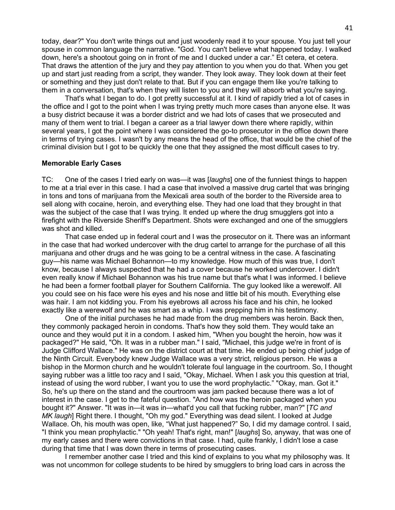today, dear?" You don't write things out and just woodenly read it to your spouse. You just tell your spouse in common language the narrative. "God. You can't believe what happened today. I walked down, here's a shootout going on in front of me and I ducked under a car." Et cetera, et cetera. That draws the attention of the jury and they pay attention to you when you do that. When you get up and start just reading from a script, they wander. They look away. They look down at their feet or something and they just don't relate to that. But if you can engage them like you're talking to them in a conversation, that's when they will listen to you and they will absorb what you're saying.

That's what I began to do. I got pretty successful at it. I kind of rapidly tried a lot of cases in the office and I got to the point when I was trying pretty much more cases than anyone else. It was a busy district because it was a border district and we had lots of cases that we prosecuted and many of them went to trial. I began a career as a trial lawyer down there where rapidly, within several years, I got the point where I was considered the go-to prosecutor in the office down there in terms of trying cases. I wasn't by any means the head of the office, that would be the chief of the criminal division but I got to be quickly the one that they assigned the most difficult cases to try.

#### **Memorable Early Cases**

TC: One of the cases I tried early on was—it was [*laughs*] one of the funniest things to happen to me at a trial ever in this case. I had a case that involved a massive drug cartel that was bringing in tons and tons of marijuana from the Mexicali area south of the border to the Riverside area to sell along with cocaine, heroin, and everything else. They had one load that they brought in that was the subject of the case that I was trying. It ended up where the drug smugglers got into a firefight with the Riverside Sheriff's Department. Shots were exchanged and one of the smugglers was shot and killed.

That case ended up in federal court and I was the prosecutor on it. There was an informant in the case that had worked undercover with the drug cartel to arrange for the purchase of all this marijuana and other drugs and he was going to be a central witness in the case. A fascinating guy—his name was Michael Bohannon—to my knowledge. How much of this was true, I don't know, because I always suspected that he had a cover because he worked undercover. I didn't even really know if Michael Bohannon was his true name but that's what I was informed. I believe he had been a former football player for Southern California. The guy looked like a werewolf. All you could see on his face were his eyes and his nose and little bit of his mouth. Everything else was hair. I am not kidding you. From his eyebrows all across his face and his chin, he looked exactly like a werewolf and he was smart as a whip. I was prepping him in his testimony.

One of the initial purchases he had made from the drug members was heroin. Back then, they commonly packaged heroin in condoms. That's how they sold them. They would take an ounce and they would put it in a condom. I asked him, "When you bought the heroin, how was it packaged?" He said, "Oh. It was in a rubber man." I said, "Michael, this judge we're in front of is Judge Clifford Wallace." He was on the district court at that time. He ended up being chief judge of the Ninth Circuit. Everybody knew Judge Wallace was a very strict, religious person. He was a bishop in the Mormon church and he wouldn't tolerate foul language in the courtroom. So, I thought saying rubber was a little too racy and I said, "Okay, Michael. When I ask you this question at trial, instead of using the word rubber, I want you to use the word prophylactic." "Okay, man. Got it." So, he's up there on the stand and the courtroom was jam packed because there was a lot of interest in the case. I get to the fateful question. "And how was the heroin packaged when you bought it?" Answer. "It was in—it was in—what'd you call that fucking rubber, man?" [*TC and MK laugh*] Right there. I thought, "Oh my god." Everything was dead silent. I looked at Judge Wallace. Oh, his mouth was open, like, "What just happened?" So, I did my damage control. I said, "I think you mean prophylactic." "Oh yeah! That's right, man!" [*laughs*] So, anyway, that was one of my early cases and there were convictions in that case. I had, quite frankly, I didn't lose a case during that time that I was down there in terms of prosecuting cases.

I remember another case I tried and this kind of explains to you what my philosophy was. It was not uncommon for college students to be hired by smugglers to bring load cars in across the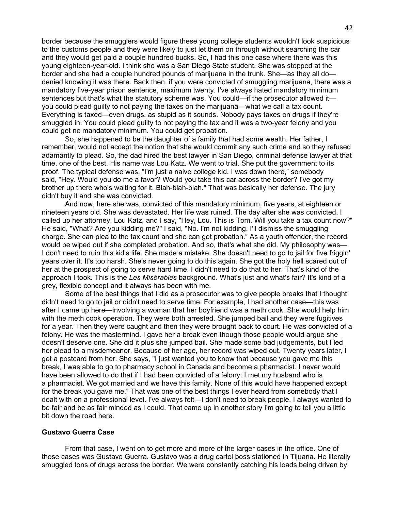border because the smugglers would figure these young college students wouldn't look suspicious to the customs people and they were likely to just let them on through without searching the car and they would get paid a couple hundred bucks. So, I had this one case where there was this young eighteen-year-old. I think she was a San Diego State student. She was stopped at the border and she had a couple hundred pounds of marijuana in the trunk. She—as they all do denied knowing it was there. Back then, if you were convicted of smuggling marijuana, there was a mandatory five-year prison sentence, maximum twenty. I've always hated mandatory minimum sentences but that's what the statutory scheme was. You could—if the prosecutor allowed it you could plead guilty to not paying the taxes on the marijuana—what we call a tax count. Everything is taxed—even drugs, as stupid as it sounds. Nobody pays taxes on drugs if they're smuggled in. You could plead guilty to not paying the tax and it was a two-year felony and you could get no mandatory minimum. You could get probation.

So, she happened to be the daughter of a family that had some wealth. Her father, I remember, would not accept the notion that she would commit any such crime and so they refused adamantly to plead. So, the dad hired the best lawyer in San Diego, criminal defense lawyer at that time, one of the best. His name was Lou Katz. We went to trial. She put the government to its proof. The typical defense was, "I'm just a naive college kid. I was down there," somebody said, "Hey. Would you do me a favor? Would you take this car across the border? I've got my brother up there who's waiting for it. Blah-blah-blah." That was basically her defense. The jury didn't buy it and she was convicted.

And now, here she was, convicted of this mandatory minimum, five years, at eighteen or nineteen years old. She was devastated. Her life was ruined. The day after she was convicted, I called up her attorney, Lou Katz, and I say, "Hey, Lou. This is Tom. Will you take a tax count now?" He said, "What? Are you kidding me?" I said, "No. I'm not kidding. I'll dismiss the smuggling charge. She can plea to the tax count and she can get probation." As a youth offender, the record would be wiped out if she completed probation. And so, that's what she did. My philosophy was— I don't need to ruin this kid's life. She made a mistake. She doesn't need to go to jail for five friggin' years over it. It's too harsh. She's never going to do this again. She got the holy hell scared out of her at the prospect of going to serve hard time. I didn't need to do that to her. That's kind of the approach I took. This is the *Les Misérables* background. What's just and what's fair? It's kind of a grey, flexible concept and it always has been with me.

Some of the best things that I did as a prosecutor was to give people breaks that I thought didn't need to go to jail or didn't need to serve time. For example, I had another case—this was after I came up here—involving a woman that her boyfriend was a meth cook. She would help him with the meth cook operation. They were both arrested. She jumped bail and they were fugitives for a year. Then they were caught and then they were brought back to court. He was convicted of a felony. He was the mastermind. I gave her a break even though those people would argue she doesn't deserve one. She did it plus she jumped bail. She made some bad judgements, but I led her plead to a misdemeanor. Because of her age, her record was wiped out. Twenty years later, I get a postcard from her. She says, "I just wanted you to know that because you gave me this break, I was able to go to pharmacy school in Canada and become a pharmacist. I never would have been allowed to do that if I had been convicted of a felony. I met my husband who is a pharmacist. We got married and we have this family. None of this would have happened except for the break you gave me." That was one of the best things I ever heard from somebody that I dealt with on a professional level. I've always felt—I don't need to break people. I always wanted to be fair and be as fair minded as I could. That came up in another story I'm going to tell you a little bit down the road here.

#### **Gustavo Guerra Case**

From that case, I went on to get more and more of the larger cases in the office. One of those cases was Gustavo Guerra. Gustavo was a drug cartel boss stationed in Tijuana. He literally smuggled tons of drugs across the border. We were constantly catching his loads being driven by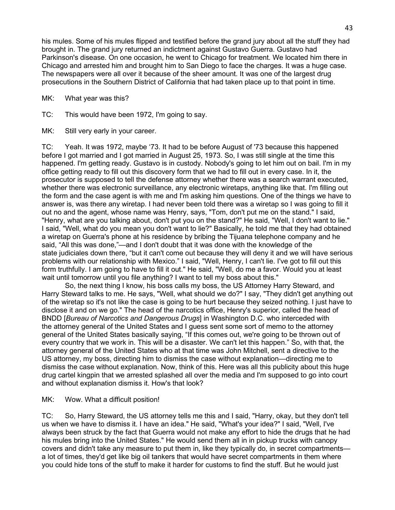his mules. Some of his mules flipped and testified before the grand jury about all the stuff they had brought in. The grand jury returned an indictment against Gustavo Guerra. Gustavo had Parkinson's disease. On one occasion, he went to Chicago for treatment. We located him there in Chicago and arrested him and brought him to San Diego to face the charges. It was a huge case. The newspapers were all over it because of the sheer amount. It was one of the largest drug prosecutions in the Southern District of California that had taken place up to that point in time.

MK: What year was this?

TC: This would have been 1972, I'm going to say.

MK: Still very early in your career.

TC: Yeah. It was 1972, maybe '73. It had to be before August of '73 because this happened before I got married and I got married in August 25, 1973. So, I was still single at the time this happened. I'm getting ready. Gustavo is in custody. Nobody's going to let him out on bail. I'm in my office getting ready to fill out this discovery form that we had to fill out in every case. In it, the prosecutor is supposed to tell the defense attorney whether there was a search warrant executed, whether there was electronic surveillance, any electronic wiretaps, anything like that. I'm filling out the form and the case agent is with me and I'm asking him questions. One of the things we have to answer is, was there any wiretap. I had never been told there was a wiretap so I was going to fill it out no and the agent, whose name was Henry, says, "Tom, don't put me on the stand." I said, "Henry, what are you talking about, don't put you on the stand?" He said, "Well, I don't want to lie." I said, "Well, what do you mean you don't want to lie?" Basically, he told me that they had obtained a wiretap on Guerra's phone at his residence by bribing the Tijuana telephone company and he said, "All this was done,"—and I don't doubt that it was done with the knowledge of the state judiciales down there, "but it can't come out because they will deny it and we will have serious problems with our relationship with Mexico." I said, "Well, Henry, I can't lie. I've got to fill out this form truthfully. I am going to have to fill it out." He said, "Well, do me a favor. Would you at least wait until tomorrow until you file anything? I want to tell my boss about this."

So, the next thing I know, his boss calls my boss, the US Attorney Harry Steward, and Harry Steward talks to me. He says, "Well, what should we do?" I say, "They didn't get anything out of the wiretap so it's not like the case is going to be hurt because they seized nothing. I just have to disclose it and on we go." The head of the narcotics office, Henry's superior, called the head of BNDD [*Bureau of Narcotics and Dangerous Drugs*] in Washington D.C. who interceded with the attorney general of the United States and I guess sent some sort of memo to the attorney general of the United States basically saying, "If this comes out, we're going to be thrown out of every country that we work in. This will be a disaster. We can't let this happen." So, with that, the attorney general of the United States who at that time was John Mitchell, sent a directive to the US attorney, my boss, directing him to dismiss the case without explanation—directing me to dismiss the case without explanation. Now, think of this. Here was all this publicity about this huge drug cartel kingpin that we arrested splashed all over the media and I'm supposed to go into court and without explanation dismiss it. How's that look?

## MK: Wow. What a difficult position!

TC: So, Harry Steward, the US attorney tells me this and I said, "Harry, okay, but they don't tell us when we have to dismiss it. I have an idea." He said, "What's your idea?" I said, "Well, I've always been struck by the fact that Guerra would not make any effort to hide the drugs that he had his mules bring into the United States." He would send them all in in pickup trucks with canopy covers and didn't take any measure to put them in, like they typically do, in secret compartments a lot of times, they'd get like big oil tankers that would have secret compartments in them where you could hide tons of the stuff to make it harder for customs to find the stuff. But he would just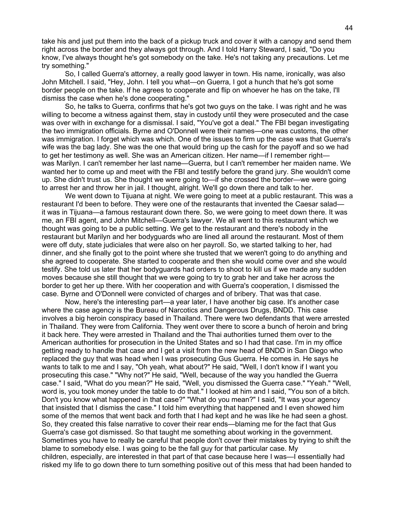take his and just put them into the back of a pickup truck and cover it with a canopy and send them right across the border and they always got through. And I told Harry Steward, I said, "Do you know, I've always thought he's got somebody on the take. He's not taking any precautions. Let me try something."

So, I called Guerra's attorney, a really good lawyer in town. His name, ironically, was also John Mitchell. I said, "Hey, John. I tell you what—on Guerra, I got a hunch that he's got some border people on the take. If he agrees to cooperate and flip on whoever he has on the take, I'll dismiss the case when he's done cooperating."

So, he talks to Guerra, confirms that he's got two guys on the take. I was right and he was willing to become a witness against them, stay in custody until they were prosecuted and the case was over with in exchange for a dismissal. I said, "You've got a deal." The FBI began investigating the two immigration officials. Byrne and O'Donnell were their names—one was customs, the other was immigration. I forget which was which. One of the issues to firm up the case was that Guerra's wife was the bag lady. She was the one that would bring up the cash for the payoff and so we had to get her testimony as well. She was an American citizen. Her name—if I remember right was Marilyn. I can't remember her last name—Guerra, but I can't remember her maiden name. We wanted her to come up and meet with the FBI and testify before the grand jury. She wouldn't come up. She didn't trust us. She thought we were going to—if she crossed the border—we were going to arrest her and throw her in jail. I thought, alright. We'll go down there and talk to her.

We went down to Tijuana at night. We were going to meet at a public restaurant. This was a restaurant I'd been to before. They were one of the restaurants that invented the Caesar salad it was in Tijuana—a famous restaurant down there. So, we were going to meet down there. It was me, an FBI agent, and John Mitchell—Guerra's lawyer. We all went to this restaurant which we thought was going to be a public setting. We get to the restaurant and there's nobody in the restaurant but Marilyn and her bodyguards who are lined all around the restaurant. Most of them were off duty, state judiciales that were also on her payroll. So, we started talking to her, had dinner, and she finally got to the point where she trusted that we weren't going to do anything and she agreed to cooperate. She started to cooperate and then she would come over and she would testify. She told us later that her bodyguards had orders to shoot to kill us if we made any sudden moves because she still thought that we were going to try to grab her and take her across the border to get her up there. With her cooperation and with Guerra's cooperation, I dismissed the case. Byrne and O'Donnell were convicted of charges and of bribery. That was that case.

Now, here's the interesting part—a year later, I have another big case. It's another case where the case agency is the Bureau of Narcotics and Dangerous Drugs, BNDD. This case involves a big heroin conspiracy based in Thailand. There were two defendants that were arrested in Thailand. They were from California. They went over there to score a bunch of heroin and bring it back here. They were arrested in Thailand and the Thai authorities turned them over to the American authorities for prosecution in the United States and so I had that case. I'm in my office getting ready to handle that case and I get a visit from the new head of BNDD in San Diego who replaced the guy that was head when I was prosecuting Gus Guerra. He comes in. He says he wants to talk to me and I say, "Oh yeah, what about?" He said, "Well, I don't know if I want you prosecuting this case." "Why not?" He said, "Well, because of the way you handled the Guerra case." I said, "What do you mean?" He said, "Well, you dismissed the Guerra case." "Yeah." "Well, word is, you took money under the table to do that." I looked at him and I said, "You son of a bitch. Don't you know what happened in that case?" "What do you mean?" I said, "It was your agency that insisted that I dismiss the case." I told him everything that happened and I even showed him some of the memos that went back and forth that I had kept and he was like he had seen a ghost. So, they created this false narrative to cover their rear ends—blaming me for the fact that Gus Guerra's case got dismissed. So that taught me something about working in the government. Sometimes you have to really be careful that people don't cover their mistakes by trying to shift the blame to somebody else. I was going to be the fall guy for that particular case. My children, especially, are interested in that part of that case because here I was—I essentially had risked my life to go down there to turn something positive out of this mess that had been handed to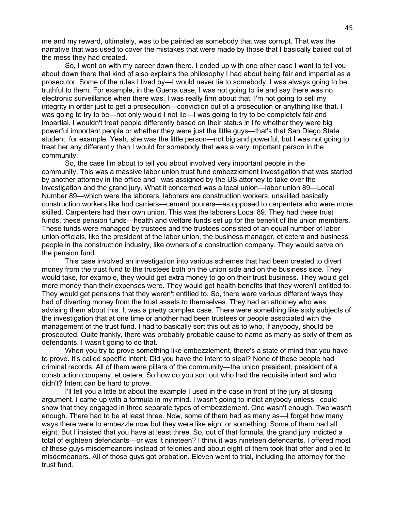me and my reward, ultimately, was to be painted as somebody that was corrupt. That was the narrative that was used to cover the mistakes that were made by those that I basically bailed out of the mess they had created.

So, I went on with my career down there. I ended up with one other case I want to tell you about down there that kind of also explains the philosophy I had about being fair and impartial as a prosecutor. Some of the rules I lived by—I would never lie to somebody. I was always going to be truthful to them. For example, in the Guerra case, I was not going to lie and say there was no electronic surveillance when there was. I was really firm about that. I'm not going to sell my integrity in order just to get a prosecution—conviction out of a prosecution or anything like that. I was going to try to be—not only would I not lie—I was going to try to be completely fair and impartial. I wouldn't treat people differently based on their status in life whether they were big powerful important people or whether they were just the little guys—that's that San Diego State student, for example. Yeah, she was the little person—not big and powerful, but I was not going to treat her any differently than I would for somebody that was a very important person in the community.

So, the case I'm about to tell you about involved very important people in the community. This was a massive labor union trust fund embezzlement investigation that was started by another attorney in the office and I was assigned by the US attorney to take over the investigation and the grand jury. What it concerned was a local union—labor union 89—Local Number 89—which were the laborers, laborers are construction workers, unskilled basically construction workers like hod carriers—cement pourers—as opposed to carpenters who were more skilled. Carpenters had their own union. This was the laborers Local 89. They had these trust funds, these pension funds—health and welfare funds set up for the benefit of the union members. These funds were managed by trustees and the trustees consisted of an equal number of labor union officials, like the president of the labor union, the business manager, et cetera and business people in the construction industry, like owners of a construction company. They would serve on the pension fund.

This case involved an investigation into various schemes that had been created to divert money from the trust fund to the trustees both on the union side and on the business side. They would take, for example, they would get extra money to go on their trust business. They would get more money than their expenses were. They would get health benefits that they weren't entitled to. They would get pensions that they weren't entitled to. So, there were various different ways they had of diverting money from the trust assets to themselves. They had an attorney who was advising them about this. It was a pretty complex case. There were something like sixty subjects of the investigation that at one time or another had been trustees or people associated with the management of the trust fund. I had to basically sort this out as to who, if anybody, should be prosecuted. Quite frankly, there was probably probable cause to name as many as sixty of them as defendants. I wasn't going to do that.

When you try to prove something like embezzlement, there's a state of mind that you have to prove. It's called specific intent. Did you have the intent to steal? None of these people had criminal records. All of them were pillars of the community—the union president, president of a construction company, et cetera. So how do you sort out who had the requisite intent and who didn't? Intent can be hard to prove.

I'll tell you a little bit about the example I used in the case in front of the jury at closing argument. I came up with a formula in my mind. I wasn't going to indict anybody unless I could show that they engaged in three separate types of embezzlement. One wasn't enough. Two wasn't enough. There had to be at least three. Now, some of them had as many as—I forget how many ways there were to embezzle now but they were like eight or something. Some of them had all eight. But I insisted that you have at least three. So, out of that formula, the grand jury indicted a total of eighteen defendants—or was it nineteen? I think it was nineteen defendants. I offered most of these guys misdemeanors instead of felonies and about eight of them took that offer and pled to misdemeanors. All of those guys got probation. Eleven went to trial, including the attorney for the trust fund.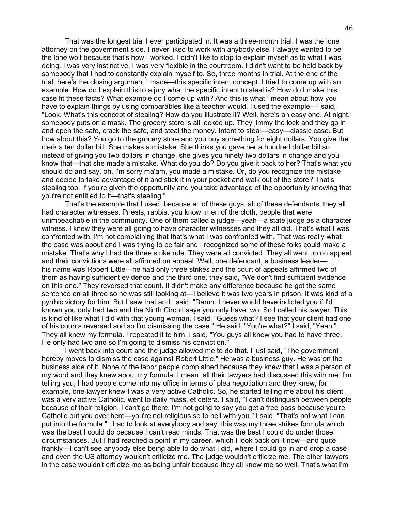That was the longest trial I ever participated in. It was a three-month trial. I was the lone attorney on the government side. I never liked to work with anybody else. I always wanted to be the lone wolf because that's how I worked. I didn't like to stop to explain myself as to what I was doing. I was very instinctive. I was very flexible in the courtroom. I didn't want to be held back by somebody that I had to constantly explain myself to. So, three months in trial. At the end of the trial, here's the closing argument I made—this specific intent concept. I tried to come up with an example. How do I explain this to a jury what the specific intent to steal is? How do I make this case fit these facts? What example do I come up with? And this is what I mean about how you have to explain things by using comparables like a teacher would. I used the example—I said, "Look. What's this concept of stealing? How do you illustrate it? Well, here's an easy one. At night, somebody puts on a mask. The grocery store is all locked up. They jimmy the lock and they go in and open the safe, crack the safe, and steal the money. Intent to steal—easy—classic case. But how about this? You go to the grocery store and you buy something for eight dollars. You give the clerk a ten dollar bill. She makes a mistake. She thinks you gave her a hundred dollar bill so instead of giving you two dollars in change, she gives you ninety two dollars in change and you know that—that she made a mistake. What do you do? Do you give it back to her? That's what you should do and say, oh, I'm sorry ma'am, you made a mistake. Or, do you recognize the mistake and decide to take advantage of it and stick it in your pocket and walk out of the store? That's stealing too. If you're given the opportunity and you take advantage of the opportunity knowing that you're not entitled to it—that's stealing."

That's the example that I used, because all of these guys, all of these defendants, they all had character witnesses. Priests, rabbis, you know, men of the cloth, people that were unimpeachable in the community. One of them called a judge—yeah—a state judge as a character witness. I knew they were all going to have character witnesses and they all did. That's what I was confronted with. I'm not complaining that that's what I was confronted with. That was really what the case was about and I was trying to be fair and I recognized some of these folks could make a mistake. That's why I had the three strike rule. They were all convicted. They all went up on appeal and their convictions were all affirmed on appeal. Well, one defendant, a business leader his name was Robert Little—he had only three strikes and the court of appeals affirmed two of them as having sufficient evidence and the third one, they said, "We don't find sufficient evidence on this one." They reversed that count. It didn't make any difference because he got the same sentence on all three so he was still looking at—I believe it was two years in prison. It was kind of a pyrrhic victory for him. But I saw that and I said, "Damn. I never would have indicted you if I'd known you only had two and the Ninth Circuit says you only have two. So I called his lawyer. This is kind of like what I did with that young woman. I said, "Guess what? I see that your client had one of his counts reversed and so I'm dismissing the case." He said, "You're what?" I said, "Yeah." They all knew my formula. I repeated it to him. I said, "You guys all knew you had to have three. He only had two and so I'm going to dismiss his conviction."

I went back into court and the judge allowed me to do that. I just said, "The government hereby moves to dismiss the case against Robert Little." He was a business guy. He was on the business side of it. None of the labor people complained because they knew that I was a person of my word and they knew about my formula. I mean, all their lawyers had discussed this with me. I'm telling you, I had people come into my office in terms of plea negotiation and they knew, for example, one lawyer knew I was a very active Catholic. So, he started telling me about his client, was a very active Catholic, went to daily mass, et cetera. I said, "I can't distinguish between people because of their religion. I can't go there. I'm not going to say you get a free pass because you're Catholic but you over here—you're not religious so to hell with you." I said, "That's not what I can put into the formula." I had to look at everybody and say, this was my three strikes formula which was the best I could do because I can't read minds. That was the best I could do under those circumstances. But I had reached a point in my career, which I look back on it now—and quite frankly—I can't see anybody else being able to do what I did, where I could go in and drop a case and even the US attorney wouldn't criticize me. The judge wouldn't criticize me. The other lawyers in the case wouldn't criticize me as being unfair because they all knew me so well. That's what I'm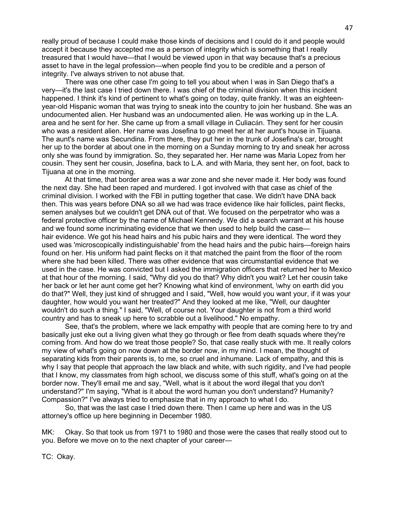really proud of because I could make those kinds of decisions and I could do it and people would accept it because they accepted me as a person of integrity which is something that I really treasured that I would have—that I would be viewed upon in that way because that's a precious asset to have in the legal profession—when people find you to be credible and a person of integrity. I've always striven to not abuse that.

There was one other case I'm going to tell you about when I was in San Diego that's a very—it's the last case I tried down there. I was chief of the criminal division when this incident happened. I think it's kind of pertinent to what's going on today, quite frankly. It was an eighteenyear-old Hispanic woman that was trying to sneak into the country to join her husband. She was an undocumented alien. Her husband was an undocumented alien. He was working up in the L.A. area and he sent for her. She came up from a small village in Culiacán. They sent for her cousin who was a resident alien. Her name was Josefina to go meet her at her aunt's house in Tijuana. The aunt's name was Secundina. From there, they put her in the trunk of Josefina's car, brought her up to the border at about one in the morning on a Sunday morning to try and sneak her across only she was found by immigration. So, they separated her. Her name was Maria Lopez from her cousin. They sent her cousin, Josefina, back to L.A. and with Maria, they sent her, on foot, back to Tijuana at one in the morning.

At that time, that border area was a war zone and she never made it. Her body was found the next day. She had been raped and murdered. I got involved with that case as chief of the criminal division. I worked with the FBI in putting together that case. We didn't have DNA back then. This was years before DNA so all we had was trace evidence like hair follicles, paint flecks, semen analyses but we couldn't get DNA out of that. We focused on the perpetrator who was a federal protective officer by the name of Michael Kennedy. We did a search warrant at his house and we found some incriminating evidence that we then used to help build the case hair evidence. We got his head hairs and his pubic hairs and they were identical. The word they used was 'microscopically indistinguishable' from the head hairs and the pubic hairs—foreign hairs found on her. His uniform had paint flecks on it that matched the paint from the floor of the room where she had been killed. There was other evidence that was circumstantial evidence that we used in the case. He was convicted but I asked the immigration officers that returned her to Mexico at that hour of the morning. I said, "Why did you do that? Why didn't you wait? Let her cousin take her back or let her aunt come get her? Knowing what kind of environment, \why on earth did you do that?" Well, they just kind of shrugged and I said, "Well, how would you want your, if it was your daughter, how would you want her treated?" And they looked at me like, "Well, our daughter wouldn't do such a thing." I said, "Well, of course not. Your daughter is not from a third world country and has to sneak up here to scrabble out a livelihood." No empathy.

See, that's the problem, where we lack empathy with people that are coming here to try and basically just eke out a living given what they go through or flee from death squads where they're coming from. And how do we treat those people? So, that case really stuck with me. It really colors my view of what's going on now down at the border now, in my mind. I mean, the thought of separating kids from their parents is, to me, so cruel and inhumane. Lack of empathy, and this is why I say that people that approach the law black and white, with such rigidity, and I've had people that I know, my classmates from high school, we discuss some of this stuff, what's going on at the border now. They'll email me and say, "Well, what is it about the word illegal that you don't understand?" I'm saying, "What is it about the word human you don't understand? Humanity? Compassion?" I've always tried to emphasize that in my approach to what I do.

So, that was the last case I tried down there. Then I came up here and was in the US attorney's office up here beginning in December 1980.

MK: Okay. So that took us from 1971 to 1980 and those were the cases that really stood out to you. Before we move on to the next chapter of your career—

TC: Okay.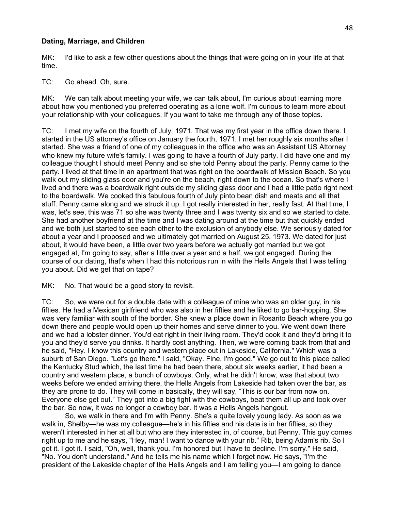### **Dating, Marriage, and Children**

MK: I'd like to ask a few other questions about the things that were going on in your life at that time.

TC: Go ahead. Oh, sure.

MK: We can talk about meeting your wife, we can talk about, I'm curious about learning more about how you mentioned you preferred operating as a lone wolf. I'm curious to learn more about your relationship with your colleagues. If you want to take me through any of those topics.

TC: I met my wife on the fourth of July, 1971. That was my first year in the office down there. I started in the US attorney's office on January the fourth, 1971. I met her roughly six months after I started. She was a friend of one of my colleagues in the office who was an Assistant US Attorney who knew my future wife's family. I was going to have a fourth of July party. I did have one and my colleague thought I should meet Penny and so she told Penny about the party. Penny came to the party. I lived at that time in an apartment that was right on the boardwalk of Mission Beach. So you walk out my sliding glass door and you're on the beach, right down to the ocean. So that's where I lived and there was a boardwalk right outside my sliding glass door and I had a little patio right next to the boardwalk. We cooked this fabulous fourth of July pinto bean dish and meats and all that stuff. Penny came along and we struck it up. I got really interested in her, really fast. At that time, I was, let's see, this was 71 so she was twenty three and I was twenty six and so we started to date. She had another boyfriend at the time and I was dating around at the time but that quickly ended and we both just started to see each other to the exclusion of anybody else. We seriously dated for about a year and I proposed and we ultimately got married on August 25, 1973. We dated for just about, it would have been, a little over two years before we actually got married but we got engaged at, I'm going to say, after a little over a year and a half, we got engaged. During the course of our dating, that's when I had this notorious run in with the Hells Angels that I was telling you about. Did we get that on tape?

MK: No. That would be a good story to revisit.

TC: So, we were out for a double date with a colleague of mine who was an older guy, in his fifties. He had a Mexican girlfriend who was also in her fifties and he liked to go bar-hopping. She was very familiar with south of the border. She knew a place down in Rosarito Beach where you go down there and people would open up their homes and serve dinner to you. We went down there and we had a lobster dinner. You'd eat right in their living room. They'd cook it and they'd bring it to you and they'd serve you drinks. It hardly cost anything. Then, we were coming back from that and he said, "Hey. I know this country and western place out in Lakeside, California." Which was a suburb of San Diego. "Let's go there." I said, "Okay. Fine, I'm good." We go out to this place called the Kentucky Stud which, the last time he had been there, about six weeks earlier, it had been a country and western place, a bunch of cowboys. Only, what he didn't know, was that about two weeks before we ended arriving there, the Hells Angels from Lakeside had taken over the bar, as they are prone to do. They will come in basically, they will say, "This is our bar from now on. Everyone else get out." They got into a big fight with the cowboys, beat them all up and took over the bar. So now, it was no longer a cowboy bar. It was a Hells Angels hangout.

So, we walk in there and I'm with Penny. She's a quite lovely young lady. As soon as we walk in, Shelby—he was my colleague—he's in his fifties and his date is in her fifties, so they weren't interested in her at all but who are they interested in, of course, but Penny. This guy comes right up to me and he says, "Hey, man! I want to dance with your rib." Rib, being Adam's rib. So I got it. I got it. I said, "Oh, well, thank you. I'm honored but I have to decline. I'm sorry." He said, "No. You don't understand." And he tells me his name which I forget now. He says, "I'm the president of the Lakeside chapter of the Hells Angels and I am telling you—I am going to dance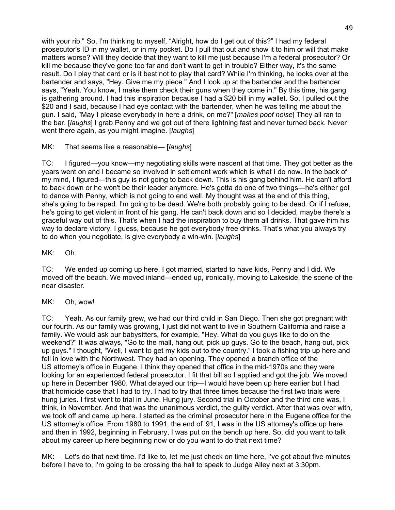with your rib." So, I'm thinking to myself, "Alright, how do I get out of this?" I had my federal prosecutor's ID in my wallet, or in my pocket. Do I pull that out and show it to him or will that make matters worse? Will they decide that they want to kill me just because I'm a federal prosecutor? Or kill me because they've gone too far and don't want to get in trouble? Either way, it's the same result. Do I play that card or is it best not to play that card? While I'm thinking, he looks over at the bartender and says, "Hey. Give me my piece." And I look up at the bartender and the bartender says, "Yeah. You know, I make them check their guns when they come in." By this time, his gang is gathering around. I had this inspiration because I had a \$20 bill in my wallet. So, I pulled out the \$20 and I said, because I had eye contact with the bartender, when he was telling me about the gun. I said, "May I please everybody in here a drink, on me?" [*makes poof noise*] They all ran to the bar. [*laughs*] I grab Penny and we got out of there lightning fast and never turned back. Never went there again, as you might imagine. [*laughs*]

MK: That seems like a reasonable— [*laughs*]

TC: I figured—you know—my negotiating skills were nascent at that time. They got better as the years went on and I became so involved in settlement work which is what I do now. In the back of my mind, I figured—this guy is not going to back down. This is his gang behind him. He can't afford to back down or he won't be their leader anymore. He's gotta do one of two things—he's either got to dance with Penny, which is not going to end well. My thought was at the end of this thing, she's going to be raped. I'm going to be dead. We're both probably going to be dead. Or if I refuse, he's going to get violent in front of his gang. He can't back down and so I decided, maybe there's a graceful way out of this. That's when I had the inspiration to buy them all drinks. That gave him his way to declare victory, I guess, because he got everybody free drinks. That's what you always try to do when you negotiate, is give everybody a win-win. [*laughs*]

MK: Oh.

TC: We ended up coming up here. I got married, started to have kids, Penny and I did. We moved off the beach. We moved inland—ended up, ironically, moving to Lakeside, the scene of the near disaster.

MK: Oh, wow!

TC: Yeah. As our family grew, we had our third child in San Diego. Then she got pregnant with our fourth. As our family was growing, I just did not want to live in Southern California and raise a family. We would ask our babysitters, for example, "Hey. What do you guys like to do on the weekend?" It was always, "Go to the mall, hang out, pick up guys. Go to the beach, hang out, pick up guys." I thought, "Well, I want to get my kids out to the country." I took a fishing trip up here and fell in love with the Northwest. They had an opening. They opened a branch office of the US attorney's office in Eugene. I think they opened that office in the mid-1970s and they were looking for an experienced federal prosecutor. I fit that bill so I applied and got the job. We moved up here in December 1980. What delayed our trip—I would have been up here earlier but I had that homicide case that I had to try. I had to try that three times because the first two trials were hung juries. I first went to trial in June. Hung jury. Second trial in October and the third one was, I think, in November. And that was the unanimous verdict, the guilty verdict. After that was over with, we took off and came up here. I started as the criminal prosecutor here in the Eugene office for the US attorney's office. From 1980 to 1991, the end of '91, I was in the US attorney's office up here and then in 1992, beginning in February, I was put on the bench up here. So, did you want to talk about my career up here beginning now or do you want to do that next time?

MK: Let's do that next time. I'd like to, let me just check on time here, I've got about five minutes before I have to, I'm going to be crossing the hall to speak to Judge Alley next at 3:30pm.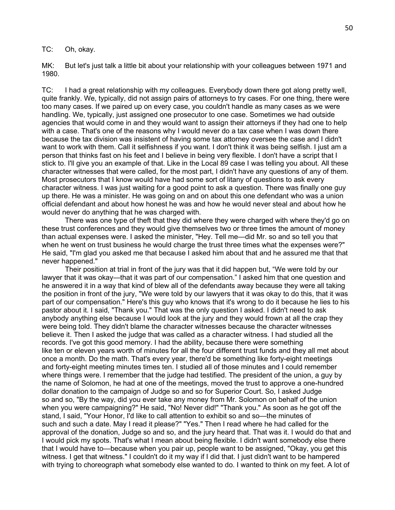TC: Oh, okay.

MK: But let's just talk a little bit about your relationship with your colleagues between 1971 and 1980.

TC: I had a great relationship with my colleagues. Everybody down there got along pretty well, quite frankly. We, typically, did not assign pairs of attorneys to try cases. For one thing, there were too many cases. If we paired up on every case, you couldn't handle as many cases as we were handling. We, typically, just assigned one prosecutor to one case. Sometimes we had outside agencies that would come in and they would want to assign their attorneys if they had one to help with a case. That's one of the reasons why I would never do a tax case when I was down there because the tax division was insistent of having some tax attorney oversee the case and I didn't want to work with them. Call it selfishness if you want. I don't think it was being selfish. I just am a person that thinks fast on his feet and I believe in being very flexible. I don't have a script that I stick to. I'll give you an example of that. Like in the Local 89 case I was telling you about. All these character witnesses that were called, for the most part, I didn't have any questions of any of them. Most prosecutors that I know would have had some sort of litany of questions to ask every character witness. I was just waiting for a good point to ask a question. There was finally one guy up there. He was a minister. He was going on and on about this one defendant who was a union official defendant and about how honest he was and how he would never steal and about how he would never do anything that he was charged with.

There was one type of theft that they did where they were charged with where they'd go on these trust conferences and they would give themselves two or three times the amount of money than actual expenses were. I asked the minister, "Hey. Tell me—did Mr. so and so tell you that when he went on trust business he would charge the trust three times what the expenses were?" He said, "I'm glad you asked me that because I asked him about that and he assured me that that never happened."

Their position at trial in front of the jury was that it did happen but, "We were told by our lawyer that it was okay—that it was part of our compensation." I asked him that one question and he answered it in a way that kind of blew all of the defendants away because they were all taking the position in front of the jury, "We were told by our lawyers that it was okay to do this, that it was part of our compensation." Here's this guy who knows that it's wrong to do it because he lies to his pastor about it. I said, "Thank you." That was the only question I asked. I didn't need to ask anybody anything else because I would look at the jury and they would frown at all the crap they were being told. They didn't blame the character witnesses because the character witnesses believe it. Then I asked the judge that was called as a character witness. I had studied all the records. I've got this good memory. I had the ability, because there were something like ten or eleven years worth of minutes for all the four different trust funds and they all met about once a month. Do the math. That's every year, there'd be something like forty-eight meetings and forty-eight meeting minutes times ten. I studied all of those minutes and I could remember where things were. I remember that the judge had testified. The president of the union, a guy by the name of Solomon, he had at one of the meetings, moved the trust to approve a one-hundred dollar donation to the campaign of Judge so and so for Superior Court. So, I asked Judge so and so, "By the way, did you ever take any money from Mr. Solomon on behalf of the union when you were campaigning?" He said, "No! Never did!" "Thank you." As soon as he got off the stand, I said, "Your Honor, I'd like to call attention to exhibit so and so—the minutes of such and such a date. May I read it please?" "Yes." Then I read where he had called for the approval of the donation, Judge so and so, and the jury heard that. That was it. I would do that and I would pick my spots. That's what I mean about being flexible. I didn't want somebody else there that I would have to—because when you pair up, people want to be assigned, "Okay, you get this witness. I get that witness." I couldn't do it my way if I did that. I just didn't want to be hampered with trying to choreograph what somebody else wanted to do. I wanted to think on my feet. A lot of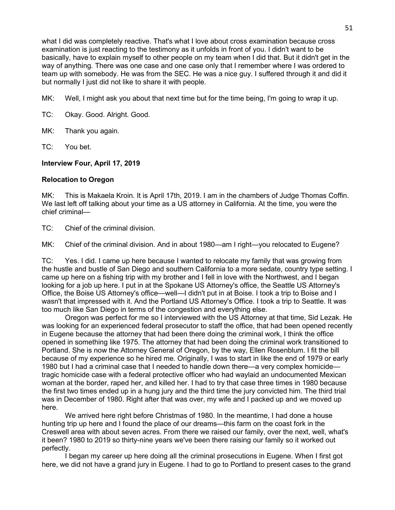what I did was completely reactive. That's what I love about cross examination because cross examination is just reacting to the testimony as it unfolds in front of you. I didn't want to be basically, have to explain myself to other people on my team when I did that. But it didn't get in the way of anything. There was one case and one case only that I remember where I was ordered to team up with somebody. He was from the SEC. He was a nice guy. I suffered through it and did it but normally I just did not like to share it with people.

MK: Well, I might ask you about that next time but for the time being, I'm going to wrap it up.

- TC: Okay. Good. Alright. Good.
- MK: Thank you again.
- TC: You bet.

## **Interview Four, April 17, 2019**

## **Relocation to Oregon**

MK: This is Makaela Kroin. It is April 17th, 2019. I am in the chambers of Judge Thomas Coffin. We last left off talking about your time as a US attorney in California. At the time, you were the chief criminal—

TC: Chief of the criminal division.

MK: Chief of the criminal division. And in about 1980—am I right—you relocated to Eugene?

TC: Yes. I did. I came up here because I wanted to relocate my family that was growing from the hustle and bustle of San Diego and southern California to a more sedate, country type setting. I came up here on a fishing trip with my brother and I fell in love with the Northwest, and I began looking for a job up here. I put in at the Spokane US Attorney's office, the Seattle US Attorney's Office, the Boise US Attorney's office—well—I didn't put in at Boise. I took a trip to Boise and I wasn't that impressed with it. And the Portland US Attorney's Office. I took a trip to Seattle. It was too much like San Diego in terms of the congestion and everything else.

Oregon was perfect for me so I interviewed with the US Attorney at that time, Sid Lezak. He was looking for an experienced federal prosecutor to staff the office, that had been opened recently in Eugene because the attorney that had been there doing the criminal work, I think the office opened in something like 1975. The attorney that had been doing the criminal work transitioned to Portland. She is now the Attorney General of Oregon, by the way, Ellen Rosenblum. I fit the bill because of my experience so he hired me. Originally, I was to start in like the end of 1979 or early 1980 but I had a criminal case that I needed to handle down there—a very complex homicide tragic homicide case with a federal protective officer who had waylaid an undocumented Mexican woman at the border, raped her, and killed her. I had to try that case three times in 1980 because the first two times ended up in a hung jury and the third time the jury convicted him. The third trial was in December of 1980. Right after that was over, my wife and I packed up and we moved up here.

We arrived here right before Christmas of 1980. In the meantime, I had done a house hunting trip up here and I found the place of our dreams—this farm on the coast fork in the Creswell area with about seven acres. From there we raised our family, over the next, well, what's it been? 1980 to 2019 so thirty-nine years we've been there raising our family so it worked out perfectly.

I began my career up here doing all the criminal prosecutions in Eugene. When I first got here, we did not have a grand jury in Eugene. I had to go to Portland to present cases to the grand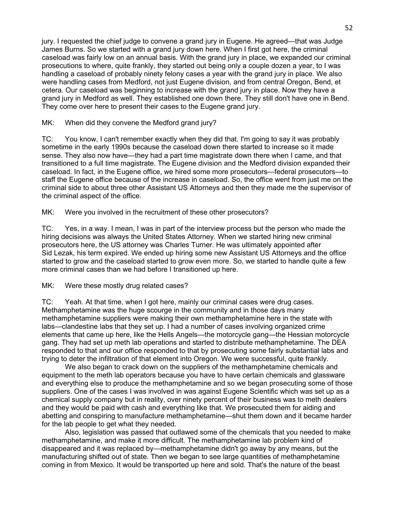jury. I requested the chief judge to convene a grand jury in Eugene. He agreed—that was Judge James Burns. So we started with a grand jury down here. When I first got here, the criminal caseload was fairly low on an annual basis. With the grand jury in place, we expanded our criminal prosecutions to where, quite frankly, they started out being only a couple dozen a year, to I was handling a caseload of probably ninety felony cases a year with the grand jury in place. We also were handling cases from Medford, not just Eugene division, and from central Oregon, Bend, et cetera. Our caseload was beginning to increase with the grand jury in place. Now they have a grand jury in Medford as well. They established one down there. They still don't have one in Bend. They come over here to present their cases to the Eugene grand jury.

## MK: When did they convene the Medford grand jury?

TC: You know, I can't remember exactly when they did that. I'm going to say it was probably sometime in the early 1990s because the caseload down there started to increase so it made sense. They also now have—they had a part time magistrate down there when I came, and that transitioned to a full time magistrate. The Eugene division and the Medford division expanded their caseload. In fact, in the Eugene office, we hired some more prosecutors—federal prosecutors—to staff the Eugene office because of the increase in caseload. So, the office went from just me on the criminal side to about three other Assistant US Attorneys and then they made me the supervisor of the criminal aspect of the office.

MK: Were you involved in the recruitment of these other prosecutors?

TC: Yes, in a way. I mean, I was in part of the interview process but the person who made the hiring decisions was always the United States Attorney. When we started hiring new criminal prosecutors here, the US attorney was Charles Turner. He was ultimately appointed after Sid Lezak, his term expired. We ended up hiring some new Assistant US Attorneys and the office started to grow and the caseload started to grow even more. So, we started to handle quite a few more criminal cases than we had before I transitioned up here.

MK: Were these mostly drug related cases?

TC: Yeah. At that time, when I got here, mainly our criminal cases were drug cases. Methamphetamine was the huge scourge in the community and in those days many methamphetamine suppliers were making their own methamphetamine here in the state with labs—clandestine labs that they set up. I had a number of cases involving organized crime elements that came up here, like the Hells Angels—the motorcycle gang—the Hessian motorcycle gang. They had set up meth lab operations and started to distribute methamphetamine. The DEA responded to that and our office responded to that by prosecuting some fairly substantial labs and trying to deter the infiltration of that element into Oregon. We were successful, quite frankly.

We also began to crack down on the suppliers of the methamphetamine chemicals and equipment to the meth lab operators because you have to have certain chemicals and glassware and everything else to produce the methamphetamine and so we began prosecuting some of those suppliers. One of the cases I was involved in was against Eugene Scientific which was set up as a chemical supply company but in reality, over ninety percent of their business was to meth dealers and they would be paid with cash and everything like that. We prosecuted them for aiding and abetting and conspiring to manufacture methamphetamine—shut them down and it became harder for the lab people to get what they needed.

Also, legislation was passed that outlawed some of the chemicals that you needed to make methamphetamine, and make it more difficult. The methamphetamine lab problem kind of disappeared and it was replaced by—methamphetamine didn't go away by any means, but the manufacturing shifted out of state. Then we began to see large quantities of methamphetamine coming in from Mexico. It would be transported up here and sold. That's the nature of the beast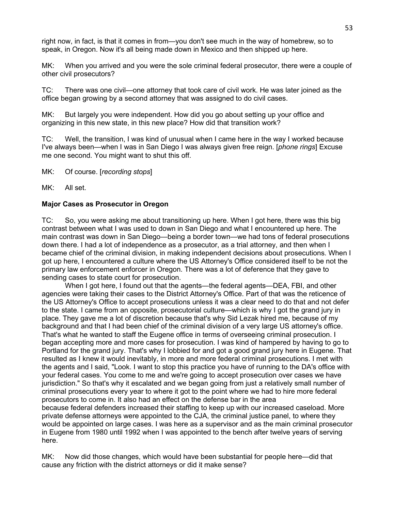right now, in fact, is that it comes in from—you don't see much in the way of homebrew, so to speak, in Oregon. Now it's all being made down in Mexico and then shipped up here.

MK: When you arrived and you were the sole criminal federal prosecutor, there were a couple of other civil prosecutors?

TC: There was one civil—one attorney that took care of civil work. He was later joined as the office began growing by a second attorney that was assigned to do civil cases.

MK: But largely you were independent. How did you go about setting up your office and organizing in this new state, in this new place? How did that transition work?

TC: Well, the transition, I was kind of unusual when I came here in the way I worked because I've always been—when I was in San Diego I was always given free reign. [*phone rings*] Excuse me one second. You might want to shut this off.

MK: Of course. [*recording stops*]

MK: All set.

### **Major Cases as Prosecutor in Oregon**

TC: So, you were asking me about transitioning up here. When I got here, there was this big contrast between what I was used to down in San Diego and what I encountered up here. The main contrast was down in San Diego—being a border town—we had tons of federal prosecutions down there. I had a lot of independence as a prosecutor, as a trial attorney, and then when I became chief of the criminal division, in making independent decisions about prosecutions. When I got up here, I encountered a culture where the US Attorney's Office considered itself to be not the primary law enforcement enforcer in Oregon. There was a lot of deference that they gave to sending cases to state court for prosecution.

When I got here, I found out that the agents—the federal agents—DEA, FBI, and other agencies were taking their cases to the District Attorney's Office. Part of that was the reticence of the US Attorney's Office to accept prosecutions unless it was a clear need to do that and not defer to the state. I came from an opposite, prosecutorial culture—which is why I got the grand jury in place. They gave me a lot of discretion because that's why Sid Lezak hired me, because of my background and that I had been chief of the criminal division of a very large US attorney's office. That's what he wanted to staff the Eugene office in terms of overseeing criminal prosecution. I began accepting more and more cases for prosecution. I was kind of hampered by having to go to Portland for the grand jury. That's why I lobbied for and got a good grand jury here in Eugene. That resulted as I knew it would inevitably, in more and more federal criminal prosecutions. I met with the agents and I said, "Look. I want to stop this practice you have of running to the DA's office with your federal cases. You come to me and we're going to accept prosecution over cases we have jurisdiction." So that's why it escalated and we began going from just a relatively small number of criminal prosecutions every year to where it got to the point where we had to hire more federal prosecutors to come in. It also had an effect on the defense bar in the area because federal defenders increased their staffing to keep up with our increased caseload. More private defense attorneys were appointed to the CJA, the criminal justice panel, to where they would be appointed on large cases. I was here as a supervisor and as the main criminal prosecutor in Eugene from 1980 until 1992 when I was appointed to the bench after twelve years of serving here.

MK: Now did those changes, which would have been substantial for people here—did that cause any friction with the district attorneys or did it make sense?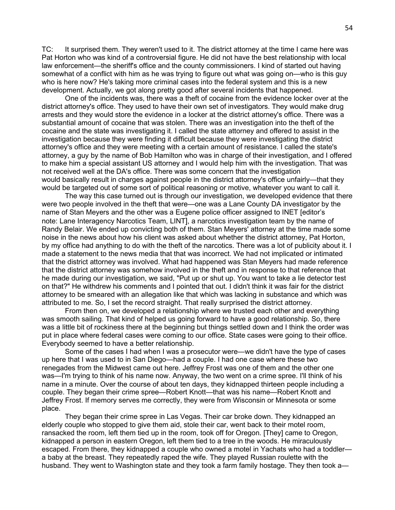TC: It surprised them. They weren't used to it. The district attorney at the time I came here was Pat Horton who was kind of a controversial figure. He did not have the best relationship with local law enforcement—the sheriff's office and the county commissioners. I kind of started out having somewhat of a conflict with him as he was trying to figure out what was going on—who is this guy who is here now? He's taking more criminal cases into the federal system and this is a new development. Actually, we got along pretty good after several incidents that happened.

One of the incidents was, there was a theft of cocaine from the evidence locker over at the district attorney's office. They used to have their own set of investigators. They would make drug arrests and they would store the evidence in a locker at the district attorney's office. There was a substantial amount of cocaine that was stolen. There was an investigation into the theft of the cocaine and the state was investigating it. I called the state attorney and offered to assist in the investigation because they were finding it difficult because they were investigating the district attorney's office and they were meeting with a certain amount of resistance. I called the state's attorney, a guy by the name of Bob Hamilton who was in charge of their investigation, and I offered to make him a special assistant US attorney and I would help him with the investigation. That was not received well at the DA's office. There was some concern that the investigation would basically result in charges against people in the district attorney's office unfairly—that they would be targeted out of some sort of political reasoning or motive, whatever you want to call it.

The way this case turned out is through our investigation, we developed evidence that there were two people involved in the theft that were—one was a Lane County DA investigator by the name of Stan Meyers and the other was a Eugene police officer assigned to INET [editor's note: Lane Interagency Narcotics Team, LINT], a narcotics investigation team by the name of Randy Belair. We ended up convicting both of them. Stan Meyers' attorney at the time made some noise in the news about how his client was asked about whether the district attorney, Pat Horton, by my office had anything to do with the theft of the narcotics. There was a lot of publicity about it. I made a statement to the news media that that was incorrect. We had not implicated or intimated that the district attorney was involved. What had happened was Stan Meyers had made reference that the district attorney was somehow involved in the theft and in response to that reference that he made during our investigation, we said, "Put up or shut up. You want to take a lie detector test on that?" He withdrew his comments and I pointed that out. I didn't think it was fair for the district attorney to be smeared with an allegation like that which was lacking in substance and which was attributed to me. So, I set the record straight. That really surprised the district attorney.

From then on, we developed a relationship where we trusted each other and everything was smooth sailing. That kind of helped us going forward to have a good relationship. So, there was a little bit of rockiness there at the beginning but things settled down and I think the order was put in place where federal cases were coming to our office. State cases were going to their office. Everybody seemed to have a better relationship.

Some of the cases I had when I was a prosecutor were—we didn't have the type of cases up here that I was used to in San Diego—had a couple. I had one case where these two renegades from the Midwest came out here. Jeffrey Frost was one of them and the other one was—I'm trying to think of his name now. Anyway, the two went on a crime spree. I'll think of his name in a minute. Over the course of about ten days, they kidnapped thirteen people including a couple. They began their crime spree—Robert Knott—that was his name—Robert Knott and Jeffrey Frost. If memory serves me correctly, they were from Wisconsin or Minnesota or some place.

They began their crime spree in Las Vegas. Their car broke down. They kidnapped an elderly couple who stopped to give them aid, stole their car, went back to their motel room, ransacked the room, left them tied up in the room, took off for Oregon. [They] came to Oregon, kidnapped a person in eastern Oregon, left them tied to a tree in the woods. He miraculously escaped. From there, they kidnapped a couple who owned a motel in Yachats who had a toddler a baby at the breast. They repeatedly raped the wife. They played Russian roulette with the husband. They went to Washington state and they took a farm family hostage. They then took a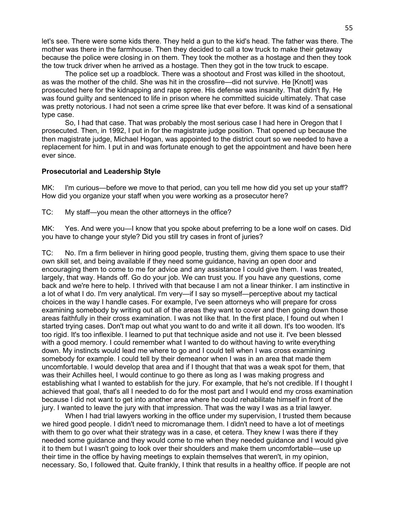let's see. There were some kids there. They held a gun to the kid's head. The father was there. The mother was there in the farmhouse. Then they decided to call a tow truck to make their getaway because the police were closing in on them. They took the mother as a hostage and then they took the tow truck driver when he arrived as a hostage. Then they got in the tow truck to escape.

The police set up a roadblock. There was a shootout and Frost was killed in the shootout, as was the mother of the child. She was hit in the crossfire—did not survive. He [Knott] was prosecuted here for the kidnapping and rape spree. His defense was insanity. That didn't fly. He was found guilty and sentenced to life in prison where he committed suicide ultimately. That case was pretty notorious. I had not seen a crime spree like that ever before. It was kind of a sensational type case.

So, I had that case. That was probably the most serious case I had here in Oregon that I prosecuted. Then, in 1992, I put in for the magistrate judge position. That opened up because the then magistrate judge, Michael Hogan, was appointed to the district court so we needed to have a replacement for him. I put in and was fortunate enough to get the appointment and have been here ever since.

### **Prosecutorial and Leadership Style**

MK: I'm curious—before we move to that period, can you tell me how did you set up your staff? How did you organize your staff when you were working as a prosecutor here?

TC: My staff—you mean the other attorneys in the office?

MK: Yes. And were you—I know that you spoke about preferring to be a lone wolf on cases. Did you have to change your style? Did you still try cases in front of juries?

TC: No. I'm a firm believer in hiring good people, trusting them, giving them space to use their own skill set, and being available if they need some guidance, having an open door and encouraging them to come to me for advice and any assistance I could give them. I was treated, largely, that way. Hands off. Go do your job. We can trust you. If you have any questions, come back and we're here to help. I thrived with that because I am not a linear thinker. I am instinctive in a lot of what I do. I'm very analytical. I'm very—if I say so myself—perceptive about my tactical choices in the way I handle cases. For example, I've seen attorneys who will prepare for cross examining somebody by writing out all of the areas they want to cover and then going down those areas faithfully in their cross examination. I was not like that. In the first place, I found out when I started trying cases. Don't map out what you want to do and write it all down. It's too wooden. It's too rigid. It's too inflexible. I learned to put that technique aside and not use it. I've been blessed with a good memory. I could remember what I wanted to do without having to write everything down. My instincts would lead me where to go and I could tell when I was cross examining somebody for example. I could tell by their demeanor when I was in an area that made them uncomfortable. I would develop that area and if I thought that that was a weak spot for them, that was their Achilles heel, I would continue to go there as long as I was making progress and establishing what I wanted to establish for the jury. For example, that he's not credible. If I thought I achieved that goal, that's all I needed to do for the most part and I would end my cross examination because I did not want to get into another area where he could rehabilitate himself in front of the jury. I wanted to leave the jury with that impression. That was the way I was as a trial lawyer.

When I had trial lawyers working in the office under my supervision, I trusted them because we hired good people. I didn't need to micromanage them. I didn't need to have a lot of meetings with them to go over what their strategy was in a case, et cetera. They knew I was there if they needed some guidance and they would come to me when they needed guidance and I would give it to them but I wasn't going to look over their shoulders and make them uncomfortable—use up their time in the office by having meetings to explain themselves that weren't, in my opinion, necessary. So, I followed that. Quite frankly, I think that results in a healthy office. If people are not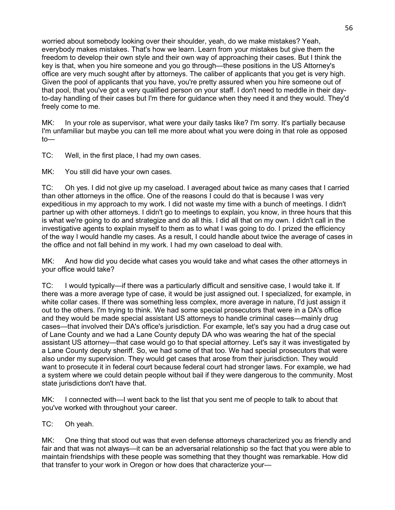worried about somebody looking over their shoulder, yeah, do we make mistakes? Yeah, everybody makes mistakes. That's how we learn. Learn from your mistakes but give them the freedom to develop their own style and their own way of approaching their cases. But I think the key is that, when you hire someone and you go through—these positions in the US Attorney's office are very much sought after by attorneys. The caliber of applicants that you get is very high. Given the pool of applicants that you have, you're pretty assured when you hire someone out of that pool, that you've got a very qualified person on your staff. I don't need to meddle in their dayto-day handling of their cases but I'm there for guidance when they need it and they would. They'd freely come to me.

MK: In your role as supervisor, what were your daily tasks like? I'm sorry. It's partially because I'm unfamiliar but maybe you can tell me more about what you were doing in that role as opposed to—

TC: Well, in the first place, I had my own cases.

MK: You still did have your own cases.

TC: Oh yes. I did not give up my caseload. I averaged about twice as many cases that I carried than other attorneys in the office. One of the reasons I could do that is because I was very expeditious in my approach to my work. I did not waste my time with a bunch of meetings. I didn't partner up with other attorneys. I didn't go to meetings to explain, you know, in three hours that this is what we're going to do and strategize and do all this. I did all that on my own. I didn't call in the investigative agents to explain myself to them as to what I was going to do. I prized the efficiency of the way I would handle my cases. As a result, I could handle about twice the average of cases in the office and not fall behind in my work. I had my own caseload to deal with.

MK: And how did you decide what cases you would take and what cases the other attorneys in your office would take?

TC: I would typically—if there was a particularly difficult and sensitive case, I would take it. If there was a more average type of case, it would be just assigned out. I specialized, for example, in white collar cases. If there was something less complex, more average in nature, I'd just assign it out to the others. I'm trying to think. We had some special prosecutors that were in a DA's office and they would be made special assistant US attorneys to handle criminal cases—mainly drug cases—that involved their DA's office's jurisdiction. For example, let's say you had a drug case out of Lane County and we had a Lane County deputy DA who was wearing the hat of the special assistant US attorney—that case would go to that special attorney. Let's say it was investigated by a Lane County deputy sheriff. So, we had some of that too. We had special prosecutors that were also under my supervision. They would get cases that arose from their jurisdiction. They would want to prosecute it in federal court because federal court had stronger laws. For example, we had a system where we could detain people without bail if they were dangerous to the community. Most state jurisdictions don't have that.

MK: I connected with—I went back to the list that you sent me of people to talk to about that you've worked with throughout your career.

TC: Oh yeah.

MK: One thing that stood out was that even defense attorneys characterized you as friendly and fair and that was not always—it can be an adversarial relationship so the fact that you were able to maintain friendships with these people was something that they thought was remarkable. How did that transfer to your work in Oregon or how does that characterize your—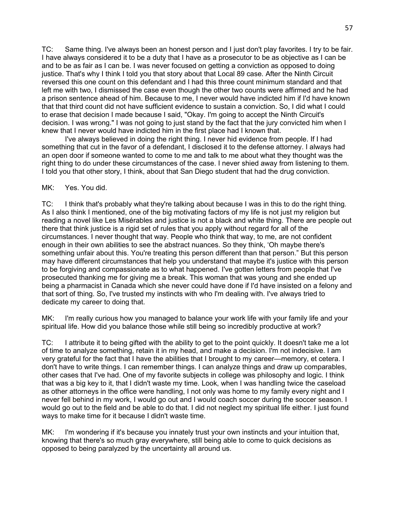TC: Same thing. I've always been an honest person and I just don't play favorites. I try to be fair. I have always considered it to be a duty that I have as a prosecutor to be as objective as I can be and to be as fair as I can be. I was never focused on getting a conviction as opposed to doing justice. That's why I think I told you that story about that Local 89 case. After the Ninth Circuit reversed this one count on this defendant and I had this three count minimum standard and that left me with two, I dismissed the case even though the other two counts were affirmed and he had a prison sentence ahead of him. Because to me, I never would have indicted him if I'd have known that that third count did not have sufficient evidence to sustain a conviction. So, I did what I could to erase that decision I made because I said, "Okay. I'm going to accept the Ninth Circuit's decision. I was wrong." I was not going to just stand by the fact that the jury convicted him when I knew that I never would have indicted him in the first place had I known that.

I've always believed in doing the right thing. I never hid evidence from people. If I had something that cut in the favor of a defendant, I disclosed it to the defense attorney. I always had an open door if someone wanted to come to me and talk to me about what they thought was the right thing to do under these circumstances of the case. I never shied away from listening to them. I told you that other story, I think, about that San Diego student that had the drug conviction.

## MK: Yes. You did.

TC: I think that's probably what they're talking about because I was in this to do the right thing. As I also think I mentioned, one of the big motivating factors of my life is not just my religion but reading a novel like Les Misérables and justice is not a black and white thing. There are people out there that think justice is a rigid set of rules that you apply without regard for all of the circumstances. I never thought that way. People who think that way, to me, are not confident enough in their own abilities to see the abstract nuances. So they think, 'Oh maybe there's something unfair about this. You're treating this person different than that person." But this person may have different circumstances that help you understand that maybe it's justice with this person to be forgiving and compassionate as to what happened. I've gotten letters from people that I've prosecuted thanking me for giving me a break. This woman that was young and she ended up being a pharmacist in Canada which she never could have done if I'd have insisted on a felony and that sort of thing. So, I've trusted my instincts with who I'm dealing with. I've always tried to dedicate my career to doing that.

MK: I'm really curious how you managed to balance your work life with your family life and your spiritual life. How did you balance those while still being so incredibly productive at work?

TC: I attribute it to being gifted with the ability to get to the point quickly. It doesn't take me a lot of time to analyze something, retain it in my head, and make a decision. I'm not indecisive. I am very grateful for the fact that I have the abilities that I brought to my career—memory, et cetera. I don't have to write things. I can remember things. I can analyze things and draw up comparables, other cases that I've had. One of my favorite subjects in college was philosophy and logic. I think that was a big key to it, that I didn't waste my time. Look, when I was handling twice the caseload as other attorneys in the office were handling, I not only was home to my family every night and I never fell behind in my work, I would go out and I would coach soccer during the soccer season. I would go out to the field and be able to do that. I did not neglect my spiritual life either. I just found ways to make time for it because I didn't waste time.

MK: I'm wondering if it's because you innately trust your own instincts and your intuition that, knowing that there's so much gray everywhere, still being able to come to quick decisions as opposed to being paralyzed by the uncertainty all around us.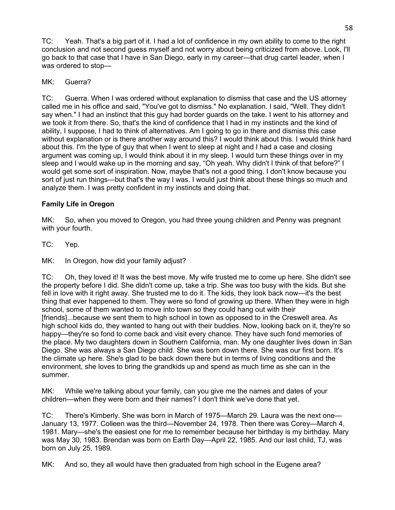TC: Yeah. That's a big part of it. I had a lot of confidence in my own ability to come to the right conclusion and not second guess myself and not worry about being criticized from above. Look, I'll go back to that case that I have in San Diego, early in my career—that drug cartel leader, when I was ordered to stop—

## MK: Guerra?

TC: Guerra. When I was ordered without explanation to dismiss that case and the US attorney called me in his office and said, "You've got to dismiss." No explanation. I said, "Well. They didn't say when." I had an instinct that this guy had border guards on the take. I went to his attorney and we took it from there. So, that's the kind of confidence that I had in my instincts and the kind of ability, I suppose, I had to think of alternatives. Am I going to go in there and dismiss this case without explanation or is there another way around this? I would think about this. I would think hard about this. I'm the type of guy that when I went to sleep at night and I had a case and closing argument was coming up, I would think about it in my sleep. I would turn these things over in my sleep and I would wake up in the morning and say, "Oh yeah. Why didn't I think of that before?" I would get some sort of inspiration. Now, maybe that's not a good thing. I don't know because you sort of just run things—but that's the way I was. I would just think about these things so much and analyze them. I was pretty confident in my instincts and doing that.

# **Family Life in Oregon**

MK: So, when you moved to Oregon, you had three young children and Penny was pregnant with your fourth.

TC: Yep.

MK: In Oregon, how did your family adjust?

TC: Oh, they loved it! It was the best move. My wife trusted me to come up here. She didn't see the property before I did. She didn't come up, take a trip. She was too busy with the kids. But she fell in love with it right away. She trusted me to do it. The kids, they look back now—it's the best thing that ever happened to them. They were so fond of growing up there. When they were in high school, some of them wanted to move into town so they could hang out with their [friends]...because we sent them to high school in town as opposed to in the Creswell area. As high school kids do, they wanted to hang out with their buddies. Now, looking back on it, they're so happy—they're so fond to come back and visit every chance. They have such fond memories of the place. My two daughters down in Southern California, man. My one daughter lives down in San Diego. She was always a San Diego child. She was born down there. She was our first born. It's the climate up here. She's glad to be back down there but in terms of living conditions and the environment, she loves to bring the grandkids up and spend as much time as she can in the summer.

MK: While we're talking about your family, can you give me the names and dates of your children—when they were born and their names? I don't think we've done that yet.

TC: There's Kimberly. She was born in March of 1975—March 29. Laura was the next one— January 13, 1977. Colleen was the third—November 24, 1978. Then there was Corey—March 4, 1981. Mary—she's the easiest one for me to remember because her birthday is my birthday. Mary was May 30, 1983. Brendan was born on Earth Day—April 22, 1985. And our last child, TJ, was born on July 25, 1989.

MK: And so, they all would have then graduated from high school in the Eugene area?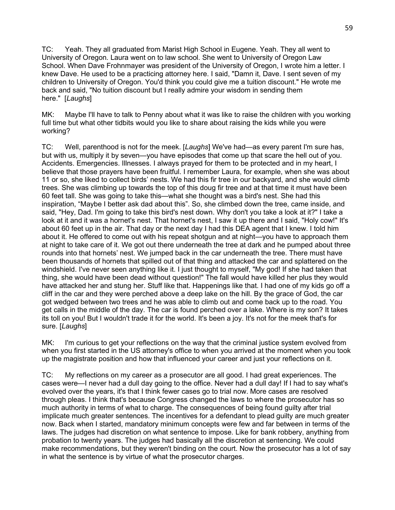TC: Yeah. They all graduated from Marist High School in Eugene. Yeah. They all went to University of Oregon. Laura went on to law school. She went to University of Oregon Law School. When Dave Frohnmayer was president of the University of Oregon, I wrote him a letter. I knew Dave. He used to be a practicing attorney here. I said, "Damn it, Dave. I sent seven of my children to University of Oregon. You'd think you could give me a tuition discount." He wrote me back and said, "No tuition discount but I really admire your wisdom in sending them here." [*Laughs*]

MK: Maybe I'll have to talk to Penny about what it was like to raise the children with you working full time but what other tidbits would you like to share about raising the kids while you were working?

TC: Well, parenthood is not for the meek. [*Laughs*] We've had—as every parent I'm sure has, but with us, multiply it by seven—you have episodes that come up that scare the hell out of you. Accidents. Emergencies. Illnesses. I always prayed for them to be protected and in my heart, I believe that those prayers have been fruitful. I remember Laura, for example, when she was about 11 or so, she liked to collect birds' nests. We had this fir tree in our backyard, and she would climb trees. She was climbing up towards the top of this doug fir tree and at that time it must have been 60 feet tall. She was going to take this—what she thought was a bird's nest. She had this inspiration, "Maybe I better ask dad about this". So, she climbed down the tree, came inside, and said, "Hey, Dad. I'm going to take this bird's nest down. Why don't you take a look at it?" I take a look at it and it was a hornet's nest. That hornet's nest, I saw it up there and I said, "Holy cow!" It's about 60 feet up in the air. That day or the next day I had this DEA agent that I knew. I told him about it. He offered to come out with his repeat shotgun and at night—you have to approach them at night to take care of it. We got out there underneath the tree at dark and he pumped about three rounds into that hornets' nest. We jumped back in the car underneath the tree. There must have been thousands of hornets that spilled out of that thing and attacked the car and splattered on the windshield. I've never seen anything like it. I just thought to myself, "My god! If she had taken that thing, she would have been dead without question!" The fall would have killed her plus they would have attacked her and stung her. Stuff like that. Happenings like that. I had one of my kids go off a cliff in the car and they were perched above a deep lake on the hill. By the grace of God, the car got wedged between two trees and he was able to climb out and come back up to the road. You get calls in the middle of the day. The car is found perched over a lake. Where is my son? It takes its toll on you! But I wouldn't trade it for the world. It's been a joy. It's not for the meek that's for sure. [*Laughs*]

MK: I'm curious to get your reflections on the way that the criminal justice system evolved from when you first started in the US attorney's office to when you arrived at the moment when you took up the magistrate position and how that influenced your career and just your reflections on it.

TC: My reflections on my career as a prosecutor are all good. I had great experiences. The cases were—I never had a dull day going to the office. Never had a dull day! If I had to say what's evolved over the years, it's that I think fewer cases go to trial now. More cases are resolved through pleas. I think that's because Congress changed the laws to where the prosecutor has so much authority in terms of what to charge. The consequences of being found guilty after trial implicate much greater sentences. The incentives for a defendant to plead guilty are much greater now. Back when I started, mandatory minimum concepts were few and far between in terms of the laws. The judges had discretion on what sentence to impose. Like for bank robbery, anything from probation to twenty years. The judges had basically all the discretion at sentencing. We could make recommendations, but they weren't binding on the court. Now the prosecutor has a lot of say in what the sentence is by virtue of what the prosecutor charges.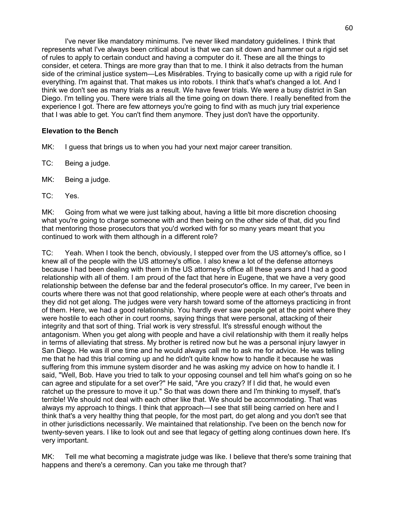I've never like mandatory minimums. I've never liked mandatory guidelines. I think that represents what I've always been critical about is that we can sit down and hammer out a rigid set of rules to apply to certain conduct and having a computer do it. These are all the things to consider, et cetera. Things are more gray than that to me. I think it also detracts from the human side of the criminal justice system—Les Misérables. Trying to basically come up with a rigid rule for everything. I'm against that. That makes us into robots. I think that's what's changed a lot. And I think we don't see as many trials as a result. We have fewer trials. We were a busy district in San Diego. I'm telling you. There were trials all the time going on down there. I really benefited from the experience I got. There are few attorneys you're going to find with as much jury trial experience that I was able to get. You can't find them anymore. They just don't have the opportunity.

## **Elevation to the Bench**

- MK: I guess that brings us to when you had your next major career transition.
- TC: Being a judge.
- MK: Being a judge.
- TC: Yes.

MK: Going from what we were just talking about, having a little bit more discretion choosing what you're going to charge someone with and then being on the other side of that, did you find that mentoring those prosecutors that you'd worked with for so many years meant that you continued to work with them although in a different role?

TC: Yeah. When I took the bench, obviously, I stepped over from the US attorney's office, so I knew all of the people with the US attorney's office. I also knew a lot of the defense attorneys because I had been dealing with them in the US attorney's office all these years and I had a good relationship with all of them. I am proud of the fact that here in Eugene, that we have a very good relationship between the defense bar and the federal prosecutor's office. In my career, I've been in courts where there was not that good relationship, where people were at each other's throats and they did not get along. The judges were very harsh toward some of the attorneys practicing in front of them. Here, we had a good relationship. You hardly ever saw people get at the point where they were hostile to each other in court rooms, saying things that were personal, attacking of their integrity and that sort of thing. Trial work is very stressful. It's stressful enough without the antagonism. When you get along with people and have a civil relationship with them it really helps in terms of alleviating that stress. My brother is retired now but he was a personal injury lawyer in San Diego. He was ill one time and he would always call me to ask me for advice. He was telling me that he had this trial coming up and he didn't quite know how to handle it because he was suffering from this immune system disorder and he was asking my advice on how to handle it. I said, "Well, Bob. Have you tried to talk to your opposing counsel and tell him what's going on so he can agree and stipulate for a set over?" He said, "Are you crazy? If I did that, he would even ratchet up the pressure to move it up." So that was down there and I'm thinking to myself, that's terrible! We should not deal with each other like that. We should be accommodating. That was always my approach to things. I think that approach—I see that still being carried on here and I think that's a very healthy thing that people, for the most part, do get along and you don't see that in other jurisdictions necessarily. We maintained that relationship. I've been on the bench now for twenty-seven years. I like to look out and see that legacy of getting along continues down here. It's very important.

MK: Tell me what becoming a magistrate judge was like. I believe that there's some training that happens and there's a ceremony. Can you take me through that?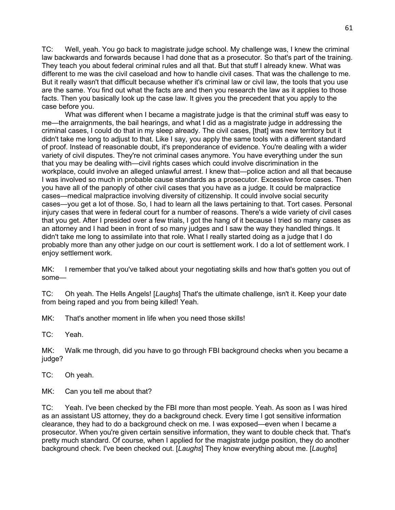TC: Well, yeah. You go back to magistrate judge school. My challenge was, I knew the criminal law backwards and forwards because I had done that as a prosecutor. So that's part of the training. They teach you about federal criminal rules and all that. But that stuff I already knew. What was different to me was the civil caseload and how to handle civil cases. That was the challenge to me. But it really wasn't that difficult because whether it's criminal law or civil law, the tools that you use are the same. You find out what the facts are and then you research the law as it applies to those facts. Then you basically look up the case law. It gives you the precedent that you apply to the case before you.

What was different when I became a magistrate judge is that the criminal stuff was easy to me—the arraignments, the bail hearings, and what I did as a magistrate judge in addressing the criminal cases, I could do that in my sleep already. The civil cases, [that] was new territory but it didn't take me long to adjust to that. Like I say, you apply the same tools with a different standard of proof. Instead of reasonable doubt, it's preponderance of evidence. You're dealing with a wider variety of civil disputes. They're not criminal cases anymore. You have everything under the sun that you may be dealing with—civil rights cases which could involve discrimination in the workplace, could involve an alleged unlawful arrest. I knew that—police action and all that because I was involved so much in probable cause standards as a prosecutor. Excessive force cases. Then you have all of the panoply of other civil cases that you have as a judge. It could be malpractice cases—medical malpractice involving diversity of citizenship. It could involve social security cases—you get a lot of those. So, I had to learn all the laws pertaining to that. Tort cases. Personal injury cases that were in federal court for a number of reasons. There's a wide variety of civil cases that you get. After I presided over a few trials, I got the hang of it because I tried so many cases as an attorney and I had been in front of so many judges and I saw the way they handled things. It didn't take me long to assimilate into that role. What I really started doing as a judge that I do probably more than any other judge on our court is settlement work. I do a lot of settlement work. I enjoy settlement work.

MK: I remember that you've talked about your negotiating skills and how that's gotten you out of some—

TC: Oh yeah. The Hells Angels! [*Laughs*] That's the ultimate challenge, isn't it. Keep your date from being raped and you from being killed! Yeah.

MK: That's another moment in life when you need those skills!

TC: Yeah.

MK: Walk me through, did you have to go through FBI background checks when you became a judge?

TC: Oh yeah.

MK: Can you tell me about that?

TC: Yeah. I've been checked by the FBI more than most people. Yeah. As soon as I was hired as an assistant US attorney, they do a background check. Every time I got sensitive information clearance, they had to do a background check on me. I was exposed—even when I became a prosecutor. When you're given certain sensitive information, they want to double check that. That's pretty much standard. Of course, when I applied for the magistrate judge position, they do another background check. I've been checked out. [*Laughs*] They know everything about me. [*Laughs*]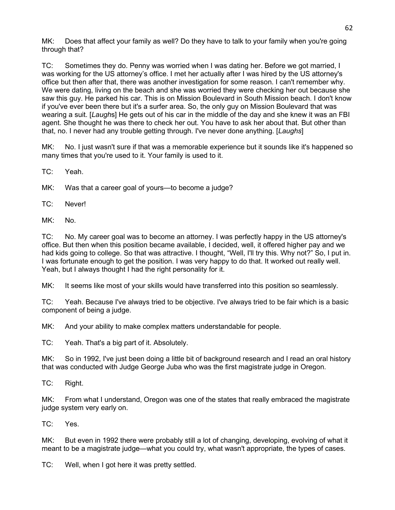MK: Does that affect your family as well? Do they have to talk to your family when you're going through that?

TC: Sometimes they do. Penny was worried when I was dating her. Before we got married, I was working for the US attorney's office. I met her actually after I was hired by the US attorney's office but then after that, there was another investigation for some reason. I can't remember why. We were dating, living on the beach and she was worried they were checking her out because she saw this guy. He parked his car. This is on Mission Boulevard in South Mission beach. I don't know if you've ever been there but it's a surfer area. So, the only guy on Mission Boulevard that was wearing a suit. [*Laugh*s] He gets out of his car in the middle of the day and she knew it was an FBI agent. She thought he was there to check her out. You have to ask her about that. But other than that, no. I never had any trouble getting through. I've never done anything. [*Laughs*]

MK: No. I just wasn't sure if that was a memorable experience but it sounds like it's happened so many times that you're used to it. Your family is used to it.

TC: Yeah.

MK: Was that a career goal of yours—to become a judge?

TC: Never!

MK: No.

TC: No. My career goal was to become an attorney. I was perfectly happy in the US attorney's office. But then when this position became available, I decided, well, it offered higher pay and we had kids going to college. So that was attractive. I thought, "Well, I'll try this. Why not?" So, I put in. I was fortunate enough to get the position. I was very happy to do that. It worked out really well. Yeah, but I always thought I had the right personality for it.

MK: It seems like most of your skills would have transferred into this position so seamlessly.

TC: Yeah. Because I've always tried to be objective. I've always tried to be fair which is a basic component of being a judge.

MK: And your ability to make complex matters understandable for people.

TC: Yeah. That's a big part of it. Absolutely.

MK: So in 1992, I've just been doing a little bit of background research and I read an oral history that was conducted with Judge George Juba who was the first magistrate judge in Oregon.

TC: Right.

MK: From what I understand, Oregon was one of the states that really embraced the magistrate judge system very early on.

TC: Yes.

MK: But even in 1992 there were probably still a lot of changing, developing, evolving of what it meant to be a magistrate judge—what you could try, what wasn't appropriate, the types of cases.

TC: Well, when I got here it was pretty settled.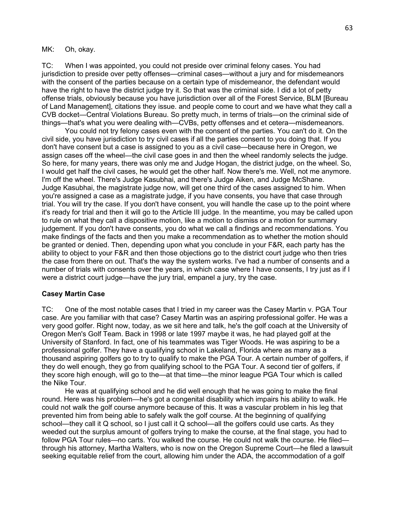MK: Oh, okay.

TC: When I was appointed, you could not preside over criminal felony cases. You had jurisdiction to preside over petty offenses—criminal cases—without a jury and for misdemeanors with the consent of the parties because on a certain type of misdemeanor, the defendant would have the right to have the district judge try it. So that was the criminal side. I did a lot of petty offense trials, obviously because you have jurisdiction over all of the Forest Service, BLM [Bureau of Land Management], citations they issue. and people come to court and we have what they call a CVB docket—Central Violations Bureau. So pretty much, in terms of trials—on the criminal side of things—that's what you were dealing with—CVBs, petty offenses and et cetera—misdemeanors.

You could not try felony cases even with the consent of the parties. You can't do it. On the civil side, you have jurisdiction to try civil cases if all the parties consent to you doing that. If you don't have consent but a case is assigned to you as a civil case—because here in Oregon, we assign cases off the wheel—the civil case goes in and then the wheel randomly selects the judge. So here, for many years, there was only me and Judge Hogan, the district judge, on the wheel. So, I would get half the civil cases, he would get the other half. Now there's me. Well, not me anymore. I'm off the wheel. There's Judge Kasubhai, and there's Judge Aiken, and Judge McShane. Judge Kasubhai, the magistrate judge now, will get one third of the cases assigned to him. When you're assigned a case as a magistrate judge, if you have consents, you have that case through trial. You will try the case. If you don't have consent, you will handle the case up to the point where it's ready for trial and then it will go to the Article III judge. In the meantime, you may be called upon to rule on what they call a dispositive motion, like a motion to dismiss or a motion for summary judgement. If you don't have consents, you do what we call a findings and recommendations. You make findings of the facts and then you make a recommendation as to whether the motion should be granted or denied. Then, depending upon what you conclude in your F&R, each party has the ability to object to your F&R and then those objections go to the district court judge who then tries the case from there on out. That's the way the system works. I've had a number of consents and a number of trials with consents over the years, in which case where I have consents, I try just as if I were a district court judge—have the jury trial, empanel a jury, try the case.

### **Casey Martin Case**

TC: One of the most notable cases that I tried in my career was the Casey Martin v. PGA Tour case. Are you familiar with that case? Casey Martin was an aspiring professional golfer. He was a very good golfer. Right now, today, as we sit here and talk, he's the golf coach at the University of Oregon Men's Golf Team. Back in 1998 or late 1997 maybe it was, he had played golf at the University of Stanford. In fact, one of his teammates was Tiger Woods. He was aspiring to be a professional golfer. They have a qualifying school in Lakeland, Florida where as many as a thousand aspiring golfers go to try to qualify to make the PGA Tour. A certain number of golfers, if they do well enough, they go from qualifying school to the PGA Tour. A second tier of golfers, if they score high enough, will go to the—at that time—the minor league PGA Tour which is called the Nike Tour.

He was at qualifying school and he did well enough that he was going to make the final round. Here was his problem—he's got a congenital disability which impairs his ability to walk. He could not walk the golf course anymore because of this. It was a vascular problem in his leg that prevented him from being able to safely walk the golf course. At the beginning of qualifying school—they call it Q school, so I just call it Q school—all the golfers could use carts. As they weeded out the surplus amount of golfers trying to make the course, at the final stage, you had to follow PGA Tour rules—no carts. You walked the course. He could not walk the course. He filed through his attorney, Martha Walters, who is now on the Oregon Supreme Court—he filed a lawsuit seeking equitable relief from the court, allowing him under the ADA, the accommodation of a golf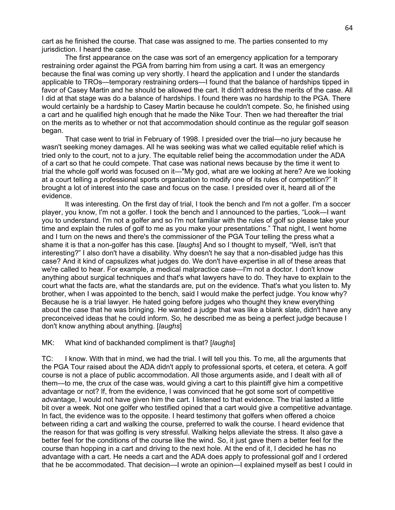cart as he finished the course. That case was assigned to me. The parties consented to my jurisdiction. I heard the case.

The first appearance on the case was sort of an emergency application for a temporary restraining order against the PGA from barring him from using a cart. It was an emergency because the final was coming up very shortly. I heard the application and I under the standards applicable to TROs—temporary restraining orders—I found that the balance of hardships tipped in favor of Casey Martin and he should be allowed the cart. It didn't address the merits of the case. All I did at that stage was do a balance of hardships. I found there was no hardship to the PGA. There would certainly be a hardship to Casey Martin because he couldn't compete. So, he finished using a cart and he qualified high enough that he made the Nike Tour. Then we had thereafter the trial on the merits as to whether or not that accommodation should continue as the regular golf season began.

That case went to trial in February of 1998. I presided over the trial—no jury because he wasn't seeking money damages. All he was seeking was what we called equitable relief which is tried only to the court, not to a jury. The equitable relief being the accommodation under the ADA of a cart so that he could compete. That case was national news because by the time it went to trial the whole golf world was focused on it—"My god, what are we looking at here? Are we looking at a court telling a professional sports organization to modify one of its rules of competition?" It brought a lot of interest into the case and focus on the case. I presided over it, heard all of the evidence.

It was interesting. On the first day of trial, I took the bench and I'm not a golfer. I'm a soccer player, you know, I'm not a golfer. I took the bench and I announced to the parties, "Look—I want you to understand. I'm not a golfer and so I'm not familiar with the rules of golf so please take your time and explain the rules of golf to me as you make your presentations." That night, I went home and I turn on the news and there's the commissioner of the PGA Tour telling the press what a shame it is that a non-golfer has this case. [*laughs*] And so I thought to myself, "Well, isn't that interesting?" I also don't have a disability. Why doesn't he say that a non-disabled judge has this case? And it kind of capsulizes what judges do. We don't have expertise in all of these areas that we're called to hear. For example, a medical malpractice case—I'm not a doctor. I don't know anything about surgical techniques and that's what lawyers have to do. They have to explain to the court what the facts are, what the standards are, put on the evidence. That's what you listen to. My brother, when I was appointed to the bench, said I would make the perfect judge. You know why? Because he is a trial lawyer. He hated going before judges who thought they knew everything about the case that he was bringing. He wanted a judge that was like a blank slate, didn't have any preconceived ideas that he could inform. So, he described me as being a perfect judge because I don't know anything about anything. [*laughs*]

#### MK: What kind of backhanded compliment is that? [*laughs*]

TC: I know. With that in mind, we had the trial. I will tell you this. To me, all the arguments that the PGA Tour raised about the ADA didn't apply to professional sports, et cetera, et cetera. A golf course is not a place of public accommodation. All those arguments aside, and I dealt with all of them—to me, the crux of the case was, would giving a cart to this plaintiff give him a competitive advantage or not? If, from the evidence, I was convinced that he got some sort of competitive advantage, I would not have given him the cart. I listened to that evidence. The trial lasted a little bit over a week. Not one golfer who testified opined that a cart would give a competitive advantage. In fact, the evidence was to the opposite. I heard testimony that golfers when offered a choice between riding a cart and walking the course, preferred to walk the course. I heard evidence that the reason for that was golfing is very stressful. Walking helps alleviate the stress. It also gave a better feel for the conditions of the course like the wind. So, it just gave them a better feel for the course than hopping in a cart and driving to the next hole. At the end of it, I decided he has no advantage with a cart. He needs a cart and the ADA does apply to professional golf and I ordered that he be accommodated. That decision—I wrote an opinion—I explained myself as best I could in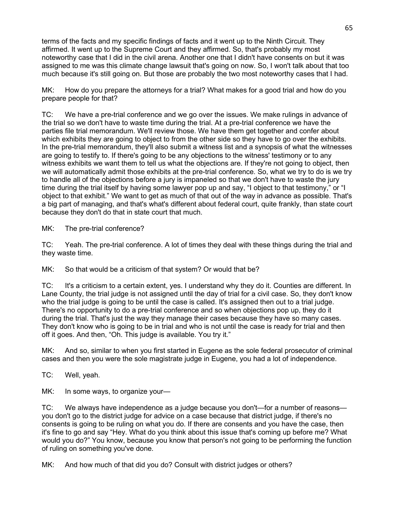terms of the facts and my specific findings of facts and it went up to the Ninth Circuit. They affirmed. It went up to the Supreme Court and they affirmed. So, that's probably my most noteworthy case that I did in the civil arena. Another one that I didn't have consents on but it was assigned to me was this climate change lawsuit that's going on now. So, I won't talk about that too much because it's still going on. But those are probably the two most noteworthy cases that I had.

MK: How do you prepare the attorneys for a trial? What makes for a good trial and how do you prepare people for that?

TC: We have a pre-trial conference and we go over the issues. We make rulings in advance of the trial so we don't have to waste time during the trial. At a pre-trial conference we have the parties file trial memorandum. We'll review those. We have them get together and confer about which exhibits they are going to object to from the other side so they have to go over the exhibits. In the pre-trial memorandum, they'll also submit a witness list and a synopsis of what the witnesses are going to testify to. If there's going to be any objections to the witness' testimony or to any witness exhibits we want them to tell us what the objections are. If they're not going to object, then we will automatically admit those exhibits at the pre-trial conference. So, what we try to do is we try to handle all of the objections before a jury is impaneled so that we don't have to waste the jury time during the trial itself by having some lawyer pop up and say, "I object to that testimony," or "I object to that exhibit." We want to get as much of that out of the way in advance as possible. That's a big part of managing, and that's what's different about federal court, quite frankly, than state court because they don't do that in state court that much.

MK: The pre-trial conference?

TC: Yeah. The pre-trial conference. A lot of times they deal with these things during the trial and they waste time.

MK: So that would be a criticism of that system? Or would that be?

TC: It's a criticism to a certain extent, yes. I understand why they do it. Counties are different. In Lane County, the trial judge is not assigned until the day of trial for a civil case. So, they don't know who the trial judge is going to be until the case is called. It's assigned then out to a trial judge. There's no opportunity to do a pre-trial conference and so when objections pop up, they do it during the trial. That's just the way they manage their cases because they have so many cases. They don't know who is going to be in trial and who is not until the case is ready for trial and then off it goes. And then, "Oh. This judge is available. You try it."

MK: And so, similar to when you first started in Eugene as the sole federal prosecutor of criminal cases and then you were the sole magistrate judge in Eugene, you had a lot of independence.

TC: Well, yeah.

MK: In some ways, to organize your-

TC: We always have independence as a judge because you don't—for a number of reasons you don't go to the district judge for advice on a case because that district judge, if there's no consents is going to be ruling on what you do. If there are consents and you have the case, then it's fine to go and say "Hey. What do you think about this issue that's coming up before me? What would you do?" You know, because you know that person's not going to be performing the function of ruling on something you've done.

MK: And how much of that did you do? Consult with district judges or others?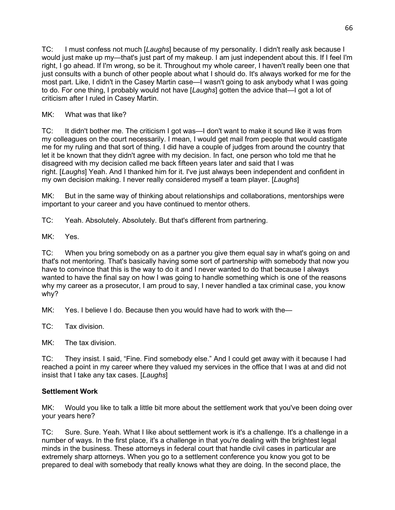TC: I must confess not much [*Laughs*] because of my personality. I didn't really ask because I would just make up my—that's just part of my makeup. I am just independent about this. If I feel I'm right, I go ahead. If I'm wrong, so be it. Throughout my whole career, I haven't really been one that just consults with a bunch of other people about what I should do. It's always worked for me for the most part. Like, I didn't in the Casey Martin case—I wasn't going to ask anybody what I was going to do. For one thing, I probably would not have [*Laughs*] gotten the advice that—I got a lot of criticism after I ruled in Casey Martin.

## MK: What was that like?

TC: It didn't bother me. The criticism I got was—I don't want to make it sound like it was from my colleagues on the court necessarily. I mean, I would get mail from people that would castigate me for my ruling and that sort of thing. I did have a couple of judges from around the country that let it be known that they didn't agree with my decision. In fact, one person who told me that he disagreed with my decision called me back fifteen years later and said that I was right. [*Laughs*] Yeah. And I thanked him for it. I've just always been independent and confident in my own decision making. I never really considered myself a team player. [*Laughs*]

MK: But in the same way of thinking about relationships and collaborations, mentorships were important to your career and you have continued to mentor others.

TC: Yeah. Absolutely. Absolutely. But that's different from partnering.

MK: Yes.

TC: When you bring somebody on as a partner you give them equal say in what's going on and that's not mentoring. That's basically having some sort of partnership with somebody that now you have to convince that this is the way to do it and I never wanted to do that because I always wanted to have the final say on how I was going to handle something which is one of the reasons why my career as a prosecutor, I am proud to say, I never handled a tax criminal case, you know why?

MK: Yes. I believe I do. Because then you would have had to work with the-

TC: Tax division.

MK: The tax division.

TC: They insist. I said, "Fine. Find somebody else." And I could get away with it because I had reached a point in my career where they valued my services in the office that I was at and did not insist that I take any tax cases. [*Laughs*]

# **Settlement Work**

MK: Would you like to talk a little bit more about the settlement work that you've been doing over your years here?

TC: Sure. Sure. Yeah. What I like about settlement work is it's a challenge. It's a challenge in a number of ways. In the first place, it's a challenge in that you're dealing with the brightest legal minds in the business. These attorneys in federal court that handle civil cases in particular are extremely sharp attorneys. When you go to a settlement conference you know you got to be prepared to deal with somebody that really knows what they are doing. In the second place, the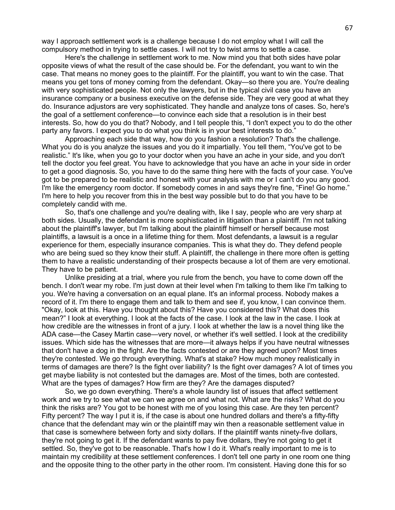way I approach settlement work is a challenge because I do not employ what I will call the compulsory method in trying to settle cases. I will not try to twist arms to settle a case.

Here's the challenge in settlement work to me. Now mind you that both sides have polar opposite views of what the result of the case should be. For the defendant, you want to win the case. That means no money goes to the plaintiff. For the plaintiff, you want to win the case. That means you get tons of money coming from the defendant. Okay—so there you are. You're dealing with very sophisticated people. Not only the lawyers, but in the typical civil case you have an insurance company or a business executive on the defense side. They are very good at what they do. Insurance adjustors are very sophisticated. They handle and analyze tons of cases. So, here's the goal of a settlement conference—to convince each side that a resolution is in their best interests. So, how do you do that? Nobody, and I tell people this, "I don't expect you to do the other party any favors. I expect you to do what you think is in your best interests to do."

Approaching each side that way, how do you fashion a resolution? That's the challenge. What you do is you analyze the issues and you do it impartially. You tell them, "You've got to be realistic." It's like, when you go to your doctor when you have an ache in your side, and you don't tell the doctor you feel great. You have to acknowledge that you have an ache in your side in order to get a good diagnosis. So, you have to do the same thing here with the facts of your case. You've got to be prepared to be realistic and honest with your analysis with me or I can't do you any good. I'm like the emergency room doctor. If somebody comes in and says they're fine, "Fine! Go home." I'm here to help you recover from this in the best way possible but to do that you have to be completely candid with me.

So, that's one challenge and you're dealing with, like I say, people who are very sharp at both sides. Usually, the defendant is more sophisticated in litigation than a plaintiff. I'm not talking about the plaintiff's lawyer, but I'm talking about the plaintiff himself or herself because most plaintiffs, a lawsuit is a once in a lifetime thing for them. Most defendants, a lawsuit is a regular experience for them, especially insurance companies. This is what they do. They defend people who are being sued so they know their stuff. A plaintiff, the challenge in there more often is getting them to have a realistic understanding of their prospects because a lot of them are very emotional. They have to be patient.

Unlike presiding at a trial, where you rule from the bench, you have to come down off the bench. I don't wear my robe. I'm just down at their level when I'm talking to them like I'm talking to you. We're having a conversation on an equal plane. It's an informal process. Nobody makes a record of it. I'm there to engage them and talk to them and see if, you know, I can convince them. "Okay, look at this. Have you thought about this? Have you considered this? What does this mean?" I look at everything. I look at the facts of the case. I look at the law in the case. I look at how credible are the witnesses in front of a jury. I look at whether the law is a novel thing like the ADA case—the Casey Martin case—very novel, or whether it's well settled. I look at the credibility issues. Which side has the witnesses that are more—it always helps if you have neutral witnesses that don't have a dog in the fight. Are the facts contested or are they agreed upon? Most times they're contested. We go through everything. What's at stake? How much money realistically in terms of damages are there? Is the fight over liability? Is the fight over damages? A lot of times you get maybe liability is not contested but the damages are. Most of the times, both are contested. What are the types of damages? How firm are they? Are the damages disputed?

So, we go down everything. There's a whole laundry list of issues that affect settlement work and we try to see what we can we agree on and what not. What are the risks? What do you think the risks are? You got to be honest with me of you losing this case. Are they ten percent? Fifty percent? The way I put it is, if the case is about one hundred dollars and there's a fifty-fifty chance that the defendant may win or the plaintiff may win then a reasonable settlement value in that case is somewhere between forty and sixty dollars. If the plaintiff wants ninety-five dollars, they're not going to get it. If the defendant wants to pay five dollars, they're not going to get it settled. So, they've got to be reasonable. That's how I do it. What's really important to me is to maintain my credibility at these settlement conferences. I don't tell one party in one room one thing and the opposite thing to the other party in the other room. I'm consistent. Having done this for so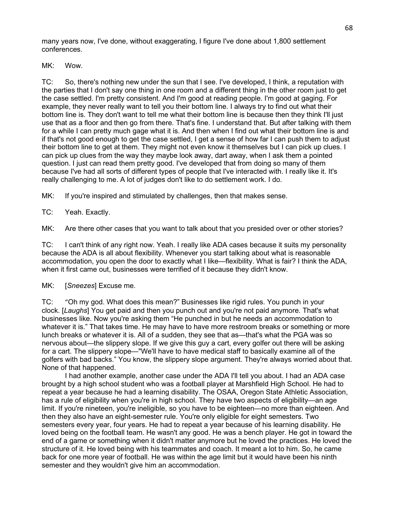many years now, I've done, without exaggerating, I figure I've done about 1,800 settlement conferences.

MK: Wow.

TC: So, there's nothing new under the sun that I see. I've developed, I think, a reputation with the parties that I don't say one thing in one room and a different thing in the other room just to get the case settled. I'm pretty consistent. And I'm good at reading people. I'm good at gaging. For example, they never really want to tell you their bottom line. I always try to find out what their bottom line is. They don't want to tell me what their bottom line is because then they think I'll just use that as a floor and then go from there. That's fine. I understand that. But after talking with them for a while I can pretty much gage what it is. And then when I find out what their bottom line is and if that's not good enough to get the case settled, I get a sense of how far I can push them to adjust their bottom line to get at them. They might not even know it themselves but I can pick up clues. I can pick up clues from the way they maybe look away, dart away, when I ask them a pointed question. I just can read them pretty good. I've developed that from doing so many of them because I've had all sorts of different types of people that I've interacted with. I really like it. It's really challenging to me. A lot of judges don't like to do settlement work. I do.

MK: If you're inspired and stimulated by challenges, then that makes sense.

TC: Yeah. Exactly.

MK: Are there other cases that you want to talk about that you presided over or other stories?

TC: I can't think of any right now. Yeah. I really like ADA cases because it suits my personality because the ADA is all about flexibility. Whenever you start talking about what is reasonable accommodation, you open the door to exactly what I like—flexibility. What is fair? I think the ADA, when it first came out, businesses were terrified of it because they didn't know.

MK: [*Sneezes*] Excuse me.

TC: "Oh my god. What does this mean?" Businesses like rigid rules. You punch in your clock. [*Laughs*] You get paid and then you punch out and you're not paid anymore. That's what businesses like. Now you're asking them "He punched in but he needs an accommodation to whatever it is." That takes time. He may have to have more restroom breaks or something or more lunch breaks or whatever it is. All of a sudden, they see that as—that's what the PGA was so nervous about—the slippery slope. If we give this guy a cart, every golfer out there will be asking for a cart. The slippery slope—"We'll have to have medical staff to basically examine all of the golfers with bad backs." You know, the slippery slope argument. They're always worried about that. None of that happened.

I had another example, another case under the ADA I'll tell you about. I had an ADA case brought by a high school student who was a football player at Marshfield High School. He had to repeat a year because he had a learning disability. The OSAA, Oregon State Athletic Association, has a rule of eligibility when you're in high school. They have two aspects of eligibility—an age limit. If you're nineteen, you're ineligible, so you have to be eighteen—no more than eighteen. And then they also have an eight-semester rule. You're only eligible for eight semesters. Two semesters every year, four years. He had to repeat a year because of his learning disability. He loved being on the football team. He wasn't any good. He was a bench player. He got in toward the end of a game or something when it didn't matter anymore but he loved the practices. He loved the structure of it. He loved being with his teammates and coach. It meant a lot to him. So, he came back for one more year of football. He was within the age limit but it would have been his ninth semester and they wouldn't give him an accommodation.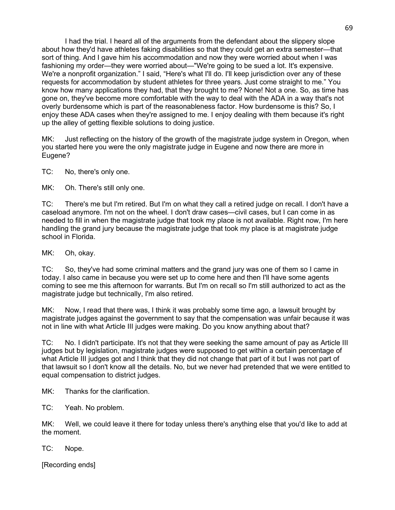I had the trial. I heard all of the arguments from the defendant about the slippery slope about how they'd have athletes faking disabilities so that they could get an extra semester—that sort of thing. And I gave him his accommodation and now they were worried about when I was fashioning my order—they were worried about—"We're going to be sued a lot. It's expensive. We're a nonprofit organization." I said, "Here's what I'll do. I'll keep jurisdiction over any of these requests for accommodation by student athletes for three years. Just come straight to me." You know how many applications they had, that they brought to me? None! Not a one. So, as time has gone on, they've become more comfortable with the way to deal with the ADA in a way that's not overly burdensome which is part of the reasonableness factor. How burdensome is this? So, I enjoy these ADA cases when they're assigned to me. I enjoy dealing with them because it's right up the alley of getting flexible solutions to doing justice.

MK: Just reflecting on the history of the growth of the magistrate judge system in Oregon, when you started here you were the only magistrate judge in Eugene and now there are more in Eugene?

TC: No, there's only one.

MK: Oh. There's still only one.

TC: There's me but I'm retired. But I'm on what they call a retired judge on recall. I don't have a caseload anymore. I'm not on the wheel. I don't draw cases—civil cases, but I can come in as needed to fill in when the magistrate judge that took my place is not available. Right now, I'm here handling the grand jury because the magistrate judge that took my place is at magistrate judge school in Florida.

MK: Oh, okay.

TC: So, they've had some criminal matters and the grand jury was one of them so I came in today. I also came in because you were set up to come here and then I'll have some agents coming to see me this afternoon for warrants. But I'm on recall so I'm still authorized to act as the magistrate judge but technically, I'm also retired.

MK: Now, I read that there was, I think it was probably some time ago, a lawsuit brought by magistrate judges against the government to say that the compensation was unfair because it was not in line with what Article III judges were making. Do you know anything about that?

TC: No. I didn't participate. It's not that they were seeking the same amount of pay as Article III judges but by legislation, magistrate judges were supposed to get within a certain percentage of what Article III judges got and I think that they did not change that part of it but I was not part of that lawsuit so I don't know all the details. No, but we never had pretended that we were entitled to equal compensation to district judges.

MK: Thanks for the clarification.

TC: Yeah. No problem.

MK: Well, we could leave it there for today unless there's anything else that you'd like to add at the moment.

TC: Nope.

[Recording ends]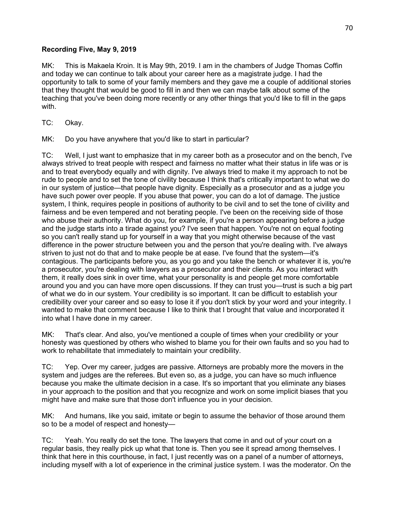## **Recording Five, May 9, 2019**

MK: This is Makaela Kroin. It is May 9th, 2019. I am in the chambers of Judge Thomas Coffin and today we can continue to talk about your career here as a magistrate judge. I had the opportunity to talk to some of your family members and they gave me a couple of additional stories that they thought that would be good to fill in and then we can maybe talk about some of the teaching that you've been doing more recently or any other things that you'd like to fill in the gaps with.

TC: Okay.

MK: Do you have anywhere that you'd like to start in particular?

TC: Well, I just want to emphasize that in my career both as a prosecutor and on the bench, I've always strived to treat people with respect and fairness no matter what their status in life was or is and to treat everybody equally and with dignity. I've always tried to make it my approach to not be rude to people and to set the tone of civility because I think that's critically important to what we do in our system of justice—that people have dignity. Especially as a prosecutor and as a judge you have such power over people. If you abuse that power, you can do a lot of damage. The justice system, I think, requires people in positions of authority to be civil and to set the tone of civility and fairness and be even tempered and not berating people. I've been on the receiving side of those who abuse their authority. What do you, for example, if you're a person appearing before a judge and the judge starts into a tirade against you? I've seen that happen. You're not on equal footing so you can't really stand up for yourself in a way that you might otherwise because of the vast difference in the power structure between you and the person that you're dealing with. I've always striven to just not do that and to make people be at ease. I've found that the system—it's contagious. The participants before you, as you go and you take the bench or whatever it is, you're a prosecutor, you're dealing with lawyers as a prosecutor and their clients. As you interact with them, it really does sink in over time, what your personality is and people get more comfortable around you and you can have more open discussions. If they can trust you—trust is such a big part of what we do in our system. Your credibility is so important. It can be difficult to establish your credibility over your career and so easy to lose it if you don't stick by your word and your integrity. I wanted to make that comment because I like to think that I brought that value and incorporated it into what I have done in my career.

MK: That's clear. And also, you've mentioned a couple of times when your credibility or your honesty was questioned by others who wished to blame you for their own faults and so you had to work to rehabilitate that immediately to maintain your credibility.

TC: Yep. Over my career, judges are passive. Attorneys are probably more the movers in the system and judges are the referees. But even so, as a judge, you can have so much influence because you make the ultimate decision in a case. It's so important that you eliminate any biases in your approach to the position and that you recognize and work on some implicit biases that you might have and make sure that those don't influence you in your decision.

MK: And humans, like you said, imitate or begin to assume the behavior of those around them so to be a model of respect and honesty—

TC: Yeah. You really do set the tone. The lawyers that come in and out of your court on a regular basis, they really pick up what that tone is. Then you see it spread among themselves. I think that here in this courthouse, in fact, I just recently was on a panel of a number of attorneys, including myself with a lot of experience in the criminal justice system. I was the moderator. On the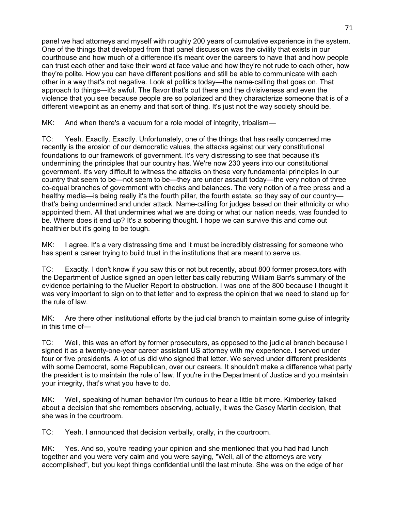panel we had attorneys and myself with roughly 200 years of cumulative experience in the system. One of the things that developed from that panel discussion was the civility that exists in our courthouse and how much of a difference it's meant over the careers to have that and how people can trust each other and take their word at face value and how they're not rude to each other, how they're polite. How you can have different positions and still be able to communicate with each other in a way that's not negative. Look at politics today—the name-calling that goes on. That approach to things—it's awful. The flavor that's out there and the divisiveness and even the violence that you see because people are so polarized and they characterize someone that is of a different viewpoint as an enemy and that sort of thing. It's just not the way society should be.

MK: And when there's a vacuum for a role model of integrity, tribalism-

TC: Yeah. Exactly. Exactly. Unfortunately, one of the things that has really concerned me recently is the erosion of our democratic values, the attacks against our very constitutional foundations to our framework of government. It's very distressing to see that because it's undermining the principles that our country has. We're now 230 years into our constitutional government. It's very difficult to witness the attacks on these very fundamental principles in our country that seem to be—not seem to be—they are under assault today—the very notion of three co-equal branches of government with checks and balances. The very notion of a free press and a healthy media—is being really it's the fourth pillar, the fourth estate, so they say of our country that's being undermined and under attack. Name-calling for judges based on their ethnicity or who appointed them. All that undermines what we are doing or what our nation needs, was founded to be. Where does it end up? It's a sobering thought. I hope we can survive this and come out healthier but it's going to be tough.

MK: I agree. It's a very distressing time and it must be incredibly distressing for someone who has spent a career trying to build trust in the institutions that are meant to serve us.

TC: Exactly. I don't know if you saw this or not but recently, about 800 former prosecutors with the Department of Justice signed an open letter basically rebutting William Barr's summary of the evidence pertaining to the Mueller Report to obstruction. I was one of the 800 because I thought it was very important to sign on to that letter and to express the opinion that we need to stand up for the rule of law.

MK: Are there other institutional efforts by the judicial branch to maintain some guise of integrity in this time of—

TC: Well, this was an effort by former prosecutors, as opposed to the judicial branch because I signed it as a twenty-one-year career assistant US attorney with my experience. I served under four or five presidents. A lot of us did who signed that letter. We served under different presidents with some Democrat, some Republican, over our careers. It shouldn't make a difference what party the president is to maintain the rule of law. If you're in the Department of Justice and you maintain your integrity, that's what you have to do.

MK: Well, speaking of human behavior I'm curious to hear a little bit more. Kimberley talked about a decision that she remembers observing, actually, it was the Casey Martin decision, that she was in the courtroom.

TC: Yeah. I announced that decision verbally, orally, in the courtroom.

MK: Yes. And so, you're reading your opinion and she mentioned that you had had lunch together and you were very calm and you were saying, "Well, all of the attorneys are very accomplished", but you kept things confidential until the last minute. She was on the edge of her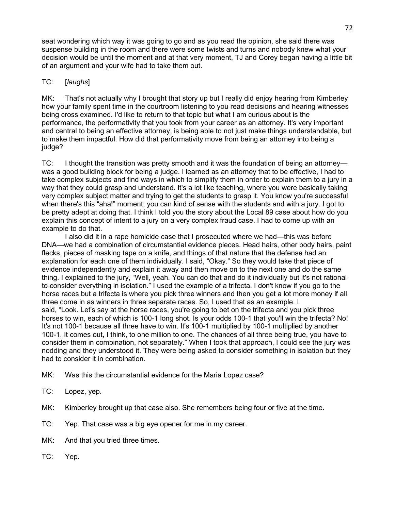seat wondering which way it was going to go and as you read the opinion, she said there was suspense building in the room and there were some twists and turns and nobody knew what your decision would be until the moment and at that very moment, TJ and Corey began having a little bit of an argument and your wife had to take them out.

# TC: [*laughs*]

MK: That's not actually why I brought that story up but I really did enjoy hearing from Kimberley how your family spent time in the courtroom listening to you read decisions and hearing witnesses being cross examined. I'd like to return to that topic but what I am curious about is the performance, the performativity that you took from your career as an attorney. It's very important and central to being an effective attorney, is being able to not just make things understandable, but to make them impactful. How did that performativity move from being an attorney into being a judge?

TC: I thought the transition was pretty smooth and it was the foundation of being an attorney was a good building block for being a judge. I learned as an attorney that to be effective, I had to take complex subjects and find ways in which to simplify them in order to explain them to a jury in a way that they could grasp and understand. It's a lot like teaching, where you were basically taking very complex subject matter and trying to get the students to grasp it. You know you're successful when there's this "aha!" moment, you can kind of sense with the students and with a jury. I got to be pretty adept at doing that. I think I told you the story about the Local 89 case about how do you explain this concept of intent to a jury on a very complex fraud case. I had to come up with an example to do that.

I also did it in a rape homicide case that I prosecuted where we had—this was before DNA—we had a combination of circumstantial evidence pieces. Head hairs, other body hairs, paint flecks, pieces of masking tape on a knife, and things of that nature that the defense had an explanation for each one of them individually. I said, "Okay." So they would take that piece of evidence independently and explain it away and then move on to the next one and do the same thing. I explained to the jury, "Well, yeah. You can do that and do it individually but it's not rational to consider everything in isolation." I used the example of a trifecta. I don't know if you go to the horse races but a trifecta is where you pick three winners and then you get a lot more money if all three come in as winners in three separate races. So, I used that as an example. I said, "Look. Let's say at the horse races, you're going to bet on the trifecta and you pick three horses to win, each of which is 100-1 long shot. Is your odds 100-1 that you'll win the trifecta? No! It's not 100-1 because all three have to win. It's 100-1 multiplied by 100-1 multiplied by another 100-1. It comes out, I think, to one million to one. The chances of all three being true, you have to consider them in combination, not separately." When I took that approach, I could see the jury was nodding and they understood it. They were being asked to consider something in isolation but they had to consider it in combination.

- MK: Was this the circumstantial evidence for the Maria Lopez case?
- TC: Lopez, yep.
- MK: Kimberley brought up that case also. She remembers being four or five at the time.
- TC: Yep. That case was a big eye opener for me in my career.
- MK: And that you tried three times.
- TC: Yep.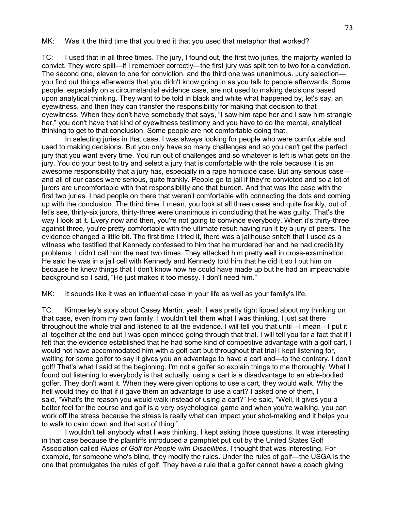MK: Was it the third time that you tried it that you used that metaphor that worked?

TC: I used that in all three times. The jury, I found out, the first two juries, the majority wanted to convict. They were split—if I remember correctly—the first jury was split ten to two for a conviction. The second one, eleven to one for conviction, and the third one was unanimous. Jury selection you find out things afterwards that you didn't know going in as you talk to people afterwards. Some people, especially on a circumstantial evidence case, are not used to making decisions based upon analytical thinking. They want to be told in black and white what happened by, let's say, an eyewitness, and then they can transfer the responsibility for making that decision to that eyewitness. When they don't have somebody that says, "I saw him rape her and I saw him strangle her," you don't have that kind of eyewitness testimony and you have to do the mental, analytical thinking to get to that conclusion. Some people are not comfortable doing that.

In selecting juries in that case, I was always looking for people who were comfortable and used to making decisions. But you only have so many challenges and so you can't get the perfect jury that you want every time. You run out of challenges and so whatever is left is what gets on the jury. You do your best to try and select a jury that is comfortable with the role because it is an awesome responsibility that a jury has, especially in a rape homicide case. But any serious case and all of our cases were serious, quite frankly. People go to jail if they're convicted and so a lot of jurors are uncomfortable with that responsibility and that burden. And that was the case with the first two juries. I had people on there that weren't comfortable with connecting the dots and coming up with the conclusion. The third time, I mean, you look at all three cases and quite frankly, out of let's see, thirty-six jurors, thirty-three were unanimous in concluding that he was guilty. That's the way I look at it. Every now and then, you're not going to convince everybody. When it's thirty-three against three, you're pretty comfortable with the ultimate result having run it by a jury of peers. The evidence changed a little bit. The first time I tried it, there was a jailhouse snitch that I used as a witness who testified that Kennedy confessed to him that he murdered her and he had credibility problems. I didn't call him the next two times. They attacked him pretty well in cross-examination. He said he was in a jail cell with Kennedy and Kennedy told him that he did it so I put him on because he knew things that I don't know how he could have made up but he had an impeachable background so I said, "He just makes it too messy. I don't need him."

MK: It sounds like it was an influential case in your life as well as your family's life.

TC: Kimberley's story about Casey Martin, yeah. I was pretty tight lipped about my thinking on that case, even from my own family. I wouldn't tell them what I was thinking. I just sat there throughout the whole trial and listened to all the evidence. I will tell you that until—I mean—I put it all together at the end but I was open minded going through that trial. I will tell you for a fact that if I felt that the evidence established that he had some kind of competitive advantage with a golf cart, I would not have accommodated him with a golf cart but throughout that trial I kept listening for, waiting for some golfer to say it gives you an advantage to have a cart and—to the contrary. I don't golf! That's what I said at the beginning. I'm not a golfer so explain things to me thoroughly. What I found out listening to everybody is that actually, using a cart is a disadvantage to an able-bodied golfer. They don't want it. When they were given options to use a cart, they would walk. Why the hell would they do that if it gave them an advantage to use a cart? I asked one of them, I said, "What's the reason you would walk instead of using a cart?" He said, "Well, it gives you a better feel for the course and golf is a very psychological game and when you're walking, you can work off the stress because the stress is really what can impact your shot-making and it helps you to walk to calm down and that sort of thing."

I wouldn't tell anybody what I was thinking. I kept asking those questions. It was interesting in that case because the plaintiffs introduced a pamphlet put out by the United States Golf Association called *Rules of Golf for People with Disabilities*. I thought that was interesting. For example, for someone who's blind, they modify the rules. Under the rules of golf—the USGA is the one that promulgates the rules of golf. They have a rule that a golfer cannot have a coach giving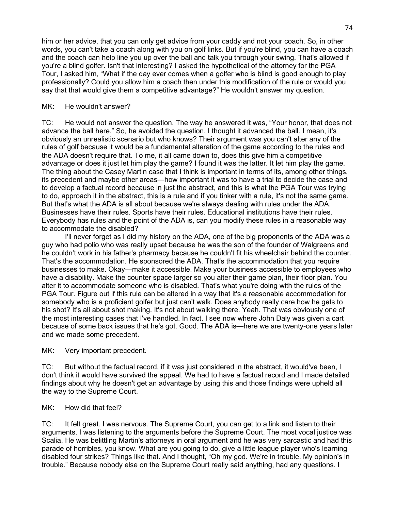him or her advice, that you can only get advice from your caddy and not your coach. So, in other words, you can't take a coach along with you on golf links. But if you're blind, you can have a coach and the coach can help line you up over the ball and talk you through your swing. That's allowed if you're a blind golfer. Isn't that interesting? I asked the hypothetical of the attorney for the PGA Tour, I asked him, "What if the day ever comes when a golfer who is blind is good enough to play professionally? Could you allow him a coach then under this modification of the rule or would you say that that would give them a competitive advantage?" He wouldn't answer my question.

#### MK: He wouldn't answer?

TC: He would not answer the question. The way he answered it was, "Your honor, that does not advance the ball here." So, he avoided the question. I thought it advanced the ball. I mean, it's obviously an unrealistic scenario but who knows? Their argument was you can't alter any of the rules of golf because it would be a fundamental alteration of the game according to the rules and the ADA doesn't require that. To me, it all came down to, does this give him a competitive advantage or does it just let him play the game? I found it was the latter. It let him play the game. The thing about the Casey Martin case that I think is important in terms of its, among other things, its precedent and maybe other areas—how important it was to have a trial to decide the case and to develop a factual record because in just the abstract, and this is what the PGA Tour was trying to do, approach it in the abstract, this is a rule and if you tinker with a rule, it's not the same game. But that's what the ADA is all about because we're always dealing with rules under the ADA. Businesses have their rules. Sports have their rules. Educational institutions have their rules. Everybody has rules and the point of the ADA is, can you modify these rules in a reasonable way to accommodate the disabled?

I'll never forget as I did my history on the ADA, one of the big proponents of the ADA was a guy who had polio who was really upset because he was the son of the founder of Walgreens and he couldn't work in his father's pharmacy because he couldn't fit his wheelchair behind the counter. That's the accommodation. He sponsored the ADA. That's the accommodation that you require businesses to make. Okay—make it accessible. Make your business accessible to employees who have a disability. Make the counter space larger so you alter their game plan, their floor plan. You alter it to accommodate someone who is disabled. That's what you're doing with the rules of the PGA Tour. Figure out if this rule can be altered in a way that it's a reasonable accommodation for somebody who is a proficient golfer but just can't walk. Does anybody really care how he gets to his shot? It's all about shot making. It's not about walking there. Yeah. That was obviously one of the most interesting cases that I've handled. In fact, I see now where John Daly was given a cart because of some back issues that he's got. Good. The ADA is—here we are twenty-one years later and we made some precedent.

MK: Very important precedent.

TC: But without the factual record, if it was just considered in the abstract, it would've been, I don't think it would have survived the appeal. We had to have a factual record and I made detailed findings about why he doesn't get an advantage by using this and those findings were upheld all the way to the Supreme Court.

MK: How did that feel?

TC: It felt great. I was nervous. The Supreme Court, you can get to a link and listen to their arguments. I was listening to the arguments before the Supreme Court. The most vocal justice was Scalia. He was belittling Martin's attorneys in oral argument and he was very sarcastic and had this parade of horribles, you know. What are you going to do, give a little league player who's learning disabled four strikes? Things like that. And I thought, "Oh my god. We're in trouble. My opinion's in trouble." Because nobody else on the Supreme Court really said anything, had any questions. I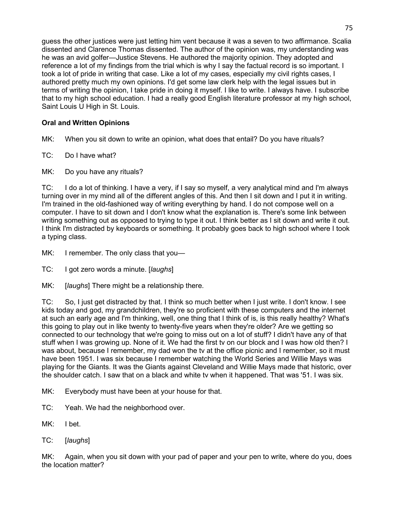guess the other justices were just letting him vent because it was a seven to two affirmance. Scalia dissented and Clarence Thomas dissented. The author of the opinion was, my understanding was he was an avid golfer—Justice Stevens. He authored the majority opinion. They adopted and reference a lot of my findings from the trial which is why I say the factual record is so important. I took a lot of pride in writing that case. Like a lot of my cases, especially my civil rights cases, I authored pretty much my own opinions. I'd get some law clerk help with the legal issues but in terms of writing the opinion, I take pride in doing it myself. I like to write. I always have. I subscribe that to my high school education. I had a really good English literature professor at my high school, Saint Louis U High in St. Louis.

# **Oral and Written Opinions**

MK: When you sit down to write an opinion, what does that entail? Do you have rituals?

TC: Do I have what?

MK: Do you have any rituals?

TC: I do a lot of thinking. I have a very, if I say so myself, a very analytical mind and I'm always turning over in my mind all of the different angles of this. And then I sit down and I put it in writing. I'm trained in the old-fashioned way of writing everything by hand. I do not compose well on a computer. I have to sit down and I don't know what the explanation is. There's some link between writing something out as opposed to trying to type it out. I think better as I sit down and write it out. I think I'm distracted by keyboards or something. It probably goes back to high school where I took a typing class.

MK: I remember. The only class that you-

TC: I got zero words a minute. [*laughs*]

MK: [*laughs*] There might be a relationship there.

TC: So, I just get distracted by that. I think so much better when I just write. I don't know. I see kids today and god, my grandchildren, they're so proficient with these computers and the internet at such an early age and I'm thinking, well, one thing that I think of is, is this really healthy? What's this going to play out in like twenty to twenty-five years when they're older? Are we getting so connected to our technology that we're going to miss out on a lot of stuff? I didn't have any of that stuff when I was growing up. None of it. We had the first tv on our block and I was how old then? I was about, because I remember, my dad won the tv at the office picnic and I remember, so it must have been 1951. I was six because I remember watching the World Series and Willie Mays was playing for the Giants. It was the Giants against Cleveland and Willie Mays made that historic, over the shoulder catch. I saw that on a black and white tv when it happened. That was '51. I was six.

MK: Everybody must have been at your house for that.

- TC: Yeah. We had the neighborhood over.
- MK: I bet.
- TC: [*laughs*]

MK: Again, when you sit down with your pad of paper and your pen to write, where do you, does the location matter?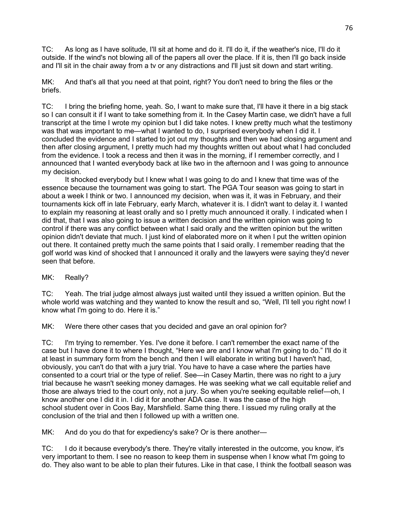TC: As long as I have solitude, I'll sit at home and do it. I'll do it, if the weather's nice, I'll do it outside. If the wind's not blowing all of the papers all over the place. If it is, then I'll go back inside and I'll sit in the chair away from a tv or any distractions and I'll just sit down and start writing.

MK: And that's all that you need at that point, right? You don't need to bring the files or the briefs.

TC: I bring the briefing home, yeah. So, I want to make sure that, I'll have it there in a big stack so I can consult it if I want to take something from it. In the Casey Martin case, we didn't have a full transcript at the time I wrote my opinion but I did take notes. I knew pretty much what the testimony was that was important to me—what I wanted to do, I surprised everybody when I did it. I concluded the evidence and I started to jot out my thoughts and then we had closing argument and then after closing argument, I pretty much had my thoughts written out about what I had concluded from the evidence. I took a recess and then it was in the morning, if I remember correctly, and I announced that I wanted everybody back at like two in the afternoon and I was going to announce my decision.

It shocked everybody but I knew what I was going to do and I knew that time was of the essence because the tournament was going to start. The PGA Tour season was going to start in about a week I think or two. I announced my decision, when was it, it was in February, and their tournaments kick off in late February, early March, whatever it is. I didn't want to delay it. I wanted to explain my reasoning at least orally and so I pretty much announced it orally. I indicated when I did that, that I was also going to issue a written decision and the written opinion was going to control if there was any conflict between what I said orally and the written opinion but the written opinion didn't deviate that much. I just kind of elaborated more on it when I put the written opinion out there. It contained pretty much the same points that I said orally. I remember reading that the golf world was kind of shocked that I announced it orally and the lawyers were saying they'd never seen that before.

MK: Really?

TC: Yeah. The trial judge almost always just waited until they issued a written opinion. But the whole world was watching and they wanted to know the result and so, "Well, I'll tell you right now! I know what I'm going to do. Here it is."

MK: Were there other cases that you decided and gave an oral opinion for?

TC: I'm trying to remember. Yes. I've done it before. I can't remember the exact name of the case but I have done it to where I thought, "Here we are and I know what I'm going to do." I'll do it at least in summary form from the bench and then I will elaborate in writing but I haven't had, obviously, you can't do that with a jury trial. You have to have a case where the parties have consented to a court trial or the type of relief. See—in Casey Martin, there was no right to a jury trial because he wasn't seeking money damages. He was seeking what we call equitable relief and those are always tried to the court only, not a jury. So when you're seeking equitable relief—oh, I know another one I did it in. I did it for another ADA case. It was the case of the high school student over in Coos Bay, Marshfield. Same thing there. I issued my ruling orally at the conclusion of the trial and then I followed up with a written one.

MK: And do you do that for expediency's sake? Or is there another-

TC: I do it because everybody's there. They're vitally interested in the outcome, you know, it's very important to them. I see no reason to keep them in suspense when I know what I'm going to do. They also want to be able to plan their futures. Like in that case, I think the football season was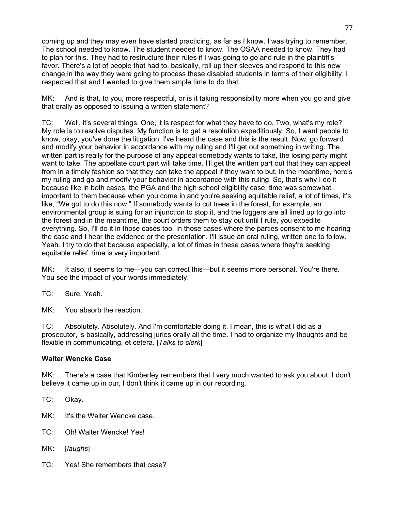coming up and they may even have started practicing, as far as I know. I was trying to remember. The school needed to know. The student needed to know. The OSAA needed to know. They had to plan for this. They had to restructure their rules if I was going to go and rule in the plaintiff's favor. There's a lot of people that had to, basically, roll up their sleeves and respond to this new change in the way they were going to process these disabled students in terms of their eligibility. I respected that and I wanted to give them ample time to do that.

MK: And is that, to you, more respectful, or is it taking responsibility more when you go and give that orally as opposed to issuing a written statement?

TC: Well, it's several things. One, it is respect for what they have to do. Two, what's my role? My role is to resolve disputes. My function is to get a resolution expeditiously. So, I want people to know, okay, you've done the litigation. I've heard the case and this is the result. Now, go forward and modify your behavior in accordance with my ruling and I'll get out something in writing. The written part is really for the purpose of any appeal somebody wants to take, the losing party might want to take. The appellate court part will take time. I'll get the written part out that they can appeal from in a timely fashion so that they can take the appeal if they want to but, in the meantime, here's my ruling and go and modify your behavior in accordance with this ruling. So, that's why I do it because like in both cases, the PGA and the high school eligibility case, time was somewhat important to them because when you come in and you're seeking equitable relief, a lot of times, it's like, "We got to do this now." If somebody wants to cut trees in the forest, for example, an environmental group is suing for an injunction to stop it, and the loggers are all lined up to go into the forest and in the meantime, the court orders them to stay out until I rule, you expedite everything. So, I'll do it in those cases too. In those cases where the parties consent to me hearing the case and I hear the evidence or the presentation, I'll issue an oral ruling, written one to follow. Yeah. I try to do that because especially, a lot of times in these cases where they're seeking equitable relief, time is very important.

MK: It also, it seems to me—you can correct this—but it seems more personal. You're there. You see the impact of your words immediately.

TC: Sure. Yeah.

MK: You absorb the reaction.

TC: Absolutely. Absolutely. And I'm comfortable doing it. I mean, this is what I did as a prosecutor, is basically, addressing juries orally all the time. I had to organize my thoughts and be flexible in communicating, et cetera. [*Talks to clerk*]

## **Walter Wencke Case**

MK: There's a case that Kimberley remembers that I very much wanted to ask you about. I don't believe it came up in our, I don't think it came up in our recording.

TC: Okay.

- MK: It's the Walter Wencke case.
- TC: Oh! Walter Wencke! Yes!
- MK: [*laughs*]
- TC: Yes! She remembers that case?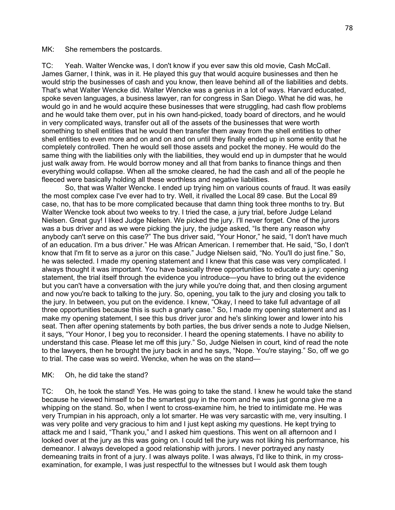MK: She remembers the postcards.

TC: Yeah. Walter Wencke was, I don't know if you ever saw this old movie, Cash McCall. James Garner, I think, was in it. He played this guy that would acquire businesses and then he would strip the businesses of cash and you know, then leave behind all of the liabilities and debts. That's what Walter Wencke did. Walter Wencke was a genius in a lot of ways. Harvard educated, spoke seven languages, a business lawyer, ran for congress in San Diego. What he did was, he would go in and he would acquire these businesses that were struggling, had cash flow problems and he would take them over, put in his own hand-picked, toady board of directors, and he would in very complicated ways, transfer out all of the assets of the businesses that were worth something to shell entities that he would then transfer them away from the shell entities to other shell entities to even more and on and on and on until they finally ended up in some entity that he completely controlled. Then he would sell those assets and pocket the money. He would do the same thing with the liabilities only with the liabilities, they would end up in dumpster that he would just walk away from. He would borrow money and all that from banks to finance things and then everything would collapse. When all the smoke cleared, he had the cash and all of the people he fleeced were basically holding all these worthless and negative liabilities.

So, that was Walter Wencke. I ended up trying him on various counts of fraud. It was easily the most complex case I've ever had to try. Well, it rivalled the Local 89 case. But the Local 89 case, no, that has to be more complicated because that damn thing took three months to try. But Walter Wencke took about two weeks to try. I tried the case, a jury trial, before Judge Leland Nielsen. Great guy! I liked Judge Nielsen. We picked the jury. I'll never forget. One of the jurors was a bus driver and as we were picking the jury, the judge asked, "Is there any reason why anybody can't serve on this case?" The bus driver said, "Your Honor," he said, "I don't have much of an education. I'm a bus driver." He was African American. I remember that. He said, "So, I don't know that I'm fit to serve as a juror on this case." Judge Nielsen said, "No. You'll do just fine." So, he was selected. I made my opening statement and I knew that this case was very complicated. I always thought it was important. You have basically three opportunities to educate a jury: opening statement, the trial itself through the evidence you introduce—you have to bring out the evidence but you can't have a conversation with the jury while you're doing that, and then closing argument and now you're back to talking to the jury. So, opening, you talk to the jury and closing you talk to the jury. In between, you put on the evidence. I knew, "Okay, I need to take full advantage of all three opportunities because this is such a gnarly case." So, I made my opening statement and as I make my opening statement, I see this bus driver juror and he's slinking lower and lower into his seat. Then after opening statements by both parties, the bus driver sends a note to Judge Nielsen, it says, "Your Honor, I beg you to reconsider. I heard the opening statements. I have no ability to understand this case. Please let me off this jury." So, Judge Nielsen in court, kind of read the note to the lawyers, then he brought the jury back in and he says, "Nope. You're staying." So, off we go to trial. The case was so weird. Wencke, when he was on the stand—

#### MK: Oh, he did take the stand?

TC: Oh, he took the stand! Yes. He was going to take the stand. I knew he would take the stand because he viewed himself to be the smartest guy in the room and he was just gonna give me a whipping on the stand. So, when I went to cross-examine him, he tried to intimidate me. He was very Trumpian in his approach, only a lot smarter. He was very sarcastic with me, very insulting. I was very polite and very gracious to him and I just kept asking my questions. He kept trying to attack me and I said, "Thank you," and I asked him questions. This went on all afternoon and I looked over at the jury as this was going on. I could tell the jury was not liking his performance, his demeanor. I always developed a good relationship with jurors. I never portrayed any nasty demeaning traits in front of a jury. I was always polite. I was always, I'd like to think, in my crossexamination, for example, I was just respectful to the witnesses but I would ask them tough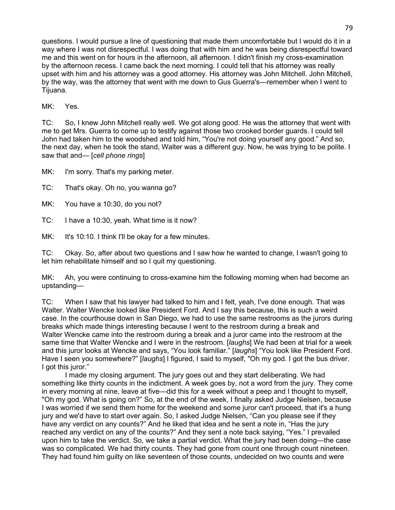questions. I would pursue a line of questioning that made them uncomfortable but I would do it in a way where I was not disrespectful. I was doing that with him and he was being disrespectful toward me and this went on for hours in the afternoon, all afternoon. I didn't finish my cross-examination by the afternoon recess. I came back the next morning. I could tell that his attorney was really upset with him and his attorney was a good attorney. His attorney was John Mitchell. John Mitchell, by the way, was the attorney that went with me down to Gus Guerra's—remember when I went to Tijuana.

MK: Yes.

TC: So, I knew John Mitchell really well. We got along good. He was the attorney that went with me to get Mrs. Guerra to come up to testify against those two crooked border guards. I could tell John had taken him to the woodshed and told him, "You're not doing yourself any good." And so, the next day, when he took the stand, Walter was a different guy. Now, he was trying to be polite. I saw that and— [*cell phone rings*]

MK: I'm sorry. That's my parking meter.

TC: That's okay. Oh no, you wanna go?

MK: You have a 10:30, do you not?

TC: I have a 10:30, yeah. What time is it now?

MK: It's 10:10. I think I'll be okay for a few minutes.

TC: Okay. So, after about two questions and I saw how he wanted to change, I wasn't going to let him rehabilitate himself and so I quit my questioning.

MK: Ah, you were continuing to cross-examine him the following morning when had become an upstanding—

TC: When I saw that his lawyer had talked to him and I felt, yeah, I've done enough. That was Walter. Walter Wencke looked like President Ford. And I say this because, this is such a weird case. In the courthouse down in San Diego, we had to use the same restrooms as the jurors during breaks which made things interesting because I went to the restroom during a break and Walter Wencke came into the restroom during a break and a juror came into the restroom at the same time that Walter Wencke and I were in the restroom. [*laughs*] We had been at trial for a week and this juror looks at Wencke and says, "You look familiar." [*laughs*] "You look like President Ford. Have I seen you somewhere?" [*laughs*] I figured, I said to myself, "Oh my god. I got the bus driver. I got this juror."

I made my closing argument. The jury goes out and they start deliberating. We had something like thirty counts in the indictment. A week goes by, not a word from the jury. They come in every morning at nine, leave at five—did this for a week without a peep and I thought to myself, "Oh my god. What is going on?" So, at the end of the week, I finally asked Judge Nielsen, because I was worried if we send them home for the weekend and some juror can't proceed, that it's a hung jury and we'd have to start over again. So, I asked Judge Nielsen, "Can you please see if they have any verdict on any counts?" And he liked that idea and he sent a note in, "Has the jury reached any verdict on any of the counts?" And they sent a note back saying, "Yes." I prevailed upon him to take the verdict. So, we take a partial verdict. What the jury had been doing—the case was so complicated. We had thirty counts. They had gone from count one through count nineteen. They had found him guilty on like seventeen of those counts, undecided on two counts and were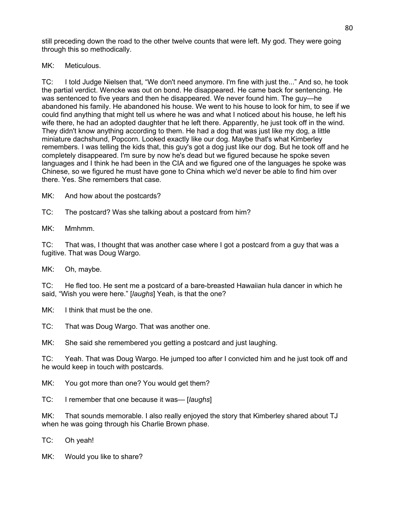still preceding down the road to the other twelve counts that were left. My god. They were going through this so methodically.

MK: Meticulous.

TC: I told Judge Nielsen that, "We don't need anymore. I'm fine with just the..." And so, he took the partial verdict. Wencke was out on bond. He disappeared. He came back for sentencing. He was sentenced to five years and then he disappeared. We never found him. The guy—he abandoned his family. He abandoned his house. We went to his house to look for him, to see if we could find anything that might tell us where he was and what I noticed about his house, he left his wife there, he had an adopted daughter that he left there. Apparently, he just took off in the wind. They didn't know anything according to them. He had a dog that was just like my dog, a little miniature dachshund, Popcorn. Looked exactly like our dog. Maybe that's what Kimberley remembers. I was telling the kids that, this guy's got a dog just like our dog. But he took off and he completely disappeared. I'm sure by now he's dead but we figured because he spoke seven languages and I think he had been in the CIA and we figured one of the languages he spoke was Chinese, so we figured he must have gone to China which we'd never be able to find him over there. Yes. She remembers that case.

MK: And how about the postcards?

TC: The postcard? Was she talking about a postcard from him?

MK: Mmhmm.

TC: That was, I thought that was another case where I got a postcard from a guy that was a fugitive. That was Doug Wargo.

MK: Oh, maybe.

TC: He fled too. He sent me a postcard of a bare-breasted Hawaiian hula dancer in which he said, "Wish you were here." [*laughs*] Yeah, is that the one?

MK: I think that must be the one.

TC: That was Doug Wargo. That was another one.

MK: She said she remembered you getting a postcard and just laughing.

TC: Yeah. That was Doug Wargo. He jumped too after I convicted him and he just took off and he would keep in touch with postcards.

MK: You got more than one? You would get them?

TC: I remember that one because it was— [*laughs*]

MK: That sounds memorable. I also really enjoyed the story that Kimberley shared about TJ when he was going through his Charlie Brown phase.

TC: Oh yeah!

MK: Would you like to share?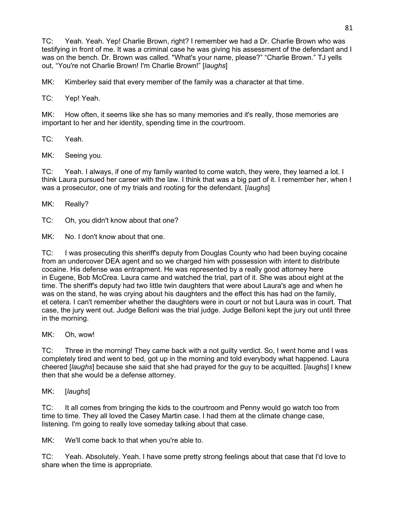TC: Yeah. Yeah. Yep! Charlie Brown, right? I remember we had a Dr. Charlie Brown who was testifying in front of me. It was a criminal case he was giving his assessment of the defendant and I was on the bench. Dr. Brown was called. "What's your name, please?" "Charlie Brown." TJ yells out, "You're not Charlie Brown! I'm Charlie Brown!" [*laughs*]

MK: Kimberley said that every member of the family was a character at that time.

TC: Yep! Yeah.

MK: How often, it seems like she has so many memories and it's really, those memories are important to her and her identity, spending time in the courtroom.

TC: Yeah.

MK: Seeing you.

TC: Yeah. I always, if one of my family wanted to come watch, they were, they learned a lot. I think Laura pursued her career with the law. I think that was a big part of it. I remember her, when I was a prosecutor, one of my trials and rooting for the defendant. [*laughs*]

MK: Really?

TC: Oh, you didn't know about that one?

MK: No. I don't know about that one.

TC: I was prosecuting this sheriff's deputy from Douglas County who had been buying cocaine from an undercover DEA agent and so we charged him with possession with intent to distribute cocaine. His defense was entrapment. He was represented by a really good attorney here in Eugene, Bob McCrea. Laura came and watched the trial, part of it. She was about eight at the time. The sheriff's deputy had two little twin daughters that were about Laura's age and when he was on the stand, he was crying about his daughters and the effect this has had on the family, et cetera. I can't remember whether the daughters were in court or not but Laura was in court. That case, the jury went out. Judge Belloni was the trial judge. Judge Belloni kept the jury out until three in the morning.

MK: Oh, wow!

TC: Three in the morning! They came back with a not guilty verdict. So, I went home and I was completely tired and went to bed, got up in the morning and told everybody what happened. Laura cheered [*laughs*] because she said that she had prayed for the guy to be acquitted. [*laughs*] I knew then that she would be a defense attorney.

MK: [*laughs*]

TC: It all comes from bringing the kids to the courtroom and Penny would go watch too from time to time. They all loved the Casey Martin case. I had them at the climate change case, listening. I'm going to really love someday talking about that case.

MK: We'll come back to that when you're able to.

TC: Yeah. Absolutely. Yeah. I have some pretty strong feelings about that case that I'd love to share when the time is appropriate.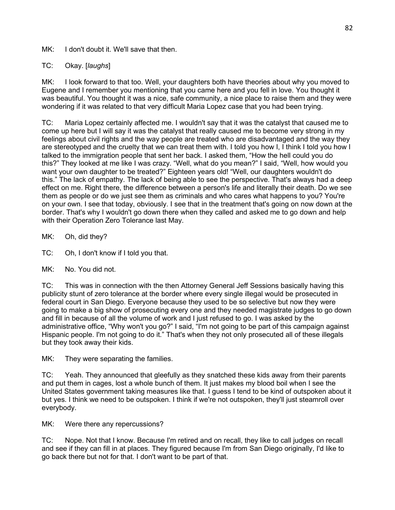MK: I don't doubt it. We'll save that then.

TC: Okay. [*laughs*]

MK: I look forward to that too. Well, your daughters both have theories about why you moved to Eugene and I remember you mentioning that you came here and you fell in love. You thought it was beautiful. You thought it was a nice, safe community, a nice place to raise them and they were wondering if it was related to that very difficult Maria Lopez case that you had been trying.

TC: Maria Lopez certainly affected me. I wouldn't say that it was the catalyst that caused me to come up here but I will say it was the catalyst that really caused me to become very strong in my feelings about civil rights and the way people are treated who are disadvantaged and the way they are stereotyped and the cruelty that we can treat them with. I told you how I, I think I told you how I talked to the immigration people that sent her back. I asked them, "How the hell could you do this?" They looked at me like I was crazy. "Well, what do you mean?" I said, "Well, how would you want your own daughter to be treated?" Eighteen years old! "Well, our daughters wouldn't do this." The lack of empathy. The lack of being able to see the perspective. That's always had a deep effect on me. Right there, the difference between a person's life and literally their death. Do we see them as people or do we just see them as criminals and who cares what happens to you? You're on your own. I see that today, obviously. I see that in the treatment that's going on now down at the border. That's why I wouldn't go down there when they called and asked me to go down and help with their Operation Zero Tolerance last May.

MK: Oh, did they?

TC: Oh, I don't know if I told you that.

MK: No. You did not.

TC: This was in connection with the then Attorney General Jeff Sessions basically having this publicity stunt of zero tolerance at the border where every single illegal would be prosecuted in federal court in San Diego. Everyone because they used to be so selective but now they were going to make a big show of prosecuting every one and they needed magistrate judges to go down and fill in because of all the volume of work and I just refused to go. I was asked by the administrative office, "Why won't you go?" I said, "I'm not going to be part of this campaign against Hispanic people. I'm not going to do it." That's when they not only prosecuted all of these illegals but they took away their kids.

MK: They were separating the families.

TC: Yeah. They announced that gleefully as they snatched these kids away from their parents and put them in cages, lost a whole bunch of them. It just makes my blood boil when I see the United States government taking measures like that. I guess I tend to be kind of outspoken about it but yes. I think we need to be outspoken. I think if we're not outspoken, they'll just steamroll over everybody.

MK: Were there any repercussions?

TC: Nope. Not that I know. Because I'm retired and on recall, they like to call judges on recall and see if they can fill in at places. They figured because I'm from San Diego originally, I'd like to go back there but not for that. I don't want to be part of that.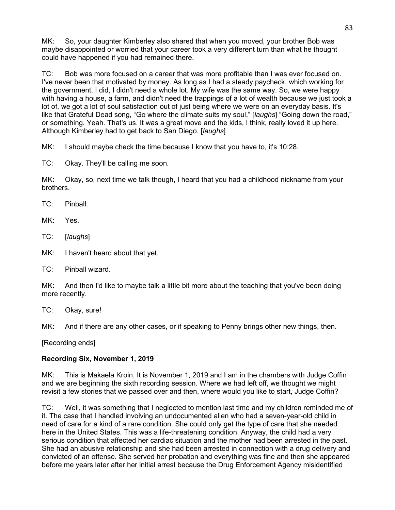MK: So, your daughter Kimberley also shared that when you moved, your brother Bob was maybe disappointed or worried that your career took a very different turn than what he thought could have happened if you had remained there.

TC: Bob was more focused on a career that was more profitable than I was ever focused on. I've never been that motivated by money. As long as I had a steady paycheck, which working for the government, I did, I didn't need a whole lot. My wife was the same way. So, we were happy with having a house, a farm, and didn't need the trappings of a lot of wealth because we just took a lot of, we got a lot of soul satisfaction out of just being where we were on an everyday basis. It's like that Grateful Dead song, "Go where the climate suits my soul," [*laughs*] "Going down the road," or something. Yeah. That's us. It was a great move and the kids, I think, really loved it up here. Although Kimberley had to get back to San Diego. [*laughs*]

MK: I should maybe check the time because I know that you have to, it's 10:28.

TC: Okay. They'll be calling me soon.

MK: Okay, so, next time we talk though, I heard that you had a childhood nickname from your brothers.

TC: Pinball.

MK: Yes.

TC: [*laughs*]

MK: I haven't heard about that yet.

TC: Pinball wizard.

MK: And then I'd like to maybe talk a little bit more about the teaching that you've been doing more recently.

TC: Okay, sure!

MK: And if there are any other cases, or if speaking to Penny brings other new things, then.

[Recording ends]

## **Recording Six, November 1, 2019**

MK: This is Makaela Kroin. It is November 1, 2019 and I am in the chambers with Judge Coffin and we are beginning the sixth recording session. Where we had left off, we thought we might revisit a few stories that we passed over and then, where would you like to start, Judge Coffin?

TC: Well, it was something that I neglected to mention last time and my children reminded me of it. The case that I handled involving an undocumented alien who had a seven-year-old child in need of care for a kind of a rare condition. She could only get the type of care that she needed here in the United States. This was a life-threatening condition. Anyway, the child had a very serious condition that affected her cardiac situation and the mother had been arrested in the past. She had an abusive relationship and she had been arrested in connection with a drug delivery and convicted of an offense. She served her probation and everything was fine and then she appeared before me years later after her initial arrest because the Drug Enforcement Agency misidentified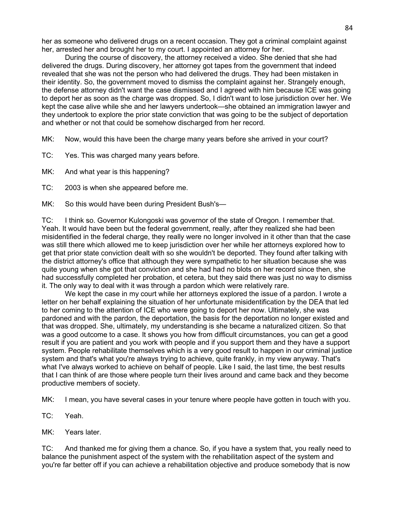her as someone who delivered drugs on a recent occasion. They got a criminal complaint against her, arrested her and brought her to my court. I appointed an attorney for her.

During the course of discovery, the attorney received a video. She denied that she had delivered the drugs. During discovery, her attorney got tapes from the government that indeed revealed that she was not the person who had delivered the drugs. They had been mistaken in their identity. So, the government moved to dismiss the complaint against her. Strangely enough, the defense attorney didn't want the case dismissed and I agreed with him because ICE was going to deport her as soon as the charge was dropped. So, I didn't want to lose jurisdiction over her. We kept the case alive while she and her lawyers undertook—she obtained an immigration lawyer and they undertook to explore the prior state conviction that was going to be the subject of deportation and whether or not that could be somehow discharged from her record.

MK: Now, would this have been the charge many years before she arrived in your court?

TC: Yes. This was charged many years before.

MK: And what year is this happening?

TC: 2003 is when she appeared before me.

MK: So this would have been during President Bush's-

TC: I think so. Governor Kulongoski was governor of the state of Oregon. I remember that. Yeah. It would have been but the federal government, really, after they realized she had been misidentified in the federal charge, they really were no longer involved in it other than that the case was still there which allowed me to keep jurisdiction over her while her attorneys explored how to get that prior state conviction dealt with so she wouldn't be deported. They found after talking with the district attorney's office that although they were sympathetic to her situation because she was quite young when she got that conviction and she had had no blots on her record since then, she had successfully completed her probation, et cetera, but they said there was just no way to dismiss it. The only way to deal with it was through a pardon which were relatively rare.

We kept the case in my court while her attorneys explored the issue of a pardon. I wrote a letter on her behalf explaining the situation of her unfortunate misidentification by the DEA that led to her coming to the attention of ICE who were going to deport her now. Ultimately, she was pardoned and with the pardon, the deportation, the basis for the deportation no longer existed and that was dropped. She, ultimately, my understanding is she became a naturalized citizen. So that was a good outcome to a case. It shows you how from difficult circumstances, you can get a good result if you are patient and you work with people and if you support them and they have a support system. People rehabilitate themselves which is a very good result to happen in our criminal justice system and that's what you're always trying to achieve, quite frankly, in my view anyway. That's what I've always worked to achieve on behalf of people. Like I said, the last time, the best results that I can think of are those where people turn their lives around and came back and they become productive members of society.

MK: I mean, you have several cases in your tenure where people have gotten in touch with you.

TC: Yeah.

MK: Years later.

TC: And thanked me for giving them a chance. So, if you have a system that, you really need to balance the punishment aspect of the system with the rehabilitation aspect of the system and you're far better off if you can achieve a rehabilitation objective and produce somebody that is now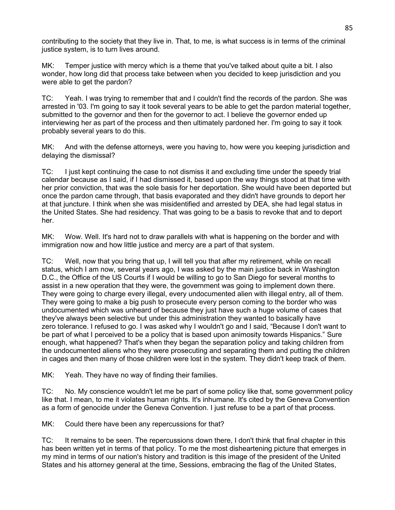contributing to the society that they live in. That, to me, is what success is in terms of the criminal justice system, is to turn lives around.

MK: Temper justice with mercy which is a theme that you've talked about quite a bit. I also wonder, how long did that process take between when you decided to keep jurisdiction and you were able to get the pardon?

TC: Yeah. I was trying to remember that and I couldn't find the records of the pardon. She was arrested in '03. I'm going to say it took several years to be able to get the pardon material together, submitted to the governor and then for the governor to act. I believe the governor ended up interviewing her as part of the process and then ultimately pardoned her. I'm going to say it took probably several years to do this.

MK: And with the defense attorneys, were you having to, how were you keeping jurisdiction and delaying the dismissal?

TC: I just kept continuing the case to not dismiss it and excluding time under the speedy trial calendar because as I said, if I had dismissed it, based upon the way things stood at that time with her prior conviction, that was the sole basis for her deportation. She would have been deported but once the pardon came through, that basis evaporated and they didn't have grounds to deport her at that juncture. I think when she was misidentified and arrested by DEA, she had legal status in the United States. She had residency. That was going to be a basis to revoke that and to deport her.

MK: Wow. Well. It's hard not to draw parallels with what is happening on the border and with immigration now and how little justice and mercy are a part of that system.

TC: Well, now that you bring that up, I will tell you that after my retirement, while on recall status, which I am now, several years ago, I was asked by the main justice back in Washington D.C., the Office of the US Courts if I would be willing to go to San Diego for several months to assist in a new operation that they were, the government was going to implement down there. They were going to charge every illegal, every undocumented alien with illegal entry, all of them. They were going to make a big push to prosecute every person coming to the border who was undocumented which was unheard of because they just have such a huge volume of cases that they've always been selective but under this administration they wanted to basically have zero tolerance. I refused to go. I was asked why I wouldn't go and I said, "Because I don't want to be part of what I perceived to be a policy that is based upon animosity towards Hispanics." Sure enough, what happened? That's when they began the separation policy and taking children from the undocumented aliens who they were prosecuting and separating them and putting the children in cages and then many of those children were lost in the system. They didn't keep track of them.

MK: Yeah. They have no way of finding their families.

TC: No. My conscience wouldn't let me be part of some policy like that, some government policy like that. I mean, to me it violates human rights. It's inhumane. It's cited by the Geneva Convention as a form of genocide under the Geneva Convention. I just refuse to be a part of that process.

MK: Could there have been any repercussions for that?

TC: It remains to be seen. The repercussions down there, I don't think that final chapter in this has been written yet in terms of that policy. To me the most disheartening picture that emerges in my mind in terms of our nation's history and tradition is this image of the president of the United States and his attorney general at the time, Sessions, embracing the flag of the United States,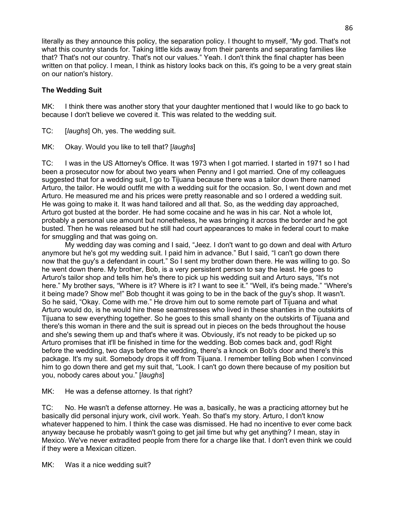literally as they announce this policy, the separation policy. I thought to myself, "My god. That's not what this country stands for. Taking little kids away from their parents and separating families like that? That's not our country. That's not our values." Yeah. I don't think the final chapter has been written on that policy. I mean, I think as history looks back on this, it's going to be a very great stain on our nation's history.

#### **The Wedding Suit**

MK: I think there was another story that your daughter mentioned that I would like to go back to because I don't believe we covered it. This was related to the wedding suit.

TC: [*laughs*] Oh, yes. The wedding suit.

MK: Okay. Would you like to tell that? [*laughs*]

TC: I was in the US Attorney's Office. It was 1973 when I got married. I started in 1971 so I had been a prosecutor now for about two years when Penny and I got married. One of my colleagues suggested that for a wedding suit, I go to Tijuana because there was a tailor down there named Arturo, the tailor. He would outfit me with a wedding suit for the occasion. So, I went down and met Arturo. He measured me and his prices were pretty reasonable and so I ordered a wedding suit. He was going to make it. It was hand tailored and all that. So, as the wedding day approached, Arturo got busted at the border. He had some cocaine and he was in his car. Not a whole lot, probably a personal use amount but nonetheless, he was bringing it across the border and he got busted. Then he was released but he still had court appearances to make in federal court to make for smuggling and that was going on.

My wedding day was coming and I said, "Jeez. I don't want to go down and deal with Arturo anymore but he's got my wedding suit. I paid him in advance." But I said, "I can't go down there now that the guy's a defendant in court." So I sent my brother down there. He was willing to go. So he went down there. My brother, Bob, is a very persistent person to say the least. He goes to Arturo's tailor shop and tells him he's there to pick up his wedding suit and Arturo says, "It's not here." My brother says, "Where is it? Where is it? I want to see it." "Well, it's being made." "Where's it being made? Show me!" Bob thought it was going to be in the back of the guy's shop. It wasn't. So he said, "Okay. Come with me." He drove him out to some remote part of Tijuana and what Arturo would do, is he would hire these seamstresses who lived in these shanties in the outskirts of Tijuana to sew everything together. So he goes to this small shanty on the outskirts of Tijuana and there's this woman in there and the suit is spread out in pieces on the beds throughout the house and she's sewing them up and that's where it was. Obviously, it's not ready to be picked up so Arturo promises that it'll be finished in time for the wedding. Bob comes back and, god! Right before the wedding, two days before the wedding, there's a knock on Bob's door and there's this package. It's my suit. Somebody drops it off from Tijuana. I remember telling Bob when I convinced him to go down there and get my suit that, "Look. I can't go down there because of my position but you, nobody cares about you." [*laughs*]

MK: He was a defense attorney. Is that right?

TC: No. He wasn't a defense attorney. He was a, basically, he was a practicing attorney but he basically did personal injury work, civil work. Yeah. So that's my story. Arturo, I don't know whatever happened to him. I think the case was dismissed. He had no incentive to ever come back anyway because he probably wasn't going to get jail time but why get anything? I mean, stay in Mexico. We've never extradited people from there for a charge like that. I don't even think we could if they were a Mexican citizen.

MK: Was it a nice wedding suit?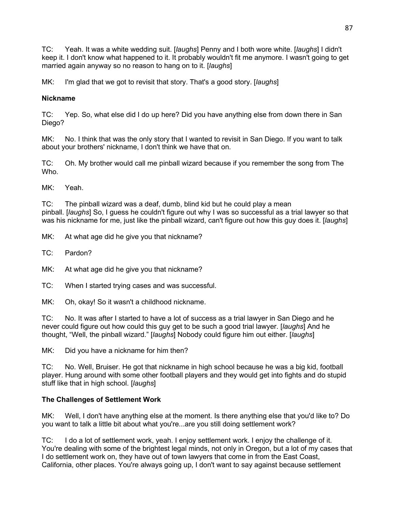TC: Yeah. It was a white wedding suit. [*laughs*] Penny and I both wore white. [*laughs*] I didn't keep it. I don't know what happened to it. It probably wouldn't fit me anymore. I wasn't going to get married again anyway so no reason to hang on to it. [*laughs*]

MK: I'm glad that we got to revisit that story. That's a good story. [*laughs*]

#### **Nickname**

TC: Yep. So, what else did I do up here? Did you have anything else from down there in San Diego?

MK: No. I think that was the only story that I wanted to revisit in San Diego. If you want to talk about your brothers' nickname, I don't think we have that on.

TC: Oh. My brother would call me pinball wizard because if you remember the song from The Who.

MK: Yeah.

TC: The pinball wizard was a deaf, dumb, blind kid but he could play a mean pinball. [*laughs*] So, I guess he couldn't figure out why I was so successful as a trial lawyer so that was his nickname for me, just like the pinball wizard, can't figure out how this guy does it. [*laughs*]

MK: At what age did he give you that nickname?

TC: Pardon?

MK: At what age did he give you that nickname?

TC: When I started trying cases and was successful.

MK: Oh, okay! So it wasn't a childhood nickname.

TC: No. It was after I started to have a lot of success as a trial lawyer in San Diego and he never could figure out how could this guy get to be such a good trial lawyer. [*laughs*] And he thought, "Well, the pinball wizard." [*laughs*] Nobody could figure him out either. [*laughs*]

MK: Did you have a nickname for him then?

TC: No. Well, Bruiser. He got that nickname in high school because he was a big kid, football player. Hung around with some other football players and they would get into fights and do stupid stuff like that in high school. [*laughs*]

#### **The Challenges of Settlement Work**

MK: Well, I don't have anything else at the moment. Is there anything else that you'd like to? Do you want to talk a little bit about what you're...are you still doing settlement work?

TC: I do a lot of settlement work, yeah. I enjoy settlement work. I enjoy the challenge of it. You're dealing with some of the brightest legal minds, not only in Oregon, but a lot of my cases that I do settlement work on, they have out of town lawyers that come in from the East Coast, California, other places. You're always going up, I don't want to say against because settlement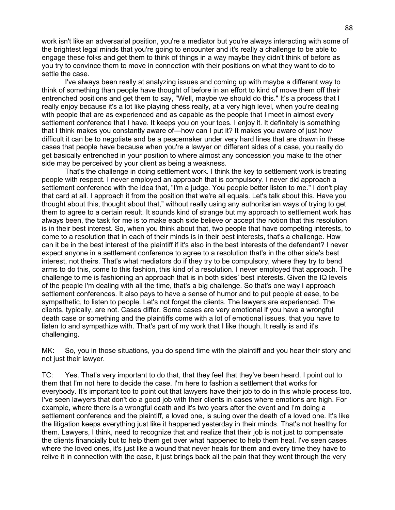work isn't like an adversarial position, you're a mediator but you're always interacting with some of the brightest legal minds that you're going to encounter and it's really a challenge to be able to engage these folks and get them to think of things in a way maybe they didn't think of before as you try to convince them to move in connection with their positions on what they want to do to settle the case.

I've always been really at analyzing issues and coming up with maybe a different way to think of something than people have thought of before in an effort to kind of move them off their entrenched positions and get them to say, "Well, maybe we should do this." It's a process that I really enjoy because it's a lot like playing chess really, at a very high level, when you're dealing with people that are as experienced and as capable as the people that I meet in almost every settlement conference that I have. It keeps you on your toes. I enjoy it. It definitely is something that I think makes you constantly aware of—how can I put it? It makes you aware of just how difficult it can be to negotiate and be a peacemaker under very hard lines that are drawn in these cases that people have because when you're a lawyer on different sides of a case, you really do get basically entrenched in your position to where almost any concession you make to the other side may be perceived by your client as being a weakness.

That's the challenge in doing settlement work. I think the key to settlement work is treating people with respect. I never employed an approach that is compulsory. I never did approach a settlement conference with the idea that, "I'm a judge. You people better listen to me." I don't play that card at all. I approach it from the position that we're all equals. Let's talk about this. Have you thought about this, thought about that," without really using any authoritarian ways of trying to get them to agree to a certain result. It sounds kind of strange but my approach to settlement work has always been, the task for me is to make each side believe or accept the notion that this resolution is in their best interest. So, when you think about that, two people that have competing interests, to come to a resolution that in each of their minds is in their best interests, that's a challenge. How can it be in the best interest of the plaintiff if it's also in the best interests of the defendant? I never expect anyone in a settlement conference to agree to a resolution that's in the other side's best interest, not theirs. That's what mediators do if they try to be compulsory, where they try to bend arms to do this, come to this fashion, this kind of a resolution. I never employed that approach. The challenge to me is fashioning an approach that is in both sides' best interests. Given the IQ levels of the people I'm dealing with all the time, that's a big challenge. So that's one way I approach settlement conferences. It also pays to have a sense of humor and to put people at ease, to be sympathetic, to listen to people. Let's not forget the clients. The lawyers are experienced. The clients, typically, are not. Cases differ. Some cases are very emotional if you have a wrongful death case or something and the plaintiffs come with a lot of emotional issues, that you have to listen to and sympathize with. That's part of my work that I like though. It really is and it's challenging.

MK: So, you in those situations, you do spend time with the plaintiff and you hear their story and not just their lawyer.

TC: Yes. That's very important to do that, that they feel that they've been heard. I point out to them that I'm not here to decide the case. I'm here to fashion a settlement that works for everybody. It's important too to point out that lawyers have their job to do in this whole process too. I've seen lawyers that don't do a good job with their clients in cases where emotions are high. For example, where there is a wrongful death and it's two years after the event and I'm doing a settlement conference and the plaintiff, a loved one, is suing over the death of a loved one. It's like the litigation keeps everything just like it happened yesterday in their minds. That's not healthy for them. Lawyers, I think, need to recognize that and realize that their job is not just to compensate the clients financially but to help them get over what happened to help them heal. I've seen cases where the loved ones, it's just like a wound that never heals for them and every time they have to relive it in connection with the case, it just brings back all the pain that they went through the very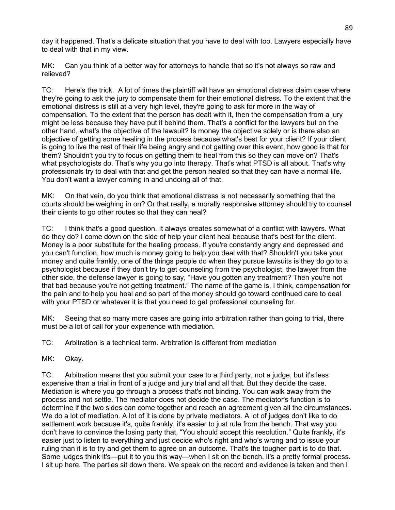day it happened. That's a delicate situation that you have to deal with too. Lawyers especially have to deal with that in my view.

MK: Can you think of a better way for attorneys to handle that so it's not always so raw and relieved?

TC: Here's the trick. A lot of times the plaintiff will have an emotional distress claim case where they're going to ask the jury to compensate them for their emotional distress. To the extent that the emotional distress is still at a very high level, they're going to ask for more in the way of compensation. To the extent that the person has dealt with it, then the compensation from a jury might be less because they have put it behind them. That's a conflict for the lawyers but on the other hand, what's the objective of the lawsuit? Is money the objective solely or is there also an objective of getting some healing in the process because what's best for your client? If your client is going to live the rest of their life being angry and not getting over this event, how good is that for them? Shouldn't you try to focus on getting them to heal from this so they can move on? That's what psychologists do. That's why you go into therapy. That's what PTSD is all about. That's why professionals try to deal with that and get the person healed so that they can have a normal life. You don't want a lawyer coming in and undoing all of that.

MK: On that vein, do you think that emotional distress is not necessarily something that the courts should be weighing in on? Or that really, a morally responsive attorney should try to counsel their clients to go other routes so that they can heal?

TC: I think that's a good question. It always creates somewhat of a conflict with lawyers. What do they do? I come down on the side of help your client heal because that's best for the client. Money is a poor substitute for the healing process. If you're constantly angry and depressed and you can't function, how much is money going to help you deal with that? Shouldn't you take your money and quite frankly, one of the things people do when they pursue lawsuits is they do go to a psychologist because if they don't try to get counseling from the psychologist, the lawyer from the other side, the defense lawyer is going to say, "Have you gotten any treatment? Then you're not that bad because you're not getting treatment." The name of the game is, I think, compensation for the pain and to help you heal and so part of the money should go toward continued care to deal with your PTSD or whatever it is that you need to get professional counseling for.

MK: Seeing that so many more cases are going into arbitration rather than going to trial, there must be a lot of call for your experience with mediation.

TC: Arbitration is a technical term. Arbitration is different from mediation

MK: Okay.

TC: Arbitration means that you submit your case to a third party, not a judge, but it's less expensive than a trial in front of a judge and jury trial and all that. But they decide the case. Mediation is where you go through a process that's not binding. You can walk away from the process and not settle. The mediator does not decide the case. The mediator's function is to determine if the two sides can come together and reach an agreement given all the circumstances. We do a lot of mediation. A lot of it is done by private mediators. A lot of judges don't like to do settlement work because it's, quite frankly, it's easier to just rule from the bench. That way you don't have to convince the losing party that, "You should accept this resolution." Quite frankly, it's easier just to listen to everything and just decide who's right and who's wrong and to issue your ruling than it is to try and get them to agree on an outcome. That's the tougher part is to do that. Some judges think it's—put it to you this way—when I sit on the bench, it's a pretty formal process. I sit up here. The parties sit down there. We speak on the record and evidence is taken and then I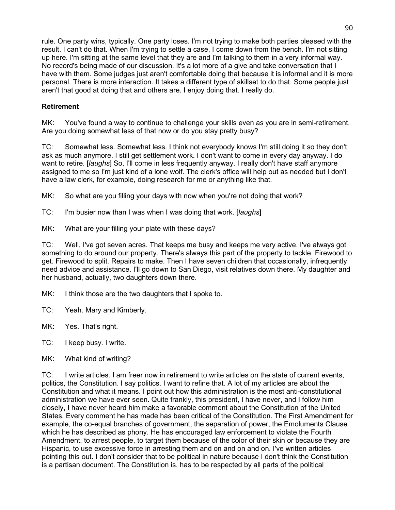rule. One party wins, typically. One party loses. I'm not trying to make both parties pleased with the result. I can't do that. When I'm trying to settle a case, I come down from the bench. I'm not sitting up here. I'm sitting at the same level that they are and I'm talking to them in a very informal way. No record's being made of our discussion. It's a lot more of a give and take conversation that I have with them. Some judges just aren't comfortable doing that because it is informal and it is more personal. There is more interaction. It takes a different type of skillset to do that. Some people just aren't that good at doing that and others are. I enjoy doing that. I really do.

## **Retirement**

MK: You've found a way to continue to challenge your skills even as you are in semi-retirement. Are you doing somewhat less of that now or do you stay pretty busy?

TC: Somewhat less. Somewhat less. I think not everybody knows I'm still doing it so they don't ask as much anymore. I still get settlement work. I don't want to come in every day anyway. I do want to retire. [*laughs*] So, I'll come in less frequently anyway. I really don't have staff anymore assigned to me so I'm just kind of a lone wolf. The clerk's office will help out as needed but I don't have a law clerk, for example, doing research for me or anything like that.

MK: So what are you filling your days with now when you're not doing that work?

TC: I'm busier now than I was when I was doing that work. [*laughs*]

MK: What are your filling your plate with these days?

TC: Well, I've got seven acres. That keeps me busy and keeps me very active. I've always got something to do around our property. There's always this part of the property to tackle. Firewood to get. Firewood to split. Repairs to make. Then I have seven children that occasionally, infrequently need advice and assistance. I'll go down to San Diego, visit relatives down there. My daughter and her husband, actually, two daughters down there.

MK: I think those are the two daughters that I spoke to.

TC: Yeah. Mary and Kimberly.

MK: Yes. That's right.

TC: I keep busy. I write.

MK: What kind of writing?

TC: I write articles. I am freer now in retirement to write articles on the state of current events, politics, the Constitution. I say politics. I want to refine that. A lot of my articles are about the Constitution and what it means. I point out how this administration is the most anti-constitutional administration we have ever seen. Quite frankly, this president, I have never, and I follow him closely, I have never heard him make a favorable comment about the Constitution of the United States. Every comment he has made has been critical of the Constitution. The First Amendment for example, the co-equal branches of government, the separation of power, the Emoluments Clause which he has described as phony. He has encouraged law enforcement to violate the Fourth Amendment, to arrest people, to target them because of the color of their skin or because they are Hispanic, to use excessive force in arresting them and on and on and on. I've written articles pointing this out. I don't consider that to be political in nature because I don't think the Constitution is a partisan document. The Constitution is, has to be respected by all parts of the political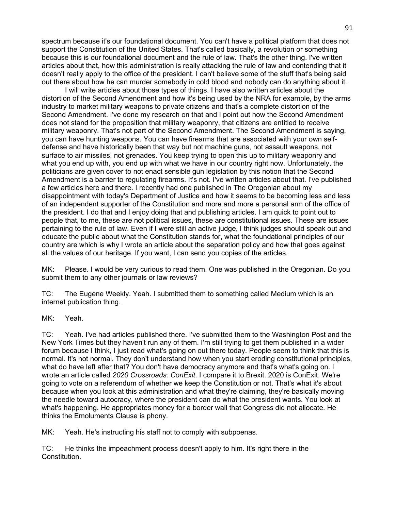spectrum because it's our foundational document. You can't have a political platform that does not support the Constitution of the United States. That's called basically, a revolution or something because this is our foundational document and the rule of law. That's the other thing. I've written articles about that, how this administration is really attacking the rule of law and contending that it doesn't really apply to the office of the president. I can't believe some of the stuff that's being said out there about how he can murder somebody in cold blood and nobody can do anything about it.

I will write articles about those types of things. I have also written articles about the distortion of the Second Amendment and how it's being used by the NRA for example, by the arms industry to market military weapons to private citizens and that's a complete distortion of the Second Amendment. I've done my research on that and I point out how the Second Amendment does not stand for the proposition that military weaponry, that citizens are entitled to receive military weaponry. That's not part of the Second Amendment. The Second Amendment is saying, you can have hunting weapons. You can have firearms that are associated with your own selfdefense and have historically been that way but not machine guns, not assault weapons, not surface to air missiles, not grenades. You keep trying to open this up to military weaponry and what you end up with, you end up with what we have in our country right now. Unfortunately, the politicians are given cover to not enact sensible gun legislation by this notion that the Second Amendment is a barrier to regulating firearms. It's not. I've written articles about that. I've published a few articles here and there. I recently had one published in The Oregonian about my disappointment with today's Department of Justice and how it seems to be becoming less and less of an independent supporter of the Constitution and more and more a personal arm of the office of the president. I do that and I enjoy doing that and publishing articles. I am quick to point out to people that, to me, these are not political issues, these are constitutional issues. These are issues pertaining to the rule of law. Even if I were still an active judge, I think judges should speak out and educate the public about what the Constitution stands for, what the foundational principles of our country are which is why I wrote an article about the separation policy and how that goes against all the values of our heritage. If you want, I can send you copies of the articles.

MK: Please. I would be very curious to read them. One was published in the Oregonian. Do you submit them to any other journals or law reviews?

TC: The Eugene Weekly. Yeah. I submitted them to something called Medium which is an internet publication thing.

MK: Yeah.

TC: Yeah. I've had articles published there. I've submitted them to the Washington Post and the New York Times but they haven't run any of them. I'm still trying to get them published in a wider forum because I think, I just read what's going on out there today. People seem to think that this is normal. It's not normal. They don't understand how when you start eroding constitutional principles, what do have left after that? You don't have democracy anymore and that's what's going on. I wrote an article called *2020 Crossroads: ConExit*. I compare it to Brexit. 2020 is ConExit. We're going to vote on a referendum of whether we keep the Constitution or not. That's what it's about because when you look at this administration and what they're claiming, they're basically moving the needle toward autocracy, where the president can do what the president wants. You look at what's happening. He appropriates money for a border wall that Congress did not allocate. He thinks the Emoluments Clause is phony.

MK: Yeah. He's instructing his staff not to comply with subpoenas.

TC: He thinks the impeachment process doesn't apply to him. It's right there in the Constitution.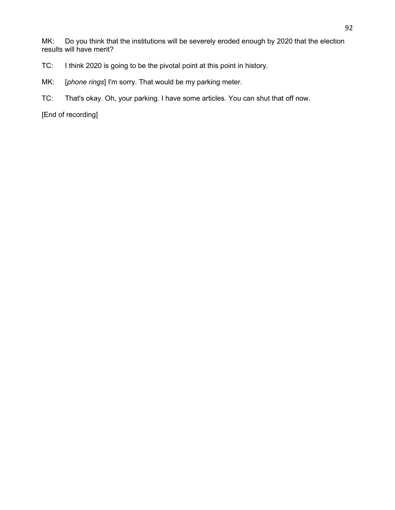MK: Do you think that the institutions will be severely eroded enough by 2020 that the election results will have merit?

- TC: I think 2020 is going to be the pivotal point at this point in history.
- MK: [*phone rings*] I'm sorry. That would be my parking meter.
- TC: That's okay. Oh, your parking. I have some articles. You can shut that off now.

[End of recording]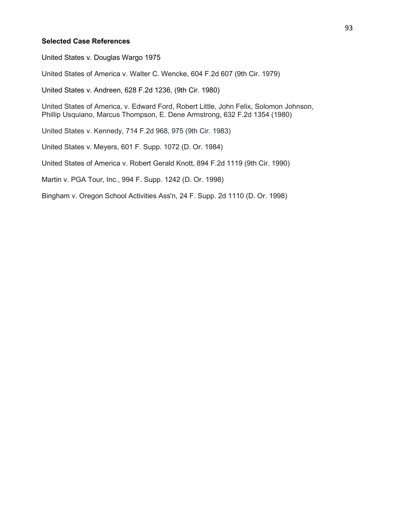#### **Selected Case References**

United States v. Douglas Wargo 1975

United States of America v. Walter C. Wencke, 604 F.2d 607 (9th Cir. 1979)

United States v. Andreen, 628 F.2d 1236, (9th Cir. 1980)

United States of America, v. Edward Ford, Robert Little, John Felix, Solomon Johnson, Phillip Usquiano, Marcus Thompson, E. Dene Armstrong, 632 F.2d 1354 (1980)

United States v. Kennedy, 714 F.2d 968, 975 (9th Cir. 1983)

United States v. Meyers, 601 F. Supp. 1072 (D. Or. 1984)

United States of America v. Robert Gerald Knott, 894 F.2d 1119 (9th Cir. 1990)

Martin v. PGA Tour, Inc., 994 F. Supp. 1242 (D. Or. 1998)

Bingham v. Oregon School Activities Ass'n, 24 F. Supp. 2d 1110 (D. Or. 1998)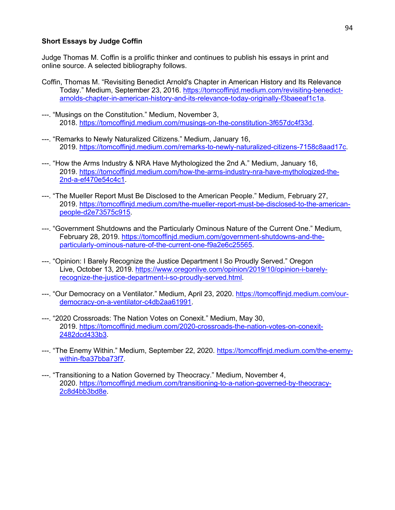#### **Short Essays by Judge Coffin**

Judge Thomas M. Coffin is a prolific thinker and continues to publish his essays in print and online source. A selected bibliography follows.

- Coffin, Thomas M. "Revisiting Benedict Arnold's Chapter in American History and Its Relevance Today." Medium, September 23, 2016. [https://tomcoffinjd.medium.com/revisiting-benedict](https://tomcoffinjd.medium.com/revisiting-benedict-arnolds-chapter-in-american-history-and-its-relevance-today-originally-f3baeeaf1c1a)[arnolds-chapter-in-american-history-and-its-relevance-today-originally-f3baeeaf1c1a.](https://tomcoffinjd.medium.com/revisiting-benedict-arnolds-chapter-in-american-history-and-its-relevance-today-originally-f3baeeaf1c1a)
- ---. "Musings on the Constitution." Medium, November 3, 2018. [https://tomcoffinjd.medium.com/musings-on-the-constitution-3f657dc4f33d.](https://tomcoffinjd.medium.com/musings-on-the-constitution-3f657dc4f33d)
- ---. "Remarks to Newly Naturalized Citizens." Medium, January 16, 2019. [https://tomcoffinjd.medium.com/remarks-to-newly-naturalized-citizens-7158c8aad17c.](https://tomcoffinjd.medium.com/remarks-to-newly-naturalized-citizens-7158c8aad17c)
- ---. "How the Arms Industry & NRA Have Mythologized the 2nd A." Medium, January 16, 2019. [https://tomcoffinjd.medium.com/how-the-arms-industry-nra-have-mythologized-the-](https://tomcoffinjd.medium.com/how-the-arms-industry-nra-have-mythologized-the-2nd-a-ef470e54c4c1)[2nd-a-ef470e54c4c1.](https://tomcoffinjd.medium.com/how-the-arms-industry-nra-have-mythologized-the-2nd-a-ef470e54c4c1)
- ---. "The Mueller Report Must Be Disclosed to the American People." Medium, February 27, 2019. [https://tomcoffinjd.medium.com/the-mueller-report-must-be-disclosed-to-the-american](https://tomcoffinjd.medium.com/the-mueller-report-must-be-disclosed-to-the-american-people-d2e73575c915)[people-d2e73575c915.](https://tomcoffinjd.medium.com/the-mueller-report-must-be-disclosed-to-the-american-people-d2e73575c915)
- ---. "Government Shutdowns and the Particularly Ominous Nature of the Current One." Medium, February 28, 2019. [https://tomcoffinjd.medium.com/government-shutdowns-and-the](https://tomcoffinjd.medium.com/government-shutdowns-and-the-particularly-ominous-nature-of-the-current-one-f9a2e6c25565)[particularly-ominous-nature-of-the-current-one-f9a2e6c25565.](https://tomcoffinjd.medium.com/government-shutdowns-and-the-particularly-ominous-nature-of-the-current-one-f9a2e6c25565)
- ---. "Opinion: I Barely Recognize the Justice Department I So Proudly Served." Oregon Live, October 13, 2019. [https://www.oregonlive.com/opinion/2019/10/opinion-i-barely](https://www.oregonlive.com/opinion/2019/10/opinion-i-barely-recognize-the-justice-department-i-so-proudly-served.html)[recognize-the-justice-department-i-so-proudly-served.html.](https://www.oregonlive.com/opinion/2019/10/opinion-i-barely-recognize-the-justice-department-i-so-proudly-served.html)
- ---. "Our Democracy on a Ventilator." Medium, April 23, 2020. [https://tomcoffinjd.medium.com/our](https://tomcoffinjd.medium.com/our-democracy-on-a-ventilator-c4db2aa61991)[democracy-on-a-ventilator-c4db2aa61991.](https://tomcoffinjd.medium.com/our-democracy-on-a-ventilator-c4db2aa61991)
- ---. "2020 Crossroads: The Nation Votes on Conexit." Medium, May 30, 2019. [https://tomcoffinjd.medium.com/2020-crossroads-the-nation-votes-on-conexit-](https://tomcoffinjd.medium.com/2020-crossroads-the-nation-votes-on-conexit-2482dcd433b3)[2482dcd433b3.](https://tomcoffinjd.medium.com/2020-crossroads-the-nation-votes-on-conexit-2482dcd433b3)
- ---. "The Enemy Within." Medium, September 22, 2020. [https://tomcoffinjd.medium.com/the-enemy](https://tomcoffinjd.medium.com/the-enemy-within-fba37bba73f7)[within-fba37bba73f7.](https://tomcoffinjd.medium.com/the-enemy-within-fba37bba73f7)
- ---. "Transitioning to a Nation Governed by Theocracy." Medium, November 4, 2020. [https://tomcoffinjd.medium.com/transitioning-to-a-nation-governed-by-theocracy-](https://tomcoffinjd.medium.com/transitioning-to-a-nation-governed-by-theocracy-2c8d4bb3bd8e)[2c8d4bb3bd8e.](https://tomcoffinjd.medium.com/transitioning-to-a-nation-governed-by-theocracy-2c8d4bb3bd8e)